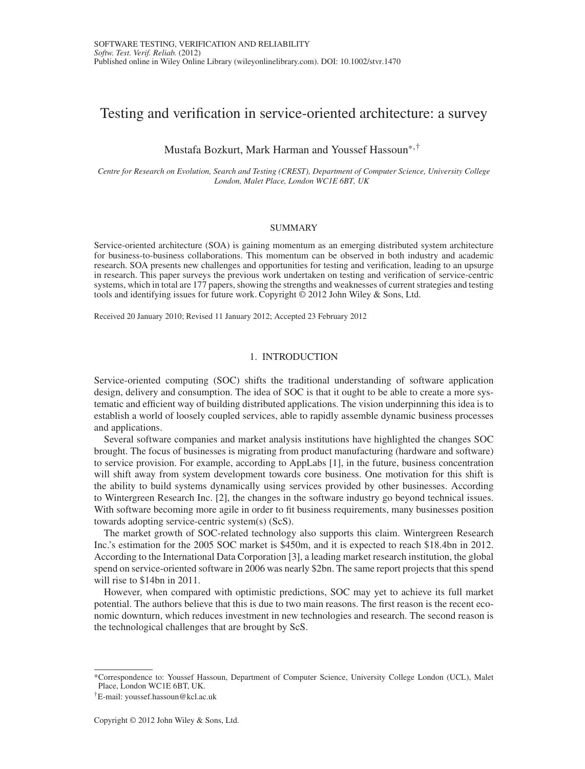# Testing and verification in service-oriented architecture: a survey

Mustafa Bozkurt, Mark Harman and Youssef Hassoun\*,†

*Centre for Research on Evolution, Search and Testing (CREST), Department of Computer Science, University College London, Malet Place, London WC1E 6BT, UK*

## SUMMARY

Service-oriented architecture (SOA) is gaining momentum as an emerging distributed system architecture for business-to-business collaborations. This momentum can be observed in both industry and academic research. SOA presents new challenges and opportunities for testing and verification, leading to an upsurge in research. This paper surveys the previous work undertaken on testing and verification of service-centric systems, which in total are 177 papers, showing the strengths and weaknesses of current strategies and testing tools and identifying issues for future work. Copyright © 2012 John Wiley & Sons, Ltd.

Received 20 January 2010; Revised 11 January 2012; Accepted 23 February 2012

# 1. INTRODUCTION

Service-oriented computing (SOC) shifts the traditional understanding of software application design, delivery and consumption. The idea of SOC is that it ought to be able to create a more systematic and efficient way of building distributed applications. The vision underpinning this idea is to establish a world of loosely coupled services, able to rapidly assemble dynamic business processes and applications.

Several software companies and market analysis institutions have highlighted the changes SOC brought. The focus of businesses is migrating from product manufacturing (hardware and software) to service provision. For example, according to AppLabs [1], in the future, business concentration will shift away from system development towards core business. One motivation for this shift is the ability to build systems dynamically using services provided by other businesses. According to Wintergreen Research Inc. [2], the changes in the software industry go beyond technical issues. With software becoming more agile in order to fit business requirements, many businesses position towards adopting service-centric system(s) (ScS).

The market growth of SOC-related technology also supports this claim. Wintergreen Research Inc.'s estimation for the 2005 SOC market is \$450m, and it is expected to reach \$18.4bn in 2012. According to the International Data Corporation [3], a leading market research institution, the global spend on service-oriented software in 2006 was nearly \$2bn. The same report projects that this spend will rise to \$14bn in 2011.

However, when compared with optimistic predictions, SOC may yet to achieve its full market potential. The authors believe that this is due to two main reasons. The first reason is the recent economic downturn, which reduces investment in new technologies and research. The second reason is the technological challenges that are brought by ScS.

<sup>\*</sup>Correspondence to: Youssef Hassoun, Department of Computer Science, University College London (UCL), Malet Place, London WC1E 6BT, UK.

<sup>†</sup>E-mail: youssef.hassoun@kcl.ac.uk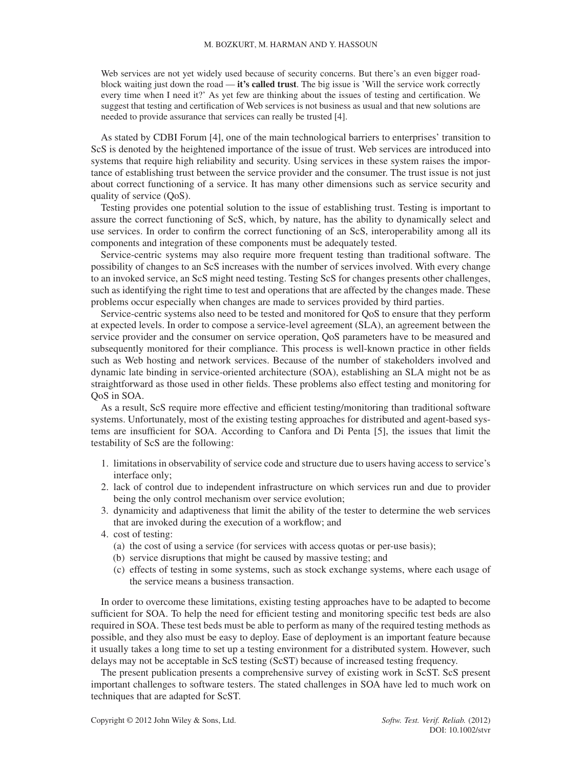Web services are not yet widely used because of security concerns. But there's an even bigger roadblock waiting just down the road — **it's called trust**. The big issue is 'Will the service work correctly every time when I need it?' As yet few are thinking about the issues of testing and certification. We suggest that testing and certification of Web services is not business as usual and that new solutions are needed to provide assurance that services can really be trusted [4].

As stated by CDBI Forum [4], one of the main technological barriers to enterprises' transition to ScS is denoted by the heightened importance of the issue of trust. Web services are introduced into systems that require high reliability and security. Using services in these system raises the importance of establishing trust between the service provider and the consumer. The trust issue is not just about correct functioning of a service. It has many other dimensions such as service security and quality of service (QoS).

Testing provides one potential solution to the issue of establishing trust. Testing is important to assure the correct functioning of ScS, which, by nature, has the ability to dynamically select and use services. In order to confirm the correct functioning of an ScS, interoperability among all its components and integration of these components must be adequately tested.

Service-centric systems may also require more frequent testing than traditional software. The possibility of changes to an ScS increases with the number of services involved. With every change to an invoked service, an ScS might need testing. Testing ScS for changes presents other challenges, such as identifying the right time to test and operations that are affected by the changes made. These problems occur especially when changes are made to services provided by third parties.

Service-centric systems also need to be tested and monitored for QoS to ensure that they perform at expected levels. In order to compose a service-level agreement (SLA), an agreement between the service provider and the consumer on service operation, QoS parameters have to be measured and subsequently monitored for their compliance. This process is well-known practice in other fields such as Web hosting and network services. Because of the number of stakeholders involved and dynamic late binding in service-oriented architecture (SOA), establishing an SLA might not be as straightforward as those used in other fields. These problems also effect testing and monitoring for QoS in SOA.

As a result, ScS require more effective and efficient testing/monitoring than traditional software systems. Unfortunately, most of the existing testing approaches for distributed and agent-based systems are insufficient for SOA. According to Canfora and Di Penta [5], the issues that limit the testability of ScS are the following:

- 1. limitations in observability of service code and structure due to users having access to service's interface only;
- 2. lack of control due to independent infrastructure on which services run and due to provider being the only control mechanism over service evolution;
- 3. dynamicity and adaptiveness that limit the ability of the tester to determine the web services that are invoked during the execution of a workflow; and
- 4. cost of testing:
	- (a) the cost of using a service (for services with access quotas or per-use basis);
	- (b) service disruptions that might be caused by massive testing; and
	- (c) effects of testing in some systems, such as stock exchange systems, where each usage of the service means a business transaction.

In order to overcome these limitations, existing testing approaches have to be adapted to become sufficient for SOA. To help the need for efficient testing and monitoring specific test beds are also required in SOA. These test beds must be able to perform as many of the required testing methods as possible, and they also must be easy to deploy. Ease of deployment is an important feature because it usually takes a long time to set up a testing environment for a distributed system. However, such delays may not be acceptable in ScS testing (ScST) because of increased testing frequency.

The present publication presents a comprehensive survey of existing work in ScST. ScS present important challenges to software testers. The stated challenges in SOA have led to much work on techniques that are adapted for ScST.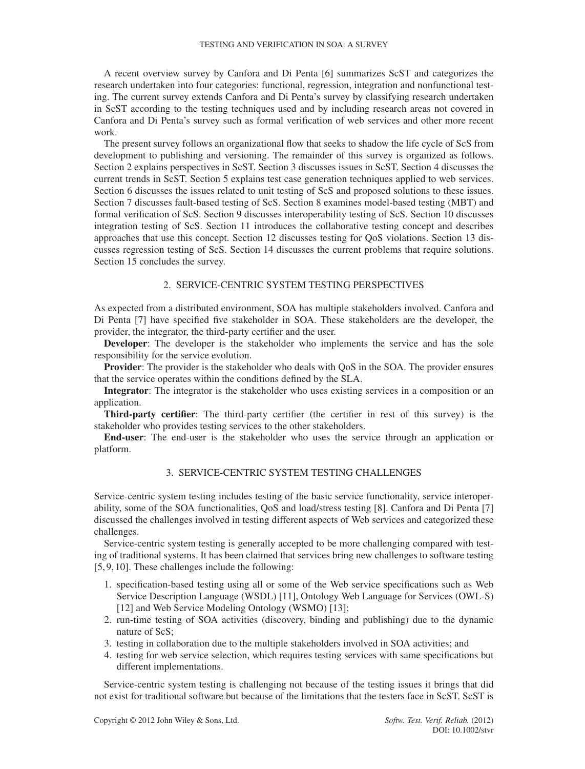A recent overview survey by Canfora and Di Penta [6] summarizes ScST and categorizes the research undertaken into four categories: functional, regression, integration and nonfunctional testing. The current survey extends Canfora and Di Penta's survey by classifying research undertaken in ScST according to the testing techniques used and by including research areas not covered in Canfora and Di Penta's survey such as formal verification of web services and other more recent work.

The present survey follows an organizational flow that seeks to shadow the life cycle of ScS from development to publishing and versioning. The remainder of this survey is organized as follows. Section 2 explains perspectives in ScST. Section 3 discusses issues in ScST. Section 4 discusses the current trends in ScST. Section 5 explains test case generation techniques applied to web services. Section 6 discusses the issues related to unit testing of ScS and proposed solutions to these issues. Section 7 discusses fault-based testing of ScS. Section 8 examines model-based testing (MBT) and formal verification of ScS. Section 9 discusses interoperability testing of ScS. Section 10 discusses integration testing of ScS. Section 11 introduces the collaborative testing concept and describes approaches that use this concept. Section 12 discusses testing for QoS violations. Section 13 discusses regression testing of ScS. Section 14 discusses the current problems that require solutions. Section 15 concludes the survey.

# 2. SERVICE-CENTRIC SYSTEM TESTING PERSPECTIVES

As expected from a distributed environment, SOA has multiple stakeholders involved. Canfora and Di Penta [7] have specified five stakeholder in SOA. These stakeholders are the developer, the provider, the integrator, the third-party certifier and the user.

**Developer**: The developer is the stakeholder who implements the service and has the sole responsibility for the service evolution.

**Provider**: The provider is the stakeholder who deals with QoS in the SOA. The provider ensures that the service operates within the conditions defined by the SLA.

**Integrator**: The integrator is the stakeholder who uses existing services in a composition or an application.

**Third-party certifier**: The third-party certifier (the certifier in rest of this survey) is the stakeholder who provides testing services to the other stakeholders.

**End-user**: The end-user is the stakeholder who uses the service through an application or platform.

# 3. SERVICE-CENTRIC SYSTEM TESTING CHALLENGES

Service-centric system testing includes testing of the basic service functionality, service interoperability, some of the SOA functionalities, QoS and load/stress testing [8]. Canfora and Di Penta [7] discussed the challenges involved in testing different aspects of Web services and categorized these challenges.

Service-centric system testing is generally accepted to be more challenging compared with testing of traditional systems. It has been claimed that services bring new challenges to software testing [5, 9, 10]. These challenges include the following:

- 1. specification-based testing using all or some of the Web service specifications such as Web Service Description Language (WSDL) [11], Ontology Web Language for Services (OWL-S) [12] and Web Service Modeling Ontology (WSMO) [13];
- 2. run-time testing of SOA activities (discovery, binding and publishing) due to the dynamic nature of ScS;
- 3. testing in collaboration due to the multiple stakeholders involved in SOA activities; and
- 4. testing for web service selection, which requires testing services with same specifications but different implementations.

Service-centric system testing is challenging not because of the testing issues it brings that did not exist for traditional software but because of the limitations that the testers face in ScST. ScST is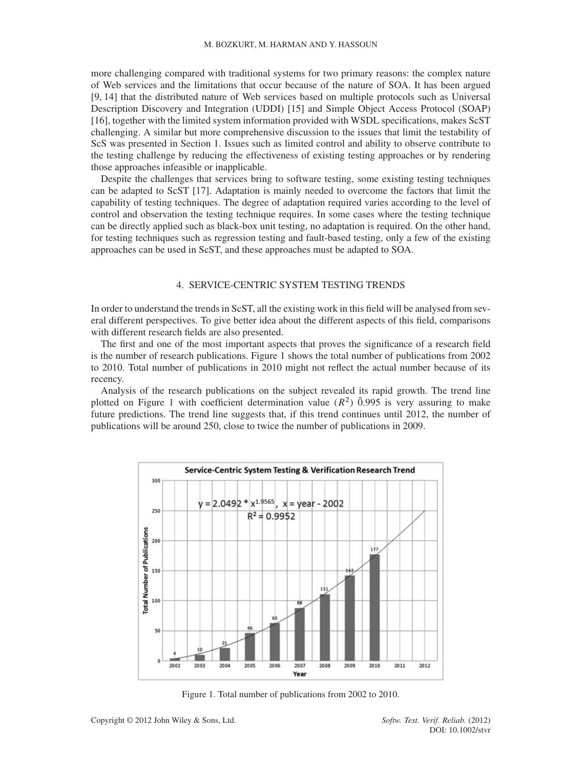#### M. BOZKURT, M. HARMAN AND Y. HASSOUN

more challenging compared with traditional systems for two primary reasons: the complex nature of Web services and the limitations that occur because of the nature of SOA. It has been argued [9, 14] that the distributed nature of Web services based on multiple protocols such as Universal Description Discovery and Integration (UDDI) [15] and Simple Object Access Protocol (SOAP) [16], together with the limited system information provided with WSDL specifications, makes ScST challenging. A similar but more comprehensive discussion to the issues that limit the testability of ScS was presented in Section 1. Issues such as limited control and ability to observe contribute to the testing challenge by reducing the effectiveness of existing testing approaches or by rendering those approaches infeasible or inapplicable.

Despite the challenges that services bring to software testing, some existing testing techniques can be adapted to ScST [17]. Adaptation is mainly needed to overcome the factors that limit the capability of testing techniques. The degree of adaptation required varies according to the level of control and observation the testing technique requires. In some cases where the testing technique can be directly applied such as black-box unit testing, no adaptation is required. On the other hand, for testing techniques such as regression testing and fault-based testing, only a few of the existing approaches can be used in ScST, and these approaches must be adapted to SOA.

# 4. SERVICE-CENTRIC SYSTEM TESTING TRENDS

In order to understand the trends in ScST, all the existing work in this field will be analysed from several different perspectives. To give better idea about the different aspects of this field, comparisons with different research fields are also presented.

The first and one of the most important aspects that proves the significance of a research field is the number of research publications. Figure 1 shows the total number of publications from 2002 to 2010. Total number of publications in 2010 might not reflect the actual number because of its recency.

Analysis of the research publications on the subject revealed its rapid growth. The trend line plotted on Figure 1 with coefficient determination value  $(R^2)$  0.995 is very assuring to make future predictions. The trend line suggests that, if this trend continues until 2012, the number of publications will be around 250, close to twice the number of publications in 2009.



Figure 1. Total number of publications from 2002 to 2010.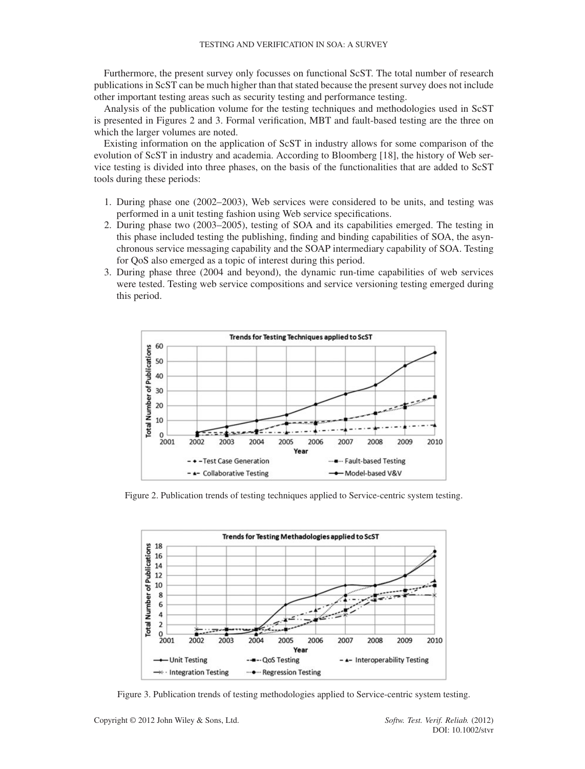Furthermore, the present survey only focusses on functional ScST. The total number of research publications in ScST can be much higher than that stated because the present survey does not include other important testing areas such as security testing and performance testing.

Analysis of the publication volume for the testing techniques and methodologies used in ScST is presented in Figures 2 and 3. Formal verification, MBT and fault-based testing are the three on which the larger volumes are noted.

Existing information on the application of ScST in industry allows for some comparison of the evolution of ScST in industry and academia. According to Bloomberg [18], the history of Web service testing is divided into three phases, on the basis of the functionalities that are added to ScST tools during these periods:

- 1. During phase one (2002–2003), Web services were considered to be units, and testing was performed in a unit testing fashion using Web service specifications.
- 2. During phase two (2003–2005), testing of SOA and its capabilities emerged. The testing in this phase included testing the publishing, finding and binding capabilities of SOA, the asynchronous service messaging capability and the SOAP intermediary capability of SOA. Testing for QoS also emerged as a topic of interest during this period.
- 3. During phase three (2004 and beyond), the dynamic run-time capabilities of web services were tested. Testing web service compositions and service versioning testing emerged during this period.



Figure 2. Publication trends of testing techniques applied to Service-centric system testing.



Figure 3. Publication trends of testing methodologies applied to Service-centric system testing.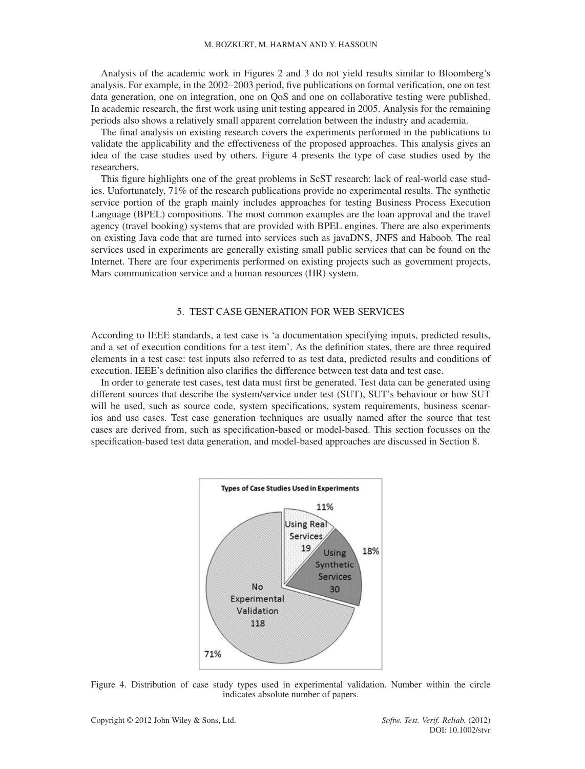#### M. BOZKURT, M. HARMAN AND Y. HASSOUN

Analysis of the academic work in Figures 2 and 3 do not yield results similar to Bloomberg's analysis. For example, in the 2002–2003 period, five publications on formal verification, one on test data generation, one on integration, one on QoS and one on collaborative testing were published. In academic research, the first work using unit testing appeared in 2005. Analysis for the remaining periods also shows a relatively small apparent correlation between the industry and academia.

The final analysis on existing research covers the experiments performed in the publications to validate the applicability and the effectiveness of the proposed approaches. This analysis gives an idea of the case studies used by others. Figure 4 presents the type of case studies used by the researchers.

This figure highlights one of the great problems in ScST research: lack of real-world case studies. Unfortunately, 71% of the research publications provide no experimental results. The synthetic service portion of the graph mainly includes approaches for testing Business Process Execution Language (BPEL) compositions. The most common examples are the loan approval and the travel agency (travel booking) systems that are provided with BPEL engines. There are also experiments on existing Java code that are turned into services such as javaDNS, JNFS and Haboob. The real services used in experiments are generally existing small public services that can be found on the Internet. There are four experiments performed on existing projects such as government projects, Mars communication service and a human resources (HR) system.

# 5. TEST CASE GENERATION FOR WEB SERVICES

According to IEEE standards, a test case is 'a documentation specifying inputs, predicted results, and a set of execution conditions for a test item'. As the definition states, there are three required elements in a test case: test inputs also referred to as test data, predicted results and conditions of execution. IEEE's definition also clarifies the difference between test data and test case.

In order to generate test cases, test data must first be generated. Test data can be generated using different sources that describe the system/service under test (SUT), SUT's behaviour or how SUT will be used, such as source code, system specifications, system requirements, business scenarios and use cases. Test case generation techniques are usually named after the source that test cases are derived from, such as specification-based or model-based. This section focusses on the specification-based test data generation, and model-based approaches are discussed in Section 8.



Figure 4. Distribution of case study types used in experimental validation. Number within the circle indicates absolute number of papers.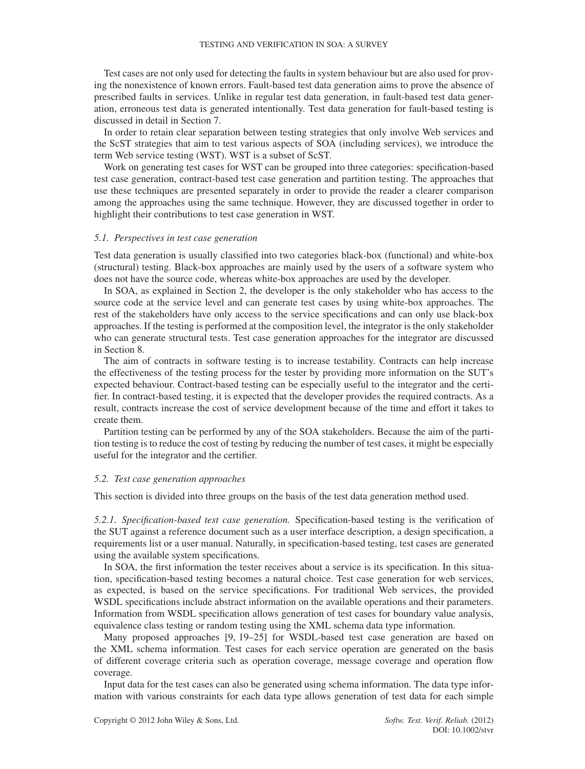Test cases are not only used for detecting the faults in system behaviour but are also used for proving the nonexistence of known errors. Fault-based test data generation aims to prove the absence of prescribed faults in services. Unlike in regular test data generation, in fault-based test data generation, erroneous test data is generated intentionally. Test data generation for fault-based testing is discussed in detail in Section 7.

In order to retain clear separation between testing strategies that only involve Web services and the ScST strategies that aim to test various aspects of SOA (including services), we introduce the term Web service testing (WST). WST is a subset of ScST.

Work on generating test cases for WST can be grouped into three categories: specification-based test case generation, contract-based test case generation and partition testing. The approaches that use these techniques are presented separately in order to provide the reader a clearer comparison among the approaches using the same technique. However, they are discussed together in order to highlight their contributions to test case generation in WST.

## *5.1. Perspectives in test case generation*

Test data generation is usually classified into two categories black-box (functional) and white-box (structural) testing. Black-box approaches are mainly used by the users of a software system who does not have the source code, whereas white-box approaches are used by the developer.

In SOA, as explained in Section 2, the developer is the only stakeholder who has access to the source code at the service level and can generate test cases by using white-box approaches. The rest of the stakeholders have only access to the service specifications and can only use black-box approaches. If the testing is performed at the composition level, the integrator is the only stakeholder who can generate structural tests. Test case generation approaches for the integrator are discussed in Section 8.

The aim of contracts in software testing is to increase testability. Contracts can help increase the effectiveness of the testing process for the tester by providing more information on the SUT's expected behaviour. Contract-based testing can be especially useful to the integrator and the certifier. In contract-based testing, it is expected that the developer provides the required contracts. As a result, contracts increase the cost of service development because of the time and effort it takes to create them.

Partition testing can be performed by any of the SOA stakeholders. Because the aim of the partition testing is to reduce the cost of testing by reducing the number of test cases, it might be especially useful for the integrator and the certifier.

#### *5.2. Test case generation approaches*

This section is divided into three groups on the basis of the test data generation method used.

*5.2.1. Specification-based test case generation.* Specification-based testing is the verification of the SUT against a reference document such as a user interface description, a design specification, a requirements list or a user manual. Naturally, in specification-based testing, test cases are generated using the available system specifications.

In SOA, the first information the tester receives about a service is its specification. In this situation, specification-based testing becomes a natural choice. Test case generation for web services, as expected, is based on the service specifications. For traditional Web services, the provided WSDL specifications include abstract information on the available operations and their parameters. Information from WSDL specification allows generation of test cases for boundary value analysis, equivalence class testing or random testing using the XML schema data type information.

Many proposed approaches [9, 19–25] for WSDL-based test case generation are based on the XML schema information. Test cases for each service operation are generated on the basis of different coverage criteria such as operation coverage, message coverage and operation flow coverage.

Input data for the test cases can also be generated using schema information. The data type information with various constraints for each data type allows generation of test data for each simple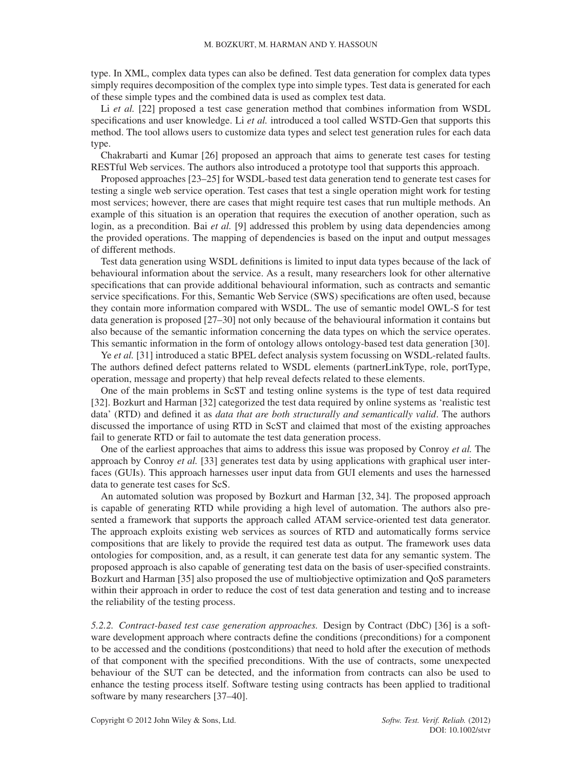type. In XML, complex data types can also be defined. Test data generation for complex data types simply requires decomposition of the complex type into simple types. Test data is generated for each of these simple types and the combined data is used as complex test data.

Li *et al.* [22] proposed a test case generation method that combines information from WSDL specifications and user knowledge. Li *et al.* introduced a tool called WSTD-Gen that supports this method. The tool allows users to customize data types and select test generation rules for each data type.

Chakrabarti and Kumar [26] proposed an approach that aims to generate test cases for testing RESTful Web services. The authors also introduced a prototype tool that supports this approach.

Proposed approaches [23–25] for WSDL-based test data generation tend to generate test cases for testing a single web service operation. Test cases that test a single operation might work for testing most services; however, there are cases that might require test cases that run multiple methods. An example of this situation is an operation that requires the execution of another operation, such as login, as a precondition. Bai *et al.* [9] addressed this problem by using data dependencies among the provided operations. The mapping of dependencies is based on the input and output messages of different methods.

Test data generation using WSDL definitions is limited to input data types because of the lack of behavioural information about the service. As a result, many researchers look for other alternative specifications that can provide additional behavioural information, such as contracts and semantic service specifications. For this, Semantic Web Service (SWS) specifications are often used, because they contain more information compared with WSDL. The use of semantic model OWL-S for test data generation is proposed [27–30] not only because of the behavioural information it contains but also because of the semantic information concerning the data types on which the service operates. This semantic information in the form of ontology allows ontology-based test data generation [30].

Ye *et al.* [31] introduced a static BPEL defect analysis system focussing on WSDL-related faults. The authors defined defect patterns related to WSDL elements (partnerLinkType, role, portType, operation, message and property) that help reveal defects related to these elements.

One of the main problems in ScST and testing online systems is the type of test data required [32]. Bozkurt and Harman [32] categorized the test data required by online systems as 'realistic test data' (RTD) and defined it as *data that are both structurally and semantically valid*. The authors discussed the importance of using RTD in ScST and claimed that most of the existing approaches fail to generate RTD or fail to automate the test data generation process.

One of the earliest approaches that aims to address this issue was proposed by Conroy *et al.* The approach by Conroy *et al.* [33] generates test data by using applications with graphical user interfaces (GUIs). This approach harnesses user input data from GUI elements and uses the harnessed data to generate test cases for ScS.

An automated solution was proposed by Bozkurt and Harman [32, 34]. The proposed approach is capable of generating RTD while providing a high level of automation. The authors also presented a framework that supports the approach called ATAM service-oriented test data generator. The approach exploits existing web services as sources of RTD and automatically forms service compositions that are likely to provide the required test data as output. The framework uses data ontologies for composition, and, as a result, it can generate test data for any semantic system. The proposed approach is also capable of generating test data on the basis of user-specified constraints. Bozkurt and Harman [35] also proposed the use of multiobjective optimization and QoS parameters within their approach in order to reduce the cost of test data generation and testing and to increase the reliability of the testing process.

*5.2.2. Contract-based test case generation approaches.* Design by Contract (DbC) [36] is a software development approach where contracts define the conditions (preconditions) for a component to be accessed and the conditions (postconditions) that need to hold after the execution of methods of that component with the specified preconditions. With the use of contracts, some unexpected behaviour of the SUT can be detected, and the information from contracts can also be used to enhance the testing process itself. Software testing using contracts has been applied to traditional software by many researchers [37–40].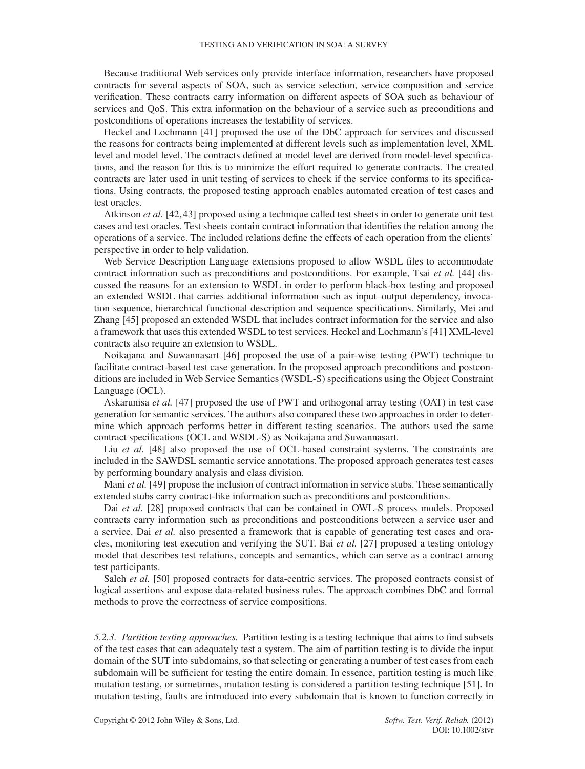Because traditional Web services only provide interface information, researchers have proposed contracts for several aspects of SOA, such as service selection, service composition and service verification. These contracts carry information on different aspects of SOA such as behaviour of services and QoS. This extra information on the behaviour of a service such as preconditions and postconditions of operations increases the testability of services.

Heckel and Lochmann [41] proposed the use of the DbC approach for services and discussed the reasons for contracts being implemented at different levels such as implementation level, XML level and model level. The contracts defined at model level are derived from model-level specifications, and the reason for this is to minimize the effort required to generate contracts. The created contracts are later used in unit testing of services to check if the service conforms to its specifications. Using contracts, the proposed testing approach enables automated creation of test cases and test oracles.

Atkinson *et al.* [42, 43] proposed using a technique called test sheets in order to generate unit test cases and test oracles. Test sheets contain contract information that identifies the relation among the operations of a service. The included relations define the effects of each operation from the clients' perspective in order to help validation.

Web Service Description Language extensions proposed to allow WSDL files to accommodate contract information such as preconditions and postconditions. For example, Tsai *et al.* [44] discussed the reasons for an extension to WSDL in order to perform black-box testing and proposed an extended WSDL that carries additional information such as input–output dependency, invocation sequence, hierarchical functional description and sequence specifications. Similarly, Mei and Zhang [45] proposed an extended WSDL that includes contract information for the service and also a framework that uses this extended WSDL to test services. Heckel and Lochmann's [41] XML-level contracts also require an extension to WSDL.

Noikajana and Suwannasart [46] proposed the use of a pair-wise testing (PWT) technique to facilitate contract-based test case generation. In the proposed approach preconditions and postconditions are included in Web Service Semantics (WSDL-S) specifications using the Object Constraint Language (OCL).

Askarunisa *et al.* [47] proposed the use of PWT and orthogonal array testing (OAT) in test case generation for semantic services. The authors also compared these two approaches in order to determine which approach performs better in different testing scenarios. The authors used the same contract specifications (OCL and WSDL-S) as Noikajana and Suwannasart.

Liu *et al.* [48] also proposed the use of OCL-based constraint systems. The constraints are included in the SAWDSL semantic service annotations. The proposed approach generates test cases by performing boundary analysis and class division.

Mani *et al.* [49] propose the inclusion of contract information in service stubs. These semantically extended stubs carry contract-like information such as preconditions and postconditions.

Dai *et al.* [28] proposed contracts that can be contained in OWL-S process models. Proposed contracts carry information such as preconditions and postconditions between a service user and a service. Dai *et al.* also presented a framework that is capable of generating test cases and oracles, monitoring test execution and verifying the SUT. Bai *et al.* [27] proposed a testing ontology model that describes test relations, concepts and semantics, which can serve as a contract among test participants.

Saleh *et al.* [50] proposed contracts for data-centric services. The proposed contracts consist of logical assertions and expose data-related business rules. The approach combines DbC and formal methods to prove the correctness of service compositions.

*5.2.3. Partition testing approaches.* Partition testing is a testing technique that aims to find subsets of the test cases that can adequately test a system. The aim of partition testing is to divide the input domain of the SUT into subdomains, so that selecting or generating a number of test cases from each subdomain will be sufficient for testing the entire domain. In essence, partition testing is much like mutation testing, or sometimes, mutation testing is considered a partition testing technique [51]. In mutation testing, faults are introduced into every subdomain that is known to function correctly in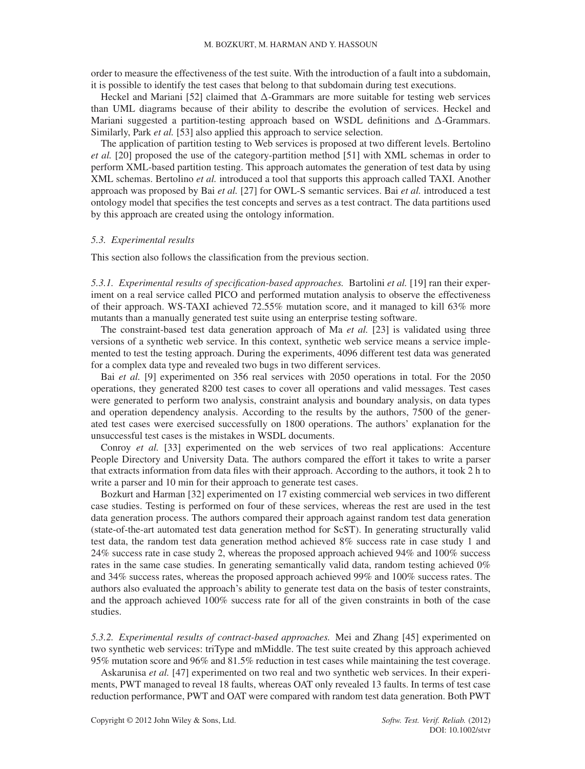order to measure the effectiveness of the test suite. With the introduction of a fault into a subdomain, it is possible to identify the test cases that belong to that subdomain during test executions.

Heckel and Mariani [52] claimed that  $\Delta$ -Grammars are more suitable for testing web services than UML diagrams because of their ability to describe the evolution of services. Heckel and Mariani suggested a partition-testing approach based on WSDL definitions and  $\Delta$ -Grammars. Similarly, Park *et al.* [53] also applied this approach to service selection.

The application of partition testing to Web services is proposed at two different levels. Bertolino *et al.* [20] proposed the use of the category-partition method [51] with XML schemas in order to perform XML-based partition testing. This approach automates the generation of test data by using XML schemas. Bertolino *et al.* introduced a tool that supports this approach called TAXI. Another approach was proposed by Bai *et al.* [27] for OWL-S semantic services. Bai *et al.* introduced a test ontology model that specifies the test concepts and serves as a test contract. The data partitions used by this approach are created using the ontology information.

#### *5.3. Experimental results*

This section also follows the classification from the previous section.

*5.3.1. Experimental results of specification-based approaches.* Bartolini *et al.* [19] ran their experiment on a real service called PICO and performed mutation analysis to observe the effectiveness of their approach. WS-TAXI achieved 72.55% mutation score, and it managed to kill 63% more mutants than a manually generated test suite using an enterprise testing software.

The constraint-based test data generation approach of Ma *et al.* [23] is validated using three versions of a synthetic web service. In this context, synthetic web service means a service implemented to test the testing approach. During the experiments, 4096 different test data was generated for a complex data type and revealed two bugs in two different services.

Bai *et al.* [9] experimented on 356 real services with 2050 operations in total. For the 2050 operations, they generated 8200 test cases to cover all operations and valid messages. Test cases were generated to perform two analysis, constraint analysis and boundary analysis, on data types and operation dependency analysis. According to the results by the authors, 7500 of the generated test cases were exercised successfully on 1800 operations. The authors' explanation for the unsuccessful test cases is the mistakes in WSDL documents.

Conroy *et al.* [33] experimented on the web services of two real applications: Accenture People Directory and University Data. The authors compared the effort it takes to write a parser that extracts information from data files with their approach. According to the authors, it took 2 h to write a parser and 10 min for their approach to generate test cases.

Bozkurt and Harman [32] experimented on 17 existing commercial web services in two different case studies. Testing is performed on four of these services, whereas the rest are used in the test data generation process. The authors compared their approach against random test data generation (state-of-the-art automated test data generation method for ScST). In generating structurally valid test data, the random test data generation method achieved 8% success rate in case study 1 and 24% success rate in case study 2, whereas the proposed approach achieved 94% and 100% success rates in the same case studies. In generating semantically valid data, random testing achieved 0% and 34% success rates, whereas the proposed approach achieved 99% and 100% success rates. The authors also evaluated the approach's ability to generate test data on the basis of tester constraints, and the approach achieved 100% success rate for all of the given constraints in both of the case studies.

*5.3.2. Experimental results of contract-based approaches.* Mei and Zhang [45] experimented on two synthetic web services: triType and mMiddle. The test suite created by this approach achieved 95% mutation score and 96% and 81.5% reduction in test cases while maintaining the test coverage.

Askarunisa *et al.* [47] experimented on two real and two synthetic web services. In their experiments, PWT managed to reveal 18 faults, whereas OAT only revealed 13 faults. In terms of test case reduction performance, PWT and OAT were compared with random test data generation. Both PWT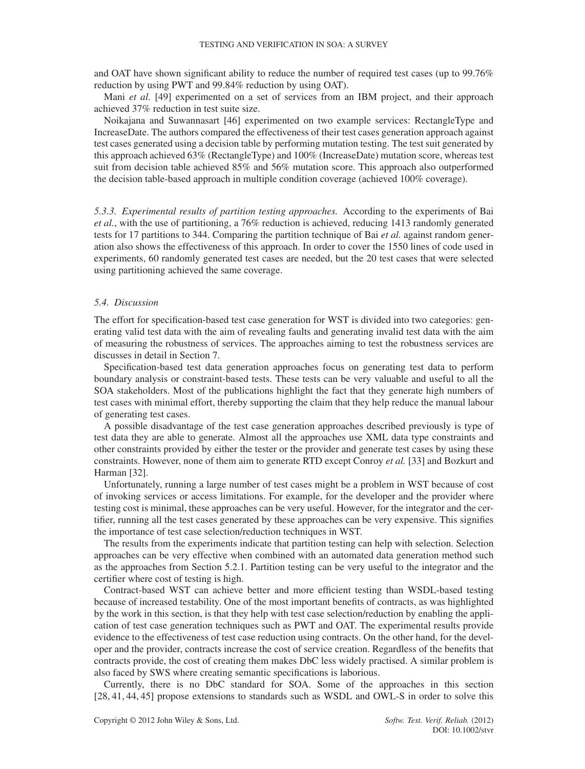and OAT have shown significant ability to reduce the number of required test cases (up to 99.76% reduction by using PWT and 99.84% reduction by using OAT).

Mani *et al.* [49] experimented on a set of services from an IBM project, and their approach achieved 37% reduction in test suite size.

Noikajana and Suwannasart [46] experimented on two example services: RectangleType and IncreaseDate. The authors compared the effectiveness of their test cases generation approach against test cases generated using a decision table by performing mutation testing. The test suit generated by this approach achieved 63% (RectangleType) and 100% (IncreaseDate) mutation score, whereas test suit from decision table achieved 85% and 56% mutation score. This approach also outperformed the decision table-based approach in multiple condition coverage (achieved 100% coverage).

*5.3.3. Experimental results of partition testing approaches.* According to the experiments of Bai *et al.*, with the use of partitioning, a 76% reduction is achieved, reducing 1413 randomly generated tests for 17 partitions to 344. Comparing the partition technique of Bai *et al.* against random generation also shows the effectiveness of this approach. In order to cover the 1550 lines of code used in experiments, 60 randomly generated test cases are needed, but the 20 test cases that were selected using partitioning achieved the same coverage.

## *5.4. Discussion*

The effort for specification-based test case generation for WST is divided into two categories: generating valid test data with the aim of revealing faults and generating invalid test data with the aim of measuring the robustness of services. The approaches aiming to test the robustness services are discusses in detail in Section 7.

Specification-based test data generation approaches focus on generating test data to perform boundary analysis or constraint-based tests. These tests can be very valuable and useful to all the SOA stakeholders. Most of the publications highlight the fact that they generate high numbers of test cases with minimal effort, thereby supporting the claim that they help reduce the manual labour of generating test cases.

A possible disadvantage of the test case generation approaches described previously is type of test data they are able to generate. Almost all the approaches use XML data type constraints and other constraints provided by either the tester or the provider and generate test cases by using these constraints. However, none of them aim to generate RTD except Conroy *et al.* [33] and Bozkurt and Harman [32].

Unfortunately, running a large number of test cases might be a problem in WST because of cost of invoking services or access limitations. For example, for the developer and the provider where testing cost is minimal, these approaches can be very useful. However, for the integrator and the certifier, running all the test cases generated by these approaches can be very expensive. This signifies the importance of test case selection/reduction techniques in WST.

The results from the experiments indicate that partition testing can help with selection. Selection approaches can be very effective when combined with an automated data generation method such as the approaches from Section 5.2.1. Partition testing can be very useful to the integrator and the certifier where cost of testing is high.

Contract-based WST can achieve better and more efficient testing than WSDL-based testing because of increased testability. One of the most important benefits of contracts, as was highlighted by the work in this section, is that they help with test case selection/reduction by enabling the application of test case generation techniques such as PWT and OAT. The experimental results provide evidence to the effectiveness of test case reduction using contracts. On the other hand, for the developer and the provider, contracts increase the cost of service creation. Regardless of the benefits that contracts provide, the cost of creating them makes DbC less widely practised. A similar problem is also faced by SWS where creating semantic specifications is laborious.

Currently, there is no DbC standard for SOA. Some of the approaches in this section [28, 41, 44, 45] propose extensions to standards such as WSDL and OWL-S in order to solve this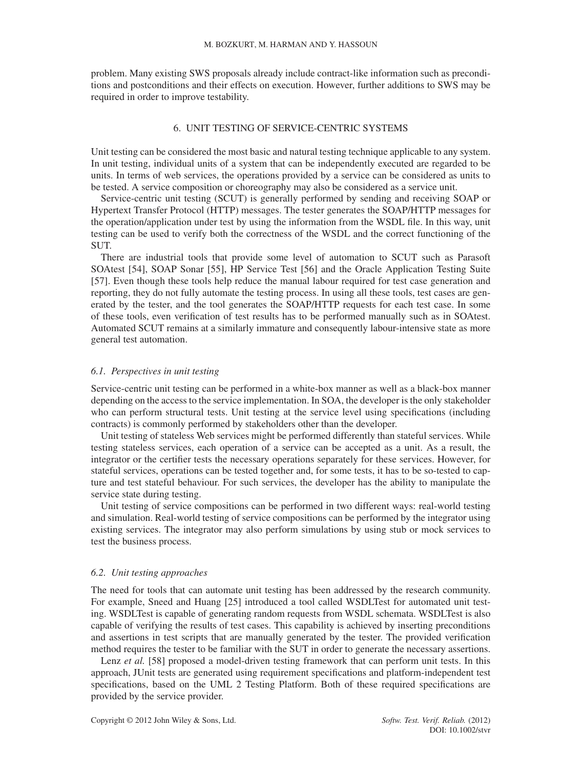problem. Many existing SWS proposals already include contract-like information such as preconditions and postconditions and their effects on execution. However, further additions to SWS may be required in order to improve testability.

## 6. UNIT TESTING OF SERVICE-CENTRIC SYSTEMS

Unit testing can be considered the most basic and natural testing technique applicable to any system. In unit testing, individual units of a system that can be independently executed are regarded to be units. In terms of web services, the operations provided by a service can be considered as units to be tested. A service composition or choreography may also be considered as a service unit.

Service-centric unit testing (SCUT) is generally performed by sending and receiving SOAP or Hypertext Transfer Protocol (HTTP) messages. The tester generates the SOAP/HTTP messages for the operation/application under test by using the information from the WSDL file. In this way, unit testing can be used to verify both the correctness of the WSDL and the correct functioning of the SUT.

There are industrial tools that provide some level of automation to SCUT such as Parasoft SOAtest [54], SOAP Sonar [55], HP Service Test [56] and the Oracle Application Testing Suite [57]. Even though these tools help reduce the manual labour required for test case generation and reporting, they do not fully automate the testing process. In using all these tools, test cases are generated by the tester, and the tool generates the SOAP/HTTP requests for each test case. In some of these tools, even verification of test results has to be performed manually such as in SOAtest. Automated SCUT remains at a similarly immature and consequently labour-intensive state as more general test automation.

#### *6.1. Perspectives in unit testing*

Service-centric unit testing can be performed in a white-box manner as well as a black-box manner depending on the access to the service implementation. In SOA, the developer is the only stakeholder who can perform structural tests. Unit testing at the service level using specifications (including contracts) is commonly performed by stakeholders other than the developer.

Unit testing of stateless Web services might be performed differently than stateful services. While testing stateless services, each operation of a service can be accepted as a unit. As a result, the integrator or the certifier tests the necessary operations separately for these services. However, for stateful services, operations can be tested together and, for some tests, it has to be so-tested to capture and test stateful behaviour. For such services, the developer has the ability to manipulate the service state during testing.

Unit testing of service compositions can be performed in two different ways: real-world testing and simulation. Real-world testing of service compositions can be performed by the integrator using existing services. The integrator may also perform simulations by using stub or mock services to test the business process.

#### *6.2. Unit testing approaches*

The need for tools that can automate unit testing has been addressed by the research community. For example, Sneed and Huang [25] introduced a tool called WSDLTest for automated unit testing. WSDLTest is capable of generating random requests from WSDL schemata. WSDLTest is also capable of verifying the results of test cases. This capability is achieved by inserting preconditions and assertions in test scripts that are manually generated by the tester. The provided verification method requires the tester to be familiar with the SUT in order to generate the necessary assertions.

Lenz *et al.* [58] proposed a model-driven testing framework that can perform unit tests. In this approach, JUnit tests are generated using requirement specifications and platform-independent test specifications, based on the UML 2 Testing Platform. Both of these required specifications are provided by the service provider.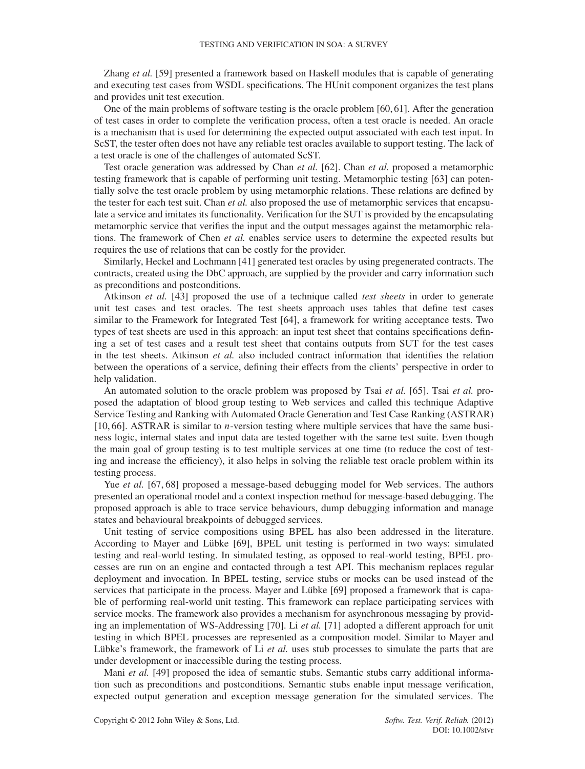Zhang *et al.* [59] presented a framework based on Haskell modules that is capable of generating and executing test cases from WSDL specifications. The HUnit component organizes the test plans and provides unit test execution.

One of the main problems of software testing is the oracle problem [60, 61]. After the generation of test cases in order to complete the verification process, often a test oracle is needed. An oracle is a mechanism that is used for determining the expected output associated with each test input. In ScST, the tester often does not have any reliable test oracles available to support testing. The lack of a test oracle is one of the challenges of automated ScST.

Test oracle generation was addressed by Chan *et al.* [62]. Chan *et al.* proposed a metamorphic testing framework that is capable of performing unit testing. Metamorphic testing [63] can potentially solve the test oracle problem by using metamorphic relations. These relations are defined by the tester for each test suit. Chan *et al.* also proposed the use of metamorphic services that encapsulate a service and imitates its functionality. Verification for the SUT is provided by the encapsulating metamorphic service that verifies the input and the output messages against the metamorphic relations. The framework of Chen *et al.* enables service users to determine the expected results but requires the use of relations that can be costly for the provider.

Similarly, Heckel and Lochmann [41] generated test oracles by using pregenerated contracts. The contracts, created using the DbC approach, are supplied by the provider and carry information such as preconditions and postconditions.

Atkinson *et al.* [43] proposed the use of a technique called *test sheets* in order to generate unit test cases and test oracles. The test sheets approach uses tables that define test cases similar to the Framework for Integrated Test [64], a framework for writing acceptance tests. Two types of test sheets are used in this approach: an input test sheet that contains specifications defining a set of test cases and a result test sheet that contains outputs from SUT for the test cases in the test sheets. Atkinson *et al.* also included contract information that identifies the relation between the operations of a service, defining their effects from the clients' perspective in order to help validation.

An automated solution to the oracle problem was proposed by Tsai *et al.* [65]. Tsai *et al.* proposed the adaptation of blood group testing to Web services and called this technique Adaptive Service Testing and Ranking with Automated Oracle Generation and Test Case Ranking (ASTRAR) [10, 66]. ASTRAR is similar to n-version testing where multiple services that have the same business logic, internal states and input data are tested together with the same test suite. Even though the main goal of group testing is to test multiple services at one time (to reduce the cost of testing and increase the efficiency), it also helps in solving the reliable test oracle problem within its testing process.

Yue *et al.* [67, 68] proposed a message-based debugging model for Web services. The authors presented an operational model and a context inspection method for message-based debugging. The proposed approach is able to trace service behaviours, dump debugging information and manage states and behavioural breakpoints of debugged services.

Unit testing of service compositions using BPEL has also been addressed in the literature. According to Mayer and Lübke [69], BPEL unit testing is performed in two ways: simulated testing and real-world testing. In simulated testing, as opposed to real-world testing, BPEL processes are run on an engine and contacted through a test API. This mechanism replaces regular deployment and invocation. In BPEL testing, service stubs or mocks can be used instead of the services that participate in the process. Mayer and Lübke [69] proposed a framework that is capable of performing real-world unit testing. This framework can replace participating services with service mocks. The framework also provides a mechanism for asynchronous messaging by providing an implementation of WS-Addressing [70]. Li *et al.* [71] adopted a different approach for unit testing in which BPEL processes are represented as a composition model. Similar to Mayer and Lübke's framework, the framework of Li *et al.* uses stub processes to simulate the parts that are under development or inaccessible during the testing process.

Mani *et al.* [49] proposed the idea of semantic stubs. Semantic stubs carry additional information such as preconditions and postconditions. Semantic stubs enable input message verification, expected output generation and exception message generation for the simulated services. The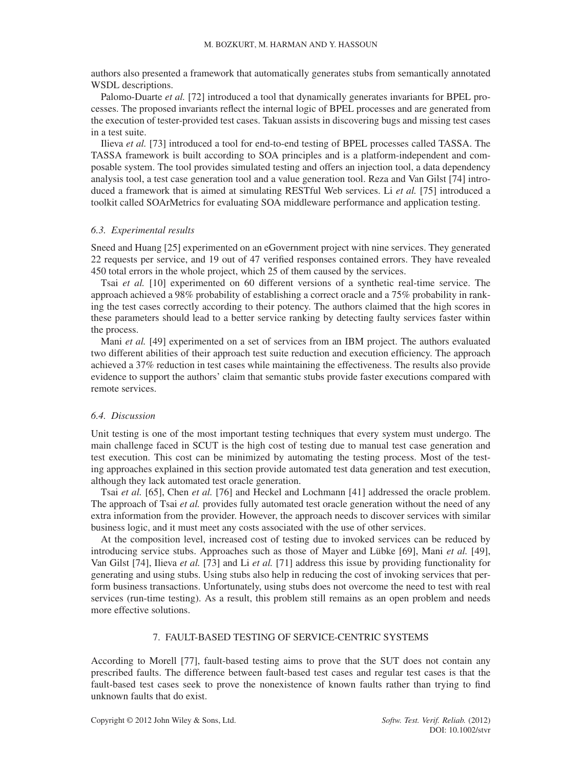authors also presented a framework that automatically generates stubs from semantically annotated WSDL descriptions.

Palomo-Duarte *et al.* [72] introduced a tool that dynamically generates invariants for BPEL processes. The proposed invariants reflect the internal logic of BPEL processes and are generated from the execution of tester-provided test cases. Takuan assists in discovering bugs and missing test cases in a test suite.

Ilieva *et al.* [73] introduced a tool for end-to-end testing of BPEL processes called TASSA. The TASSA framework is built according to SOA principles and is a platform-independent and composable system. The tool provides simulated testing and offers an injection tool, a data dependency analysis tool, a test case generation tool and a value generation tool. Reza and Van Gilst [74] introduced a framework that is aimed at simulating RESTful Web services. Li *et al.* [75] introduced a toolkit called SOArMetrics for evaluating SOA middleware performance and application testing.

## *6.3. Experimental results*

Sneed and Huang [25] experimented on an eGovernment project with nine services. They generated 22 requests per service, and 19 out of 47 verified responses contained errors. They have revealed 450 total errors in the whole project, which 25 of them caused by the services.

Tsai *et al.* [10] experimented on 60 different versions of a synthetic real-time service. The approach achieved a 98% probability of establishing a correct oracle and a 75% probability in ranking the test cases correctly according to their potency. The authors claimed that the high scores in these parameters should lead to a better service ranking by detecting faulty services faster within the process.

Mani *et al.* [49] experimented on a set of services from an IBM project. The authors evaluated two different abilities of their approach test suite reduction and execution efficiency. The approach achieved a 37% reduction in test cases while maintaining the effectiveness. The results also provide evidence to support the authors' claim that semantic stubs provide faster executions compared with remote services.

# *6.4. Discussion*

Unit testing is one of the most important testing techniques that every system must undergo. The main challenge faced in SCUT is the high cost of testing due to manual test case generation and test execution. This cost can be minimized by automating the testing process. Most of the testing approaches explained in this section provide automated test data generation and test execution, although they lack automated test oracle generation.

Tsai *et al.* [65], Chen *et al.* [76] and Heckel and Lochmann [41] addressed the oracle problem. The approach of Tsai *et al.* provides fully automated test oracle generation without the need of any extra information from the provider. However, the approach needs to discover services with similar business logic, and it must meet any costs associated with the use of other services.

At the composition level, increased cost of testing due to invoked services can be reduced by introducing service stubs. Approaches such as those of Mayer and Lübke [69], Mani *et al.* [49], Van Gilst [74], Ilieva *et al.* [73] and Li *et al.* [71] address this issue by providing functionality for generating and using stubs. Using stubs also help in reducing the cost of invoking services that perform business transactions. Unfortunately, using stubs does not overcome the need to test with real services (run-time testing). As a result, this problem still remains as an open problem and needs more effective solutions.

# 7. FAULT-BASED TESTING OF SERVICE-CENTRIC SYSTEMS

According to Morell [77], fault-based testing aims to prove that the SUT does not contain any prescribed faults. The difference between fault-based test cases and regular test cases is that the fault-based test cases seek to prove the nonexistence of known faults rather than trying to find unknown faults that do exist.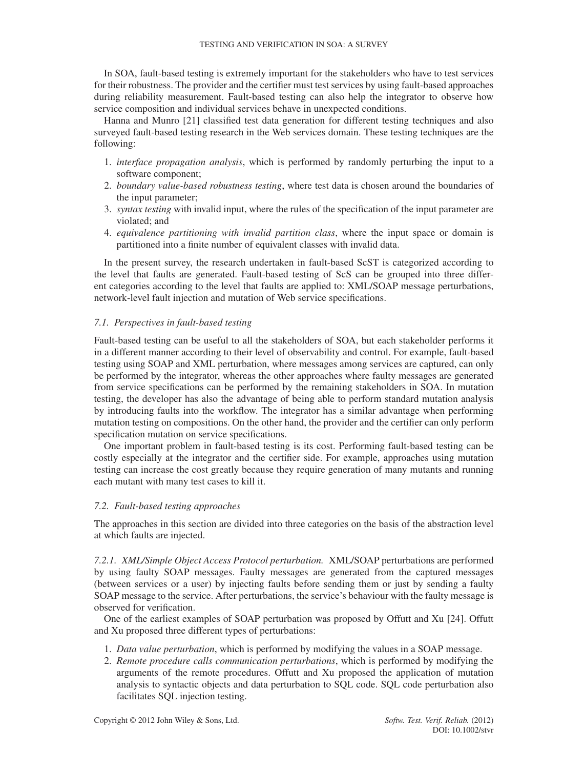In SOA, fault-based testing is extremely important for the stakeholders who have to test services for their robustness. The provider and the certifier must test services by using fault-based approaches during reliability measurement. Fault-based testing can also help the integrator to observe how service composition and individual services behave in unexpected conditions.

Hanna and Munro [21] classified test data generation for different testing techniques and also surveyed fault-based testing research in the Web services domain. These testing techniques are the following:

- 1. *interface propagation analysis*, which is performed by randomly perturbing the input to a software component;
- 2. *boundary value-based robustness testing*, where test data is chosen around the boundaries of the input parameter;
- 3. *syntax testing* with invalid input, where the rules of the specification of the input parameter are violated; and
- 4. *equivalence partitioning with invalid partition class*, where the input space or domain is partitioned into a finite number of equivalent classes with invalid data.

In the present survey, the research undertaken in fault-based ScST is categorized according to the level that faults are generated. Fault-based testing of ScS can be grouped into three different categories according to the level that faults are applied to: XML/SOAP message perturbations, network-level fault injection and mutation of Web service specifications.

# *7.1. Perspectives in fault-based testing*

Fault-based testing can be useful to all the stakeholders of SOA, but each stakeholder performs it in a different manner according to their level of observability and control. For example, fault-based testing using SOAP and XML perturbation, where messages among services are captured, can only be performed by the integrator, whereas the other approaches where faulty messages are generated from service specifications can be performed by the remaining stakeholders in SOA. In mutation testing, the developer has also the advantage of being able to perform standard mutation analysis by introducing faults into the workflow. The integrator has a similar advantage when performing mutation testing on compositions. On the other hand, the provider and the certifier can only perform specification mutation on service specifications.

One important problem in fault-based testing is its cost. Performing fault-based testing can be costly especially at the integrator and the certifier side. For example, approaches using mutation testing can increase the cost greatly because they require generation of many mutants and running each mutant with many test cases to kill it.

# *7.2. Fault-based testing approaches*

The approaches in this section are divided into three categories on the basis of the abstraction level at which faults are injected.

*7.2.1. XML/Simple Object Access Protocol perturbation.* XML/SOAP perturbations are performed by using faulty SOAP messages. Faulty messages are generated from the captured messages (between services or a user) by injecting faults before sending them or just by sending a faulty SOAP message to the service. After perturbations, the service's behaviour with the faulty message is observed for verification.

One of the earliest examples of SOAP perturbation was proposed by Offutt and Xu [24]. Offutt and Xu proposed three different types of perturbations:

- 1. *Data value perturbation*, which is performed by modifying the values in a SOAP message.
- 2. *Remote procedure calls communication perturbations*, which is performed by modifying the arguments of the remote procedures. Offutt and Xu proposed the application of mutation analysis to syntactic objects and data perturbation to SQL code. SQL code perturbation also facilitates SQL injection testing.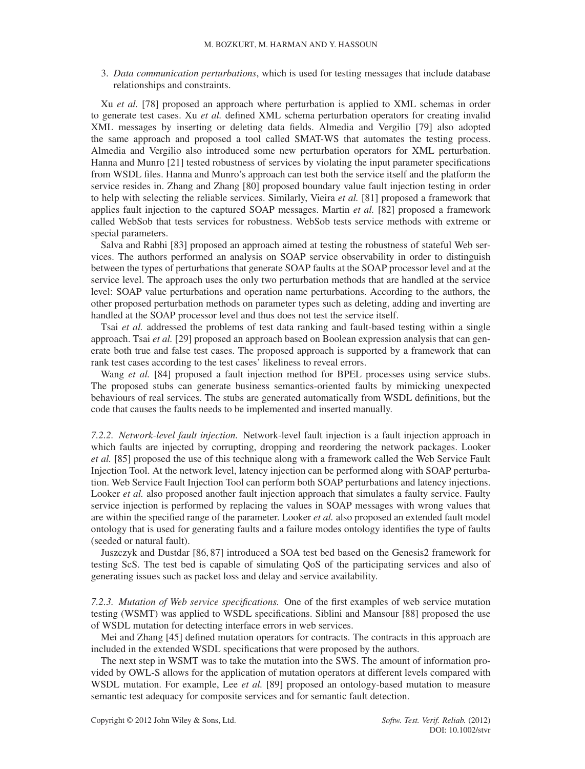3. *Data communication perturbations*, which is used for testing messages that include database relationships and constraints.

Xu *et al.* [78] proposed an approach where perturbation is applied to XML schemas in order to generate test cases. Xu *et al.* defined XML schema perturbation operators for creating invalid XML messages by inserting or deleting data fields. Almedia and Vergilio [79] also adopted the same approach and proposed a tool called SMAT-WS that automates the testing process. Almedia and Vergilio also introduced some new perturbation operators for XML perturbation. Hanna and Munro [21] tested robustness of services by violating the input parameter specifications from WSDL files. Hanna and Munro's approach can test both the service itself and the platform the service resides in. Zhang and Zhang [80] proposed boundary value fault injection testing in order to help with selecting the reliable services. Similarly, Vieira *et al.* [81] proposed a framework that applies fault injection to the captured SOAP messages. Martin *et al.* [82] proposed a framework called WebSob that tests services for robustness. WebSob tests service methods with extreme or special parameters.

Salva and Rabhi [83] proposed an approach aimed at testing the robustness of stateful Web services. The authors performed an analysis on SOAP service observability in order to distinguish between the types of perturbations that generate SOAP faults at the SOAP processor level and at the service level. The approach uses the only two perturbation methods that are handled at the service level: SOAP value perturbations and operation name perturbations. According to the authors, the other proposed perturbation methods on parameter types such as deleting, adding and inverting are handled at the SOAP processor level and thus does not test the service itself.

Tsai *et al.* addressed the problems of test data ranking and fault-based testing within a single approach. Tsai *et al.* [29] proposed an approach based on Boolean expression analysis that can generate both true and false test cases. The proposed approach is supported by a framework that can rank test cases according to the test cases' likeliness to reveal errors.

Wang *et al.* [84] proposed a fault injection method for BPEL processes using service stubs. The proposed stubs can generate business semantics-oriented faults by mimicking unexpected behaviours of real services. The stubs are generated automatically from WSDL definitions, but the code that causes the faults needs to be implemented and inserted manually.

*7.2.2. Network-level fault injection.* Network-level fault injection is a fault injection approach in which faults are injected by corrupting, dropping and reordering the network packages. Looker *et al.* [85] proposed the use of this technique along with a framework called the Web Service Fault Injection Tool. At the network level, latency injection can be performed along with SOAP perturbation. Web Service Fault Injection Tool can perform both SOAP perturbations and latency injections. Looker *et al.* also proposed another fault injection approach that simulates a faulty service. Faulty service injection is performed by replacing the values in SOAP messages with wrong values that are within the specified range of the parameter. Looker *et al.* also proposed an extended fault model ontology that is used for generating faults and a failure modes ontology identifies the type of faults (seeded or natural fault).

Juszczyk and Dustdar [86, 87] introduced a SOA test bed based on the Genesis2 framework for testing ScS. The test bed is capable of simulating QoS of the participating services and also of generating issues such as packet loss and delay and service availability.

*7.2.3. Mutation of Web service specifications.* One of the first examples of web service mutation testing (WSMT) was applied to WSDL specifications. Siblini and Mansour [88] proposed the use of WSDL mutation for detecting interface errors in web services.

Mei and Zhang [45] defined mutation operators for contracts. The contracts in this approach are included in the extended WSDL specifications that were proposed by the authors.

The next step in WSMT was to take the mutation into the SWS. The amount of information provided by OWL-S allows for the application of mutation operators at different levels compared with WSDL mutation. For example, Lee *et al.* [89] proposed an ontology-based mutation to measure semantic test adequacy for composite services and for semantic fault detection.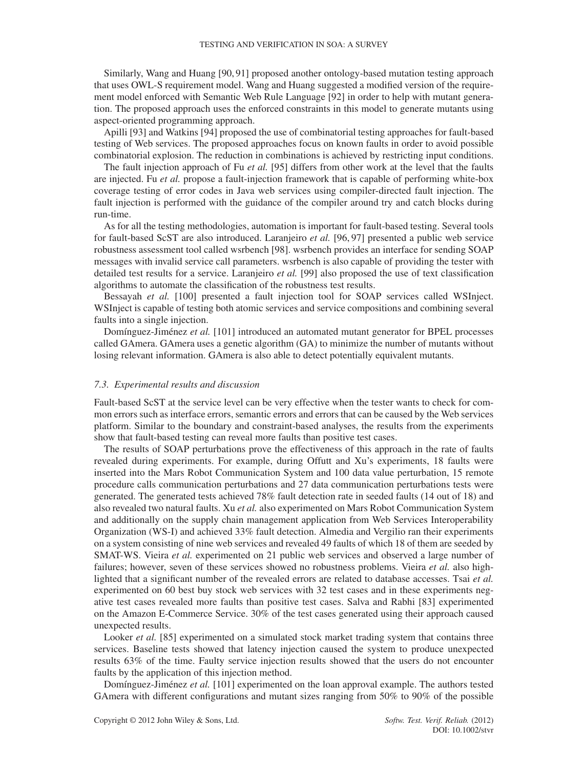Similarly, Wang and Huang [90, 91] proposed another ontology-based mutation testing approach that uses OWL-S requirement model. Wang and Huang suggested a modified version of the requirement model enforced with Semantic Web Rule Language [92] in order to help with mutant generation. The proposed approach uses the enforced constraints in this model to generate mutants using aspect-oriented programming approach.

Apilli [93] and Watkins [94] proposed the use of combinatorial testing approaches for fault-based testing of Web services. The proposed approaches focus on known faults in order to avoid possible combinatorial explosion. The reduction in combinations is achieved by restricting input conditions.

The fault injection approach of Fu *et al.* [95] differs from other work at the level that the faults are injected. Fu *et al.* propose a fault-injection framework that is capable of performing white-box coverage testing of error codes in Java web services using compiler-directed fault injection. The fault injection is performed with the guidance of the compiler around try and catch blocks during run-time.

As for all the testing methodologies, automation is important for fault-based testing. Several tools for fault-based ScST are also introduced. Laranjeiro *et al.* [96, 97] presented a public web service robustness assessment tool called wsrbench [98]. wsrbench provides an interface for sending SOAP messages with invalid service call parameters. wsrbench is also capable of providing the tester with detailed test results for a service. Laranjeiro *et al.* [99] also proposed the use of text classification algorithms to automate the classification of the robustness test results.

Bessayah *et al.* [100] presented a fault injection tool for SOAP services called WSInject. WSInject is capable of testing both atomic services and service compositions and combining several faults into a single injection.

Domínguez-Jiménez *et al.* [101] introduced an automated mutant generator for BPEL processes called GAmera. GAmera uses a genetic algorithm (GA) to minimize the number of mutants without losing relevant information. GAmera is also able to detect potentially equivalent mutants.

#### *7.3. Experimental results and discussion*

Fault-based ScST at the service level can be very effective when the tester wants to check for common errors such as interface errors, semantic errors and errors that can be caused by the Web services platform. Similar to the boundary and constraint-based analyses, the results from the experiments show that fault-based testing can reveal more faults than positive test cases.

The results of SOAP perturbations prove the effectiveness of this approach in the rate of faults revealed during experiments. For example, during Offutt and Xu's experiments, 18 faults were inserted into the Mars Robot Communication System and 100 data value perturbation, 15 remote procedure calls communication perturbations and 27 data communication perturbations tests were generated. The generated tests achieved 78% fault detection rate in seeded faults (14 out of 18) and also revealed two natural faults. Xu *et al.* also experimented on Mars Robot Communication System and additionally on the supply chain management application from Web Services Interoperability Organization (WS-I) and achieved 33% fault detection. Almedia and Vergilio ran their experiments on a system consisting of nine web services and revealed 49 faults of which 18 of them are seeded by SMAT-WS. Vieira *et al.* experimented on 21 public web services and observed a large number of failures; however, seven of these services showed no robustness problems. Vieira *et al.* also highlighted that a significant number of the revealed errors are related to database accesses. Tsai *et al.* experimented on 60 best buy stock web services with 32 test cases and in these experiments negative test cases revealed more faults than positive test cases. Salva and Rabhi [83] experimented on the Amazon E-Commerce Service. 30% of the test cases generated using their approach caused unexpected results.

Looker *et al.* [85] experimented on a simulated stock market trading system that contains three services. Baseline tests showed that latency injection caused the system to produce unexpected results 63% of the time. Faulty service injection results showed that the users do not encounter faults by the application of this injection method.

Domínguez-Jiménez *et al.* [101] experimented on the loan approval example. The authors tested GAmera with different configurations and mutant sizes ranging from 50% to 90% of the possible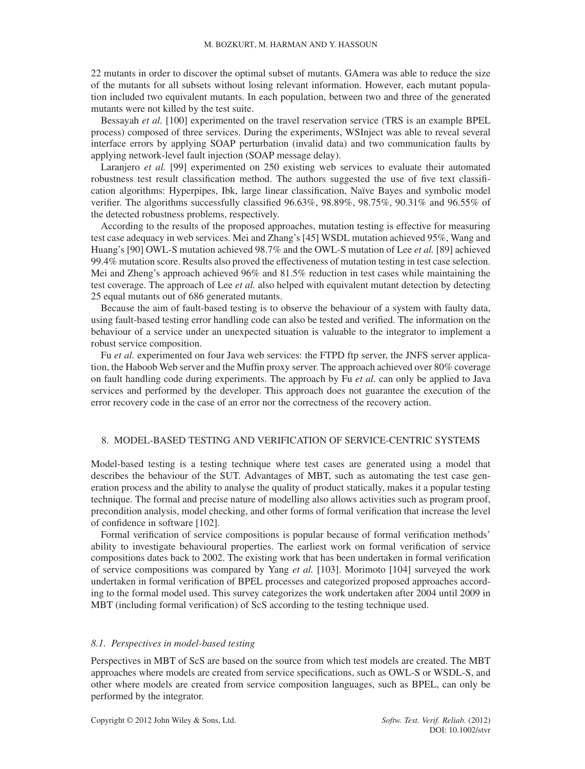22 mutants in order to discover the optimal subset of mutants. GAmera was able to reduce the size of the mutants for all subsets without losing relevant information. However, each mutant population included two equivalent mutants. In each population, between two and three of the generated mutants were not killed by the test suite.

Bessayah *et al.* [100] experimented on the travel reservation service (TRS is an example BPEL process) composed of three services. During the experiments, WSInject was able to reveal several interface errors by applying SOAP perturbation (invalid data) and two communication faults by applying network-level fault injection (SOAP message delay).

Laranjero *et al.* [99] experimented on 250 existing web services to evaluate their automated robustness test result classification method. The authors suggested the use of five text classification algorithms: Hyperpipes, Ibk, large linear classification, Naïve Bayes and symbolic model verifier. The algorithms successfully classified 96.63%, 98.89%, 98.75%, 90.31% and 96.55% of the detected robustness problems, respectively.

According to the results of the proposed approaches, mutation testing is effective for measuring test case adequacy in web services. Mei and Zhang's [45] WSDL mutation achieved 95%, Wang and Huang's [90] OWL-S mutation achieved 98.7% and the OWL-S mutation of Lee *et al.* [89] achieved 99.4% mutation score. Results also proved the effectiveness of mutation testing in test case selection. Mei and Zheng's approach achieved 96% and 81.5% reduction in test cases while maintaining the test coverage. The approach of Lee *et al.* also helped with equivalent mutant detection by detecting 25 equal mutants out of 686 generated mutants.

Because the aim of fault-based testing is to observe the behaviour of a system with faulty data, using fault-based testing error handling code can also be tested and verified. The information on the behaviour of a service under an unexpected situation is valuable to the integrator to implement a robust service composition.

Fu *et al.* experimented on four Java web services: the FTPD ftp server, the JNFS server application, the Haboob Web server and the Muffin proxy server. The approach achieved over 80% coverage on fault handling code during experiments. The approach by Fu *et al.* can only be applied to Java services and performed by the developer. This approach does not guarantee the execution of the error recovery code in the case of an error nor the correctness of the recovery action.

# 8. MODEL-BASED TESTING AND VERIFICATION OF SERVICE-CENTRIC SYSTEMS

Model-based testing is a testing technique where test cases are generated using a model that describes the behaviour of the SUT. Advantages of MBT, such as automating the test case generation process and the ability to analyse the quality of product statically, makes it a popular testing technique. The formal and precise nature of modelling also allows activities such as program proof, precondition analysis, model checking, and other forms of formal verification that increase the level of confidence in software [102].

Formal verification of service compositions is popular because of formal verification methods' ability to investigate behavioural properties. The earliest work on formal verification of service compositions dates back to 2002. The existing work that has been undertaken in formal verification of service compositions was compared by Yang *et al.* [103]. Morimoto [104] surveyed the work undertaken in formal verification of BPEL processes and categorized proposed approaches according to the formal model used. This survey categorizes the work undertaken after 2004 until 2009 in MBT (including formal verification) of ScS according to the testing technique used.

#### *8.1. Perspectives in model-based testing*

Perspectives in MBT of ScS are based on the source from which test models are created. The MBT approaches where models are created from service specifications, such as OWL-S or WSDL-S, and other where models are created from service composition languages, such as BPEL, can only be performed by the integrator.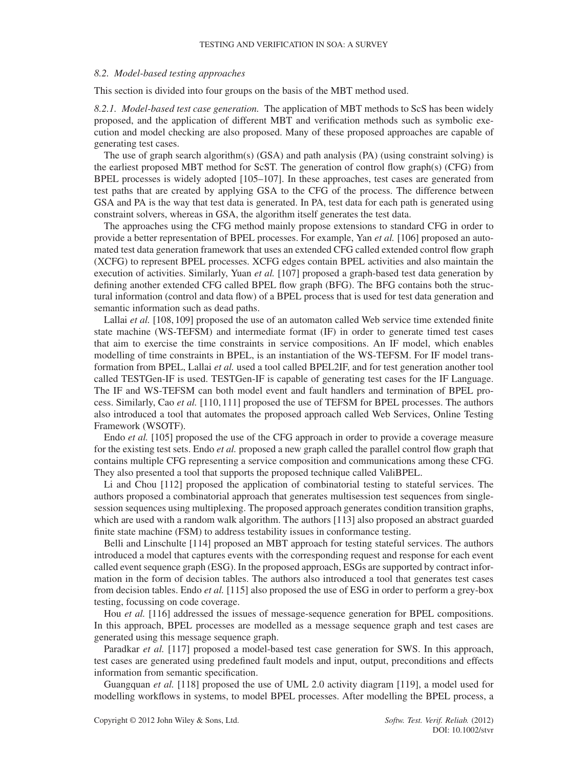#### *8.2. Model-based testing approaches*

This section is divided into four groups on the basis of the MBT method used.

*8.2.1. Model-based test case generation.* The application of MBT methods to ScS has been widely proposed, and the application of different MBT and verification methods such as symbolic execution and model checking are also proposed. Many of these proposed approaches are capable of generating test cases.

The use of graph search algorithm(s) (GSA) and path analysis (PA) (using constraint solving) is the earliest proposed MBT method for ScST. The generation of control flow graph(s) (CFG) from BPEL processes is widely adopted [105–107]. In these approaches, test cases are generated from test paths that are created by applying GSA to the CFG of the process. The difference between GSA and PA is the way that test data is generated. In PA, test data for each path is generated using constraint solvers, whereas in GSA, the algorithm itself generates the test data.

The approaches using the CFG method mainly propose extensions to standard CFG in order to provide a better representation of BPEL processes. For example, Yan *et al.* [106] proposed an automated test data generation framework that uses an extended CFG called extended control flow graph (XCFG) to represent BPEL processes. XCFG edges contain BPEL activities and also maintain the execution of activities. Similarly, Yuan *et al.* [107] proposed a graph-based test data generation by defining another extended CFG called BPEL flow graph (BFG). The BFG contains both the structural information (control and data flow) of a BPEL process that is used for test data generation and semantic information such as dead paths.

Lallai *et al.* [108, 109] proposed the use of an automaton called Web service time extended finite state machine (WS-TEFSM) and intermediate format (IF) in order to generate timed test cases that aim to exercise the time constraints in service compositions. An IF model, which enables modelling of time constraints in BPEL, is an instantiation of the WS-TEFSM. For IF model transformation from BPEL, Lallai *et al.* used a tool called BPEL2IF, and for test generation another tool called TESTGen-IF is used. TESTGen-IF is capable of generating test cases for the IF Language. The IF and WS-TEFSM can both model event and fault handlers and termination of BPEL process. Similarly, Cao *et al.* [110, 111] proposed the use of TEFSM for BPEL processes. The authors also introduced a tool that automates the proposed approach called Web Services, Online Testing Framework (WSOTF).

Endo *et al.* [105] proposed the use of the CFG approach in order to provide a coverage measure for the existing test sets. Endo *et al.* proposed a new graph called the parallel control flow graph that contains multiple CFG representing a service composition and communications among these CFG. They also presented a tool that supports the proposed technique called ValiBPEL.

Li and Chou [112] proposed the application of combinatorial testing to stateful services. The authors proposed a combinatorial approach that generates multisession test sequences from singlesession sequences using multiplexing. The proposed approach generates condition transition graphs, which are used with a random walk algorithm. The authors [113] also proposed an abstract guarded finite state machine (FSM) to address testability issues in conformance testing.

Belli and Linschulte [114] proposed an MBT approach for testing stateful services. The authors introduced a model that captures events with the corresponding request and response for each event called event sequence graph (ESG). In the proposed approach, ESGs are supported by contract information in the form of decision tables. The authors also introduced a tool that generates test cases from decision tables. Endo *et al.* [115] also proposed the use of ESG in order to perform a grey-box testing, focussing on code coverage.

Hou *et al.* [116] addressed the issues of message-sequence generation for BPEL compositions. In this approach, BPEL processes are modelled as a message sequence graph and test cases are generated using this message sequence graph.

Paradkar *et al.* [117] proposed a model-based test case generation for SWS. In this approach, test cases are generated using predefined fault models and input, output, preconditions and effects information from semantic specification.

Guangquan *et al.* [118] proposed the use of UML 2.0 activity diagram [119], a model used for modelling workflows in systems, to model BPEL processes. After modelling the BPEL process, a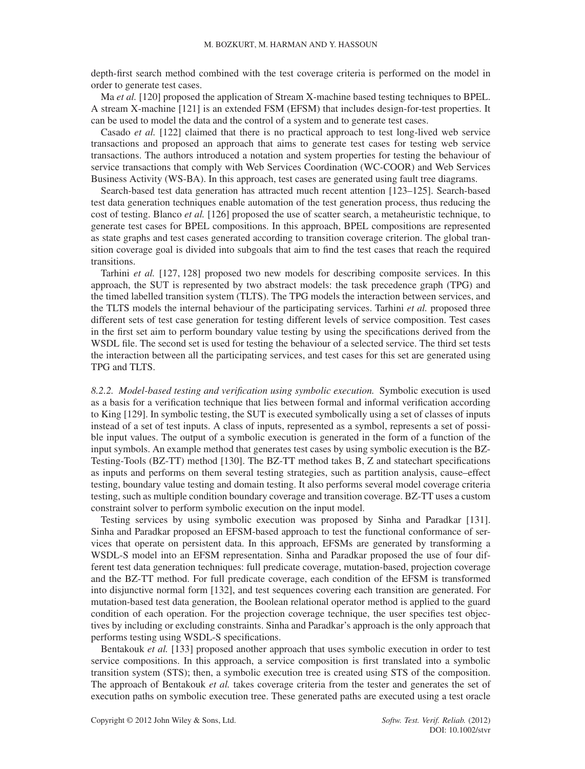depth-first search method combined with the test coverage criteria is performed on the model in order to generate test cases.

Ma *et al.* [120] proposed the application of Stream X-machine based testing techniques to BPEL. A stream X-machine [121] is an extended FSM (EFSM) that includes design-for-test properties. It can be used to model the data and the control of a system and to generate test cases.

Casado *et al.* [122] claimed that there is no practical approach to test long-lived web service transactions and proposed an approach that aims to generate test cases for testing web service transactions. The authors introduced a notation and system properties for testing the behaviour of service transactions that comply with Web Services Coordination (WC-COOR) and Web Services Business Activity (WS-BA). In this approach, test cases are generated using fault tree diagrams.

Search-based test data generation has attracted much recent attention [123–125]. Search-based test data generation techniques enable automation of the test generation process, thus reducing the cost of testing. Blanco *et al.* [126] proposed the use of scatter search, a metaheuristic technique, to generate test cases for BPEL compositions. In this approach, BPEL compositions are represented as state graphs and test cases generated according to transition coverage criterion. The global transition coverage goal is divided into subgoals that aim to find the test cases that reach the required transitions.

Tarhini *et al.* [127, 128] proposed two new models for describing composite services. In this approach, the SUT is represented by two abstract models: the task precedence graph (TPG) and the timed labelled transition system (TLTS). The TPG models the interaction between services, and the TLTS models the internal behaviour of the participating services. Tarhini *et al.* proposed three different sets of test case generation for testing different levels of service composition. Test cases in the first set aim to perform boundary value testing by using the specifications derived from the WSDL file. The second set is used for testing the behaviour of a selected service. The third set tests the interaction between all the participating services, and test cases for this set are generated using TPG and TLTS.

*8.2.2. Model-based testing and verification using symbolic execution.* Symbolic execution is used as a basis for a verification technique that lies between formal and informal verification according to King [129]. In symbolic testing, the SUT is executed symbolically using a set of classes of inputs instead of a set of test inputs. A class of inputs, represented as a symbol, represents a set of possible input values. The output of a symbolic execution is generated in the form of a function of the input symbols. An example method that generates test cases by using symbolic execution is the BZ-Testing-Tools (BZ-TT) method [130]. The BZ-TT method takes B, Z and statechart specifications as inputs and performs on them several testing strategies, such as partition analysis, cause–effect testing, boundary value testing and domain testing. It also performs several model coverage criteria testing, such as multiple condition boundary coverage and transition coverage. BZ-TT uses a custom constraint solver to perform symbolic execution on the input model.

Testing services by using symbolic execution was proposed by Sinha and Paradkar [131]. Sinha and Paradkar proposed an EFSM-based approach to test the functional conformance of services that operate on persistent data. In this approach, EFSMs are generated by transforming a WSDL-S model into an EFSM representation. Sinha and Paradkar proposed the use of four different test data generation techniques: full predicate coverage, mutation-based, projection coverage and the BZ-TT method. For full predicate coverage, each condition of the EFSM is transformed into disjunctive normal form [132], and test sequences covering each transition are generated. For mutation-based test data generation, the Boolean relational operator method is applied to the guard condition of each operation. For the projection coverage technique, the user specifies test objectives by including or excluding constraints. Sinha and Paradkar's approach is the only approach that performs testing using WSDL-S specifications.

Bentakouk *et al.* [133] proposed another approach that uses symbolic execution in order to test service compositions. In this approach, a service composition is first translated into a symbolic transition system (STS); then, a symbolic execution tree is created using STS of the composition. The approach of Bentakouk *et al.* takes coverage criteria from the tester and generates the set of execution paths on symbolic execution tree. These generated paths are executed using a test oracle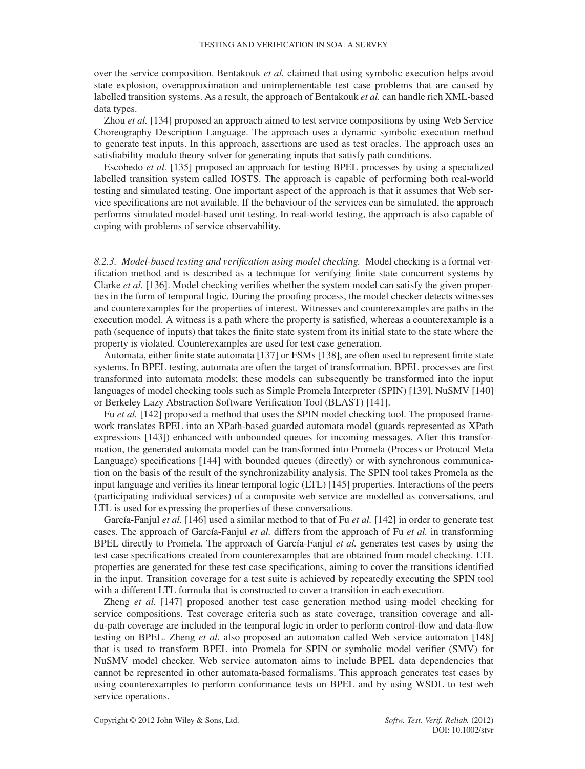over the service composition. Bentakouk *et al.* claimed that using symbolic execution helps avoid state explosion, overapproximation and unimplementable test case problems that are caused by labelled transition systems. As a result, the approach of Bentakouk *et al.* can handle rich XML-based data types.

Zhou *et al.* [134] proposed an approach aimed to test service compositions by using Web Service Choreography Description Language. The approach uses a dynamic symbolic execution method to generate test inputs. In this approach, assertions are used as test oracles. The approach uses an satisfiability modulo theory solver for generating inputs that satisfy path conditions.

Escobedo *et al.* [135] proposed an approach for testing BPEL processes by using a specialized labelled transition system called IOSTS. The approach is capable of performing both real-world testing and simulated testing. One important aspect of the approach is that it assumes that Web service specifications are not available. If the behaviour of the services can be simulated, the approach performs simulated model-based unit testing. In real-world testing, the approach is also capable of coping with problems of service observability.

*8.2.3. Model-based testing and verification using model checking.* Model checking is a formal verification method and is described as a technique for verifying finite state concurrent systems by Clarke *et al.* [136]. Model checking verifies whether the system model can satisfy the given properties in the form of temporal logic. During the proofing process, the model checker detects witnesses and counterexamples for the properties of interest. Witnesses and counterexamples are paths in the execution model. A witness is a path where the property is satisfied, whereas a counterexample is a path (sequence of inputs) that takes the finite state system from its initial state to the state where the property is violated. Counterexamples are used for test case generation.

Automata, either finite state automata [137] or FSMs [138], are often used to represent finite state systems. In BPEL testing, automata are often the target of transformation. BPEL processes are first transformed into automata models; these models can subsequently be transformed into the input languages of model checking tools such as Simple Promela Interpreter (SPIN) [139], NuSMV [140] or Berkeley Lazy Abstraction Software Verification Tool (BLAST) [141].

Fu *et al.* [142] proposed a method that uses the SPIN model checking tool. The proposed framework translates BPEL into an XPath-based guarded automata model (guards represented as XPath expressions [143]) enhanced with unbounded queues for incoming messages. After this transformation, the generated automata model can be transformed into Promela (Process or Protocol Meta Language) specifications [144] with bounded queues (directly) or with synchronous communication on the basis of the result of the synchronizability analysis. The SPIN tool takes Promela as the input language and verifies its linear temporal logic (LTL) [145] properties. Interactions of the peers (participating individual services) of a composite web service are modelled as conversations, and LTL is used for expressing the properties of these conversations.

García-Fanjul *et al.* [146] used a similar method to that of Fu *et al.* [142] in order to generate test cases. The approach of García-Fanjul *et al.* differs from the approach of Fu *et al.* in transforming BPEL directly to Promela. The approach of García-Fanjul *et al.* generates test cases by using the test case specifications created from counterexamples that are obtained from model checking. LTL properties are generated for these test case specifications, aiming to cover the transitions identified in the input. Transition coverage for a test suite is achieved by repeatedly executing the SPIN tool with a different LTL formula that is constructed to cover a transition in each execution.

Zheng *et al.* [147] proposed another test case generation method using model checking for service compositions. Test coverage criteria such as state coverage, transition coverage and alldu-path coverage are included in the temporal logic in order to perform control-flow and data-flow testing on BPEL. Zheng *et al.* also proposed an automaton called Web service automaton [148] that is used to transform BPEL into Promela for SPIN or symbolic model verifier (SMV) for NuSMV model checker. Web service automaton aims to include BPEL data dependencies that cannot be represented in other automata-based formalisms. This approach generates test cases by using counterexamples to perform conformance tests on BPEL and by using WSDL to test web service operations.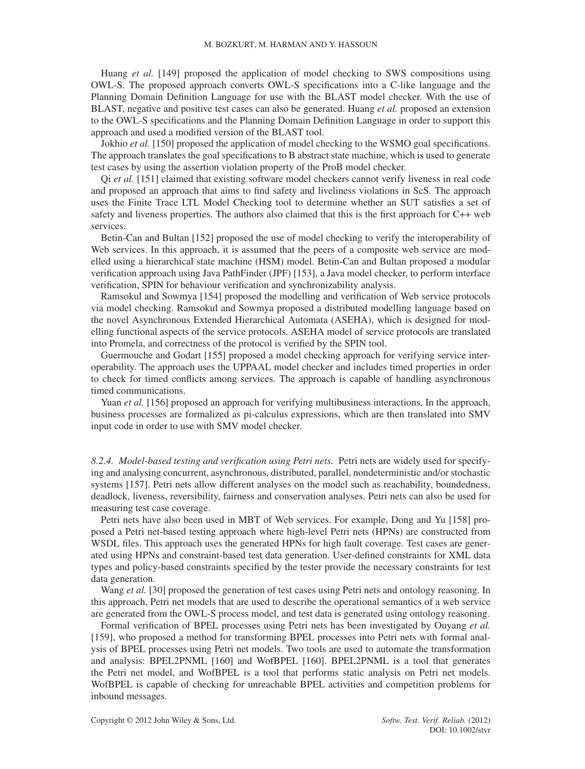Huang *et al.* [149] proposed the application of model checking to SWS compositions using OWL-S. The proposed approach converts OWL-S specifications into a C-like language and the Planning Domain Definition Language for use with the BLAST model checker. With the use of BLAST, negative and positive test cases can also be generated. Huang *et al.* proposed an extension to the OWL-S specifications and the Planning Domain Definition Language in order to support this approach and used a modified version of the BLAST tool.

Jokhio *et al.* [150] proposed the application of model checking to the WSMO goal specifications. The approach translates the goal specifications to B abstract state machine, which is used to generate test cases by using the assertion violation property of the ProB model checker.

Qi *et al.* [151] claimed that existing software model checkers cannot verify liveness in real code and proposed an approach that aims to find safety and liveliness violations in ScS. The approach uses the Finite Trace LTL Model Checking tool to determine whether an SUT satisfies a set of safety and liveness properties. The authors also claimed that this is the first approach for C++ web services.

Betin-Can and Bultan [152] proposed the use of model checking to verify the interoperability of Web services. In this approach, it is assumed that the peers of a composite web service are modelled using a hierarchical state machine (HSM) model. Betin-Can and Bultan proposed a modular verification approach using Java PathFinder (JPF) [153], a Java model checker, to perform interface verification, SPIN for behaviour verification and synchronizability analysis.

Ramsokul and Sowmya [154] proposed the modelling and verification of Web service protocols via model checking. Ramsokul and Sowmya proposed a distributed modelling language based on the novel Asynchronous Extended Hierarchical Automata (ASEHA), which is designed for modelling functional aspects of the service protocols. ASEHA model of service protocols are translated into Promela, and correctness of the protocol is verified by the SPIN tool.

Guermouche and Godart [155] proposed a model checking approach for verifying service interoperability. The approach uses the UPPAAL model checker and includes timed properties in order to check for timed conflicts among services. The approach is capable of handling asynchronous timed communications.

Yuan *et al.* [156] proposed an approach for verifying multibusiness interactions. In the approach, business processes are formalized as pi-calculus expressions, which are then translated into SMV input code in order to use with SMV model checker.

*8.2.4. Model-based testing and verification using Petri nets.* Petri nets are widely used for specifying and analysing concurrent, asynchronous, distributed, parallel, nondeterministic and/or stochastic systems [157]. Petri nets allow different analyses on the model such as reachability, boundedness, deadlock, liveness, reversibility, fairness and conservation analyses. Petri nets can also be used for measuring test case coverage.

Petri nets have also been used in MBT of Web services. For example, Dong and Yu [158] proposed a Petri net-based testing approach where high-level Petri nets (HPNs) are constructed from WSDL files. This approach uses the generated HPNs for high fault coverage. Test cases are generated using HPNs and constraint-based test data generation. User-defined constraints for XML data types and policy-based constraints specified by the tester provide the necessary constraints for test data generation.

Wang *et al.* [30] proposed the generation of test cases using Petri nets and ontology reasoning. In this approach, Petri net models that are used to describe the operational semantics of a web service are generated from the OWL-S process model, and test data is generated using ontology reasoning.

Formal verification of BPEL processes using Petri nets has been investigated by Ouyang *et al.* [159], who proposed a method for transforming BPEL processes into Petri nets with formal analysis of BPEL processes using Petri net models. Two tools are used to automate the transformation and analysis: BPEL2PNML [160] and WofBPEL [160]. BPEL2PNML is a tool that generates the Petri net model, and WofBPEL is a tool that performs static analysis on Petri net models. WofBPEL is capable of checking for unreachable BPEL activities and competition problems for inbound messages.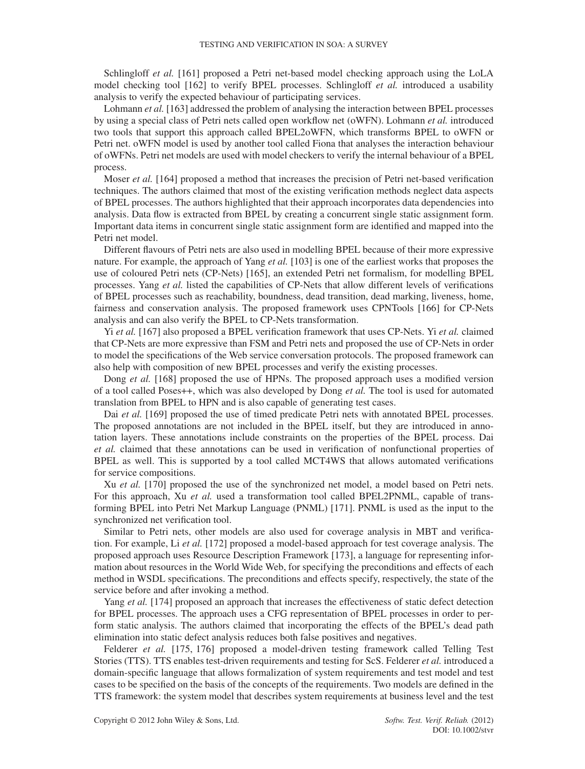Schlingloff *et al.* [161] proposed a Petri net-based model checking approach using the LoLA model checking tool [162] to verify BPEL processes. Schlingloff *et al.* introduced a usability analysis to verify the expected behaviour of participating services.

Lohmann *et al.* [163] addressed the problem of analysing the interaction between BPEL processes by using a special class of Petri nets called open workflow net (oWFN). Lohmann *et al.* introduced two tools that support this approach called BPEL2oWFN, which transforms BPEL to oWFN or Petri net. oWFN model is used by another tool called Fiona that analyses the interaction behaviour of oWFNs. Petri net models are used with model checkers to verify the internal behaviour of a BPEL process.

Moser *et al.* [164] proposed a method that increases the precision of Petri net-based verification techniques. The authors claimed that most of the existing verification methods neglect data aspects of BPEL processes. The authors highlighted that their approach incorporates data dependencies into analysis. Data flow is extracted from BPEL by creating a concurrent single static assignment form. Important data items in concurrent single static assignment form are identified and mapped into the Petri net model.

Different flavours of Petri nets are also used in modelling BPEL because of their more expressive nature. For example, the approach of Yang *et al.* [103] is one of the earliest works that proposes the use of coloured Petri nets (CP-Nets) [165], an extended Petri net formalism, for modelling BPEL processes. Yang *et al.* listed the capabilities of CP-Nets that allow different levels of verifications of BPEL processes such as reachability, boundness, dead transition, dead marking, liveness, home, fairness and conservation analysis. The proposed framework uses CPNTools [166] for CP-Nets analysis and can also verify the BPEL to CP-Nets transformation.

Yi *et al.* [167] also proposed a BPEL verification framework that uses CP-Nets. Yi *et al.* claimed that CP-Nets are more expressive than FSM and Petri nets and proposed the use of CP-Nets in order to model the specifications of the Web service conversation protocols. The proposed framework can also help with composition of new BPEL processes and verify the existing processes.

Dong *et al.* [168] proposed the use of HPNs. The proposed approach uses a modified version of a tool called Poses++, which was also developed by Dong *et al.* The tool is used for automated translation from BPEL to HPN and is also capable of generating test cases.

Dai *et al.* [169] proposed the use of timed predicate Petri nets with annotated BPEL processes. The proposed annotations are not included in the BPEL itself, but they are introduced in annotation layers. These annotations include constraints on the properties of the BPEL process. Dai *et al.* claimed that these annotations can be used in verification of nonfunctional properties of BPEL as well. This is supported by a tool called MCT4WS that allows automated verifications for service compositions.

Xu *et al.* [170] proposed the use of the synchronized net model, a model based on Petri nets. For this approach, Xu *et al.* used a transformation tool called BPEL2PNML, capable of transforming BPEL into Petri Net Markup Language (PNML) [171]. PNML is used as the input to the synchronized net verification tool.

Similar to Petri nets, other models are also used for coverage analysis in MBT and verification. For example, Li *et al.* [172] proposed a model-based approach for test coverage analysis. The proposed approach uses Resource Description Framework [173], a language for representing information about resources in the World Wide Web, for specifying the preconditions and effects of each method in WSDL specifications. The preconditions and effects specify, respectively, the state of the service before and after invoking a method.

Yang *et al.* [174] proposed an approach that increases the effectiveness of static defect detection for BPEL processes. The approach uses a CFG representation of BPEL processes in order to perform static analysis. The authors claimed that incorporating the effects of the BPEL's dead path elimination into static defect analysis reduces both false positives and negatives.

Felderer *et al.* [175, 176] proposed a model-driven testing framework called Telling Test Stories (TTS). TTS enables test-driven requirements and testing for ScS. Felderer *et al.* introduced a domain-specific language that allows formalization of system requirements and test model and test cases to be specified on the basis of the concepts of the requirements. Two models are defined in the TTS framework: the system model that describes system requirements at business level and the test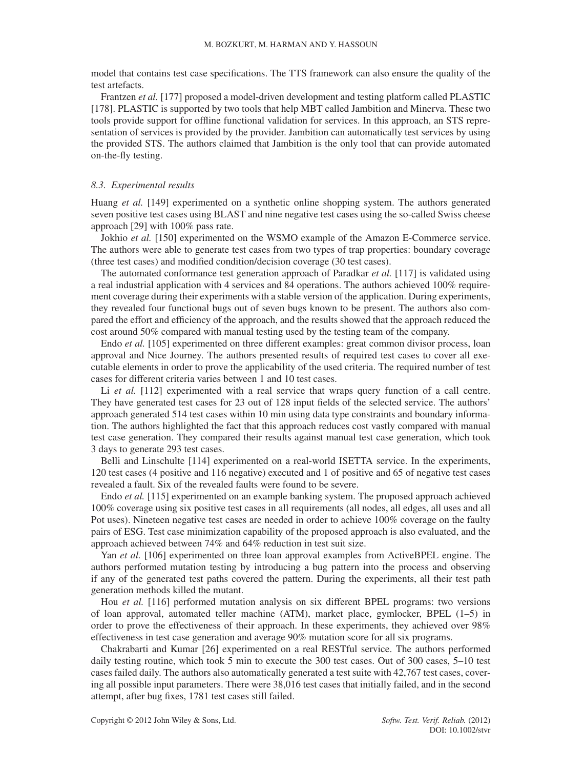model that contains test case specifications. The TTS framework can also ensure the quality of the test artefacts.

Frantzen *et al.* [177] proposed a model-driven development and testing platform called PLASTIC [178]. PLASTIC is supported by two tools that help MBT called Jambition and Minerva. These two tools provide support for offline functional validation for services. In this approach, an STS representation of services is provided by the provider. Jambition can automatically test services by using the provided STS. The authors claimed that Jambition is the only tool that can provide automated on-the-fly testing.

# *8.3. Experimental results*

Huang *et al.* [149] experimented on a synthetic online shopping system. The authors generated seven positive test cases using BLAST and nine negative test cases using the so-called Swiss cheese approach [29] with 100% pass rate.

Jokhio *et al.* [150] experimented on the WSMO example of the Amazon E-Commerce service. The authors were able to generate test cases from two types of trap properties: boundary coverage (three test cases) and modified condition/decision coverage (30 test cases).

The automated conformance test generation approach of Paradkar *et al.* [117] is validated using a real industrial application with 4 services and 84 operations. The authors achieved 100% requirement coverage during their experiments with a stable version of the application. During experiments, they revealed four functional bugs out of seven bugs known to be present. The authors also compared the effort and efficiency of the approach, and the results showed that the approach reduced the cost around 50% compared with manual testing used by the testing team of the company.

Endo *et al.* [105] experimented on three different examples: great common divisor process, loan approval and Nice Journey. The authors presented results of required test cases to cover all executable elements in order to prove the applicability of the used criteria. The required number of test cases for different criteria varies between 1 and 10 test cases.

Li et al. [112] experimented with a real service that wraps query function of a call centre. They have generated test cases for 23 out of 128 input fields of the selected service. The authors' approach generated 514 test cases within 10 min using data type constraints and boundary information. The authors highlighted the fact that this approach reduces cost vastly compared with manual test case generation. They compared their results against manual test case generation, which took 3 days to generate 293 test cases.

Belli and Linschulte [114] experimented on a real-world ISETTA service. In the experiments, 120 test cases (4 positive and 116 negative) executed and 1 of positive and 65 of negative test cases revealed a fault. Six of the revealed faults were found to be severe.

Endo *et al.* [115] experimented on an example banking system. The proposed approach achieved 100% coverage using six positive test cases in all requirements (all nodes, all edges, all uses and all Pot uses). Nineteen negative test cases are needed in order to achieve 100% coverage on the faulty pairs of ESG. Test case minimization capability of the proposed approach is also evaluated, and the approach achieved between 74% and 64% reduction in test suit size.

Yan *et al.* [106] experimented on three loan approval examples from ActiveBPEL engine. The authors performed mutation testing by introducing a bug pattern into the process and observing if any of the generated test paths covered the pattern. During the experiments, all their test path generation methods killed the mutant.

Hou *et al.* [116] performed mutation analysis on six different BPEL programs: two versions of loan approval, automated teller machine (ATM), market place, gymlocker, BPEL (1–5) in order to prove the effectiveness of their approach. In these experiments, they achieved over 98% effectiveness in test case generation and average 90% mutation score for all six programs.

Chakrabarti and Kumar [26] experimented on a real RESTful service. The authors performed daily testing routine, which took 5 min to execute the 300 test cases. Out of 300 cases, 5–10 test cases failed daily. The authors also automatically generated a test suite with 42,767 test cases, covering all possible input parameters. There were 38,016 test cases that initially failed, and in the second attempt, after bug fixes, 1781 test cases still failed.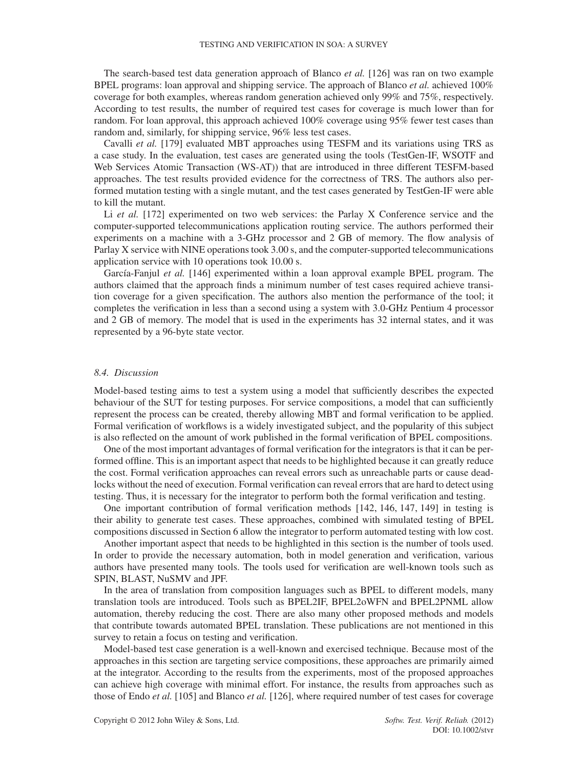The search-based test data generation approach of Blanco *et al.* [126] was ran on two example BPEL programs: loan approval and shipping service. The approach of Blanco *et al.* achieved 100% coverage for both examples, whereas random generation achieved only 99% and 75%, respectively. According to test results, the number of required test cases for coverage is much lower than for random. For loan approval, this approach achieved 100% coverage using 95% fewer test cases than random and, similarly, for shipping service, 96% less test cases.

Cavalli *et al.* [179] evaluated MBT approaches using TESFM and its variations using TRS as a case study. In the evaluation, test cases are generated using the tools (TestGen-IF, WSOTF and Web Services Atomic Transaction (WS-AT)) that are introduced in three different TESFM-based approaches. The test results provided evidence for the correctness of TRS. The authors also performed mutation testing with a single mutant, and the test cases generated by TestGen-IF were able to kill the mutant.

Li *et al.* [172] experimented on two web services: the Parlay X Conference service and the computer-supported telecommunications application routing service. The authors performed their experiments on a machine with a 3-GHz processor and 2 GB of memory. The flow analysis of Parlay X service with NINE operations took 3.00 s, and the computer-supported telecommunications application service with 10 operations took 10.00 s.

García-Fanjul *et al.* [146] experimented within a loan approval example BPEL program. The authors claimed that the approach finds a minimum number of test cases required achieve transition coverage for a given specification. The authors also mention the performance of the tool; it completes the verification in less than a second using a system with 3.0-GHz Pentium 4 processor and 2 GB of memory. The model that is used in the experiments has 32 internal states, and it was represented by a 96-byte state vector.

## *8.4. Discussion*

Model-based testing aims to test a system using a model that sufficiently describes the expected behaviour of the SUT for testing purposes. For service compositions, a model that can sufficiently represent the process can be created, thereby allowing MBT and formal verification to be applied. Formal verification of workflows is a widely investigated subject, and the popularity of this subject is also reflected on the amount of work published in the formal verification of BPEL compositions.

One of the most important advantages of formal verification for the integrators is that it can be performed offline. This is an important aspect that needs to be highlighted because it can greatly reduce the cost. Formal verification approaches can reveal errors such as unreachable parts or cause deadlocks without the need of execution. Formal verification can reveal errors that are hard to detect using testing. Thus, it is necessary for the integrator to perform both the formal verification and testing.

One important contribution of formal verification methods [142, 146, 147, 149] in testing is their ability to generate test cases. These approaches, combined with simulated testing of BPEL compositions discussed in Section 6 allow the integrator to perform automated testing with low cost.

Another important aspect that needs to be highlighted in this section is the number of tools used. In order to provide the necessary automation, both in model generation and verification, various authors have presented many tools. The tools used for verification are well-known tools such as SPIN, BLAST, NuSMV and JPF.

In the area of translation from composition languages such as BPEL to different models, many translation tools are introduced. Tools such as BPEL2IF, BPEL2oWFN and BPEL2PNML allow automation, thereby reducing the cost. There are also many other proposed methods and models that contribute towards automated BPEL translation. These publications are not mentioned in this survey to retain a focus on testing and verification.

Model-based test case generation is a well-known and exercised technique. Because most of the approaches in this section are targeting service compositions, these approaches are primarily aimed at the integrator. According to the results from the experiments, most of the proposed approaches can achieve high coverage with minimal effort. For instance, the results from approaches such as those of Endo *et al.* [105] and Blanco *et al.* [126], where required number of test cases for coverage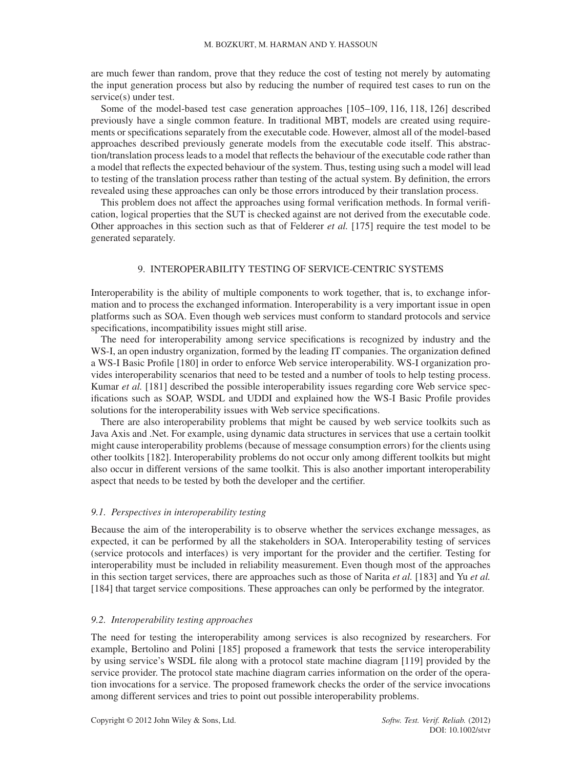are much fewer than random, prove that they reduce the cost of testing not merely by automating the input generation process but also by reducing the number of required test cases to run on the service(s) under test.

Some of the model-based test case generation approaches [105–109, 116, 118, 126] described previously have a single common feature. In traditional MBT, models are created using requirements or specifications separately from the executable code. However, almost all of the model-based approaches described previously generate models from the executable code itself. This abstraction/translation process leads to a model that reflects the behaviour of the executable code rather than a model that reflects the expected behaviour of the system. Thus, testing using such a model will lead to testing of the translation process rather than testing of the actual system. By definition, the errors revealed using these approaches can only be those errors introduced by their translation process.

This problem does not affect the approaches using formal verification methods. In formal verification, logical properties that the SUT is checked against are not derived from the executable code. Other approaches in this section such as that of Felderer *et al.* [175] require the test model to be generated separately.

## 9. INTEROPERABILITY TESTING OF SERVICE-CENTRIC SYSTEMS

Interoperability is the ability of multiple components to work together, that is, to exchange information and to process the exchanged information. Interoperability is a very important issue in open platforms such as SOA. Even though web services must conform to standard protocols and service specifications, incompatibility issues might still arise.

The need for interoperability among service specifications is recognized by industry and the WS-I, an open industry organization, formed by the leading IT companies. The organization defined a WS-I Basic Profile [180] in order to enforce Web service interoperability. WS-I organization provides interoperability scenarios that need to be tested and a number of tools to help testing process. Kumar *et al.* [181] described the possible interoperability issues regarding core Web service specifications such as SOAP, WSDL and UDDI and explained how the WS-I Basic Profile provides solutions for the interoperability issues with Web service specifications.

There are also interoperability problems that might be caused by web service toolkits such as Java Axis and .Net. For example, using dynamic data structures in services that use a certain toolkit might cause interoperability problems (because of message consumption errors) for the clients using other toolkits [182]. Interoperability problems do not occur only among different toolkits but might also occur in different versions of the same toolkit. This is also another important interoperability aspect that needs to be tested by both the developer and the certifier.

#### *9.1. Perspectives in interoperability testing*

Because the aim of the interoperability is to observe whether the services exchange messages, as expected, it can be performed by all the stakeholders in SOA. Interoperability testing of services (service protocols and interfaces) is very important for the provider and the certifier. Testing for interoperability must be included in reliability measurement. Even though most of the approaches in this section target services, there are approaches such as those of Narita *et al.* [183] and Yu *et al.* [184] that target service compositions. These approaches can only be performed by the integrator.

# *9.2. Interoperability testing approaches*

The need for testing the interoperability among services is also recognized by researchers. For example, Bertolino and Polini [185] proposed a framework that tests the service interoperability by using service's WSDL file along with a protocol state machine diagram [119] provided by the service provider. The protocol state machine diagram carries information on the order of the operation invocations for a service. The proposed framework checks the order of the service invocations among different services and tries to point out possible interoperability problems.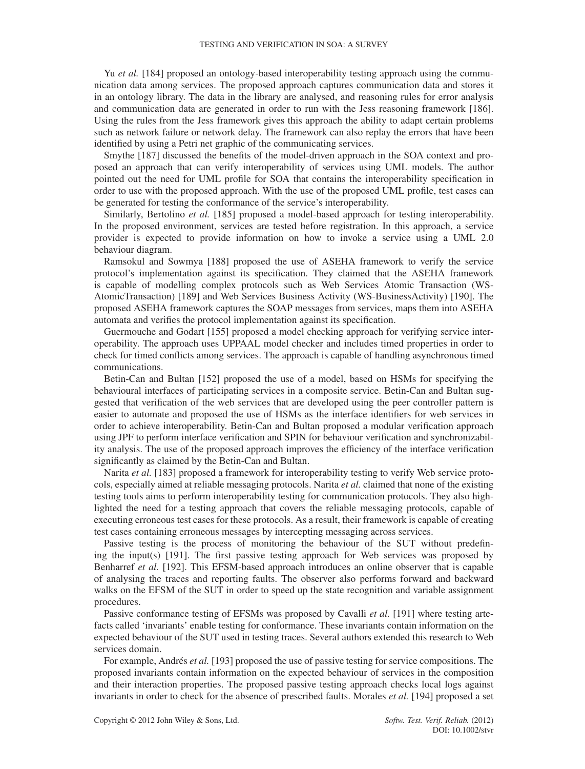Yu *et al.* [184] proposed an ontology-based interoperability testing approach using the communication data among services. The proposed approach captures communication data and stores it in an ontology library. The data in the library are analysed, and reasoning rules for error analysis and communication data are generated in order to run with the Jess reasoning framework [186]. Using the rules from the Jess framework gives this approach the ability to adapt certain problems such as network failure or network delay. The framework can also replay the errors that have been identified by using a Petri net graphic of the communicating services.

Smythe [187] discussed the benefits of the model-driven approach in the SOA context and proposed an approach that can verify interoperability of services using UML models. The author pointed out the need for UML profile for SOA that contains the interoperability specification in order to use with the proposed approach. With the use of the proposed UML profile, test cases can be generated for testing the conformance of the service's interoperability.

Similarly, Bertolino *et al.* [185] proposed a model-based approach for testing interoperability. In the proposed environment, services are tested before registration. In this approach, a service provider is expected to provide information on how to invoke a service using a UML 2.0 behaviour diagram.

Ramsokul and Sowmya [188] proposed the use of ASEHA framework to verify the service protocol's implementation against its specification. They claimed that the ASEHA framework is capable of modelling complex protocols such as Web Services Atomic Transaction (WS-AtomicTransaction) [189] and Web Services Business Activity (WS-BusinessActivity) [190]. The proposed ASEHA framework captures the SOAP messages from services, maps them into ASEHA automata and verifies the protocol implementation against its specification.

Guermouche and Godart [155] proposed a model checking approach for verifying service interoperability. The approach uses UPPAAL model checker and includes timed properties in order to check for timed conflicts among services. The approach is capable of handling asynchronous timed communications.

Betin-Can and Bultan [152] proposed the use of a model, based on HSMs for specifying the behavioural interfaces of participating services in a composite service. Betin-Can and Bultan suggested that verification of the web services that are developed using the peer controller pattern is easier to automate and proposed the use of HSMs as the interface identifiers for web services in order to achieve interoperability. Betin-Can and Bultan proposed a modular verification approach using JPF to perform interface verification and SPIN for behaviour verification and synchronizability analysis. The use of the proposed approach improves the efficiency of the interface verification significantly as claimed by the Betin-Can and Bultan.

Narita *et al.* [183] proposed a framework for interoperability testing to verify Web service protocols, especially aimed at reliable messaging protocols. Narita *et al.* claimed that none of the existing testing tools aims to perform interoperability testing for communication protocols. They also highlighted the need for a testing approach that covers the reliable messaging protocols, capable of executing erroneous test cases for these protocols. As a result, their framework is capable of creating test cases containing erroneous messages by intercepting messaging across services.

Passive testing is the process of monitoring the behaviour of the SUT without predefining the input(s) [191]. The first passive testing approach for Web services was proposed by Benharref *et al.* [192]. This EFSM-based approach introduces an online observer that is capable of analysing the traces and reporting faults. The observer also performs forward and backward walks on the EFSM of the SUT in order to speed up the state recognition and variable assignment procedures.

Passive conformance testing of EFSMs was proposed by Cavalli *et al.* [191] where testing artefacts called 'invariants' enable testing for conformance. These invariants contain information on the expected behaviour of the SUT used in testing traces. Several authors extended this research to Web services domain.

For example, Andrés *et al.* [193] proposed the use of passive testing for service compositions. The proposed invariants contain information on the expected behaviour of services in the composition and their interaction properties. The proposed passive testing approach checks local logs against invariants in order to check for the absence of prescribed faults. Morales *et al.* [194] proposed a set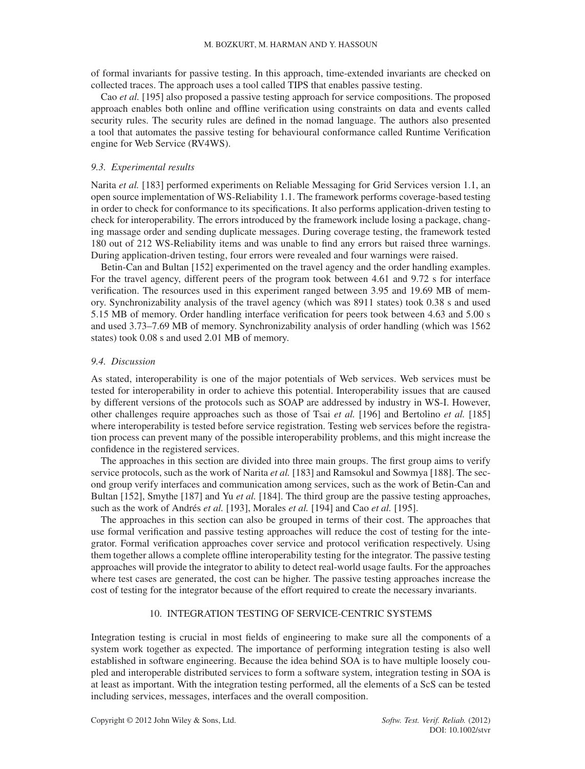of formal invariants for passive testing. In this approach, time-extended invariants are checked on collected traces. The approach uses a tool called TIPS that enables passive testing.

Cao *et al.* [195] also proposed a passive testing approach for service compositions. The proposed approach enables both online and offline verification using constraints on data and events called security rules. The security rules are defined in the nomad language. The authors also presented a tool that automates the passive testing for behavioural conformance called Runtime Verification engine for Web Service (RV4WS).

# *9.3. Experimental results*

Narita *et al.* [183] performed experiments on Reliable Messaging for Grid Services version 1.1, an open source implementation of WS-Reliability 1.1. The framework performs coverage-based testing in order to check for conformance to its specifications. It also performs application-driven testing to check for interoperability. The errors introduced by the framework include losing a package, changing massage order and sending duplicate messages. During coverage testing, the framework tested 180 out of 212 WS-Reliability items and was unable to find any errors but raised three warnings. During application-driven testing, four errors were revealed and four warnings were raised.

Betin-Can and Bultan [152] experimented on the travel agency and the order handling examples. For the travel agency, different peers of the program took between 4.61 and 9.72 s for interface verification. The resources used in this experiment ranged between 3.95 and 19.69 MB of memory. Synchronizability analysis of the travel agency (which was 8911 states) took 0.38 s and used 5.15 MB of memory. Order handling interface verification for peers took between 4.63 and 5.00 s and used 3.73–7.69 MB of memory. Synchronizability analysis of order handling (which was 1562 states) took 0.08 s and used 2.01 MB of memory.

#### *9.4. Discussion*

As stated, interoperability is one of the major potentials of Web services. Web services must be tested for interoperability in order to achieve this potential. Interoperability issues that are caused by different versions of the protocols such as SOAP are addressed by industry in WS-I. However, other challenges require approaches such as those of Tsai *et al.* [196] and Bertolino *et al.* [185] where interoperability is tested before service registration. Testing web services before the registration process can prevent many of the possible interoperability problems, and this might increase the confidence in the registered services.

The approaches in this section are divided into three main groups. The first group aims to verify service protocols, such as the work of Narita *et al.* [183] and Ramsokul and Sowmya [188]. The second group verify interfaces and communication among services, such as the work of Betin-Can and Bultan [152], Smythe [187] and Yu *et al.* [184]. The third group are the passive testing approaches, such as the work of Andrés *et al.* [193], Morales *et al.* [194] and Cao *et al.* [195].

The approaches in this section can also be grouped in terms of their cost. The approaches that use formal verification and passive testing approaches will reduce the cost of testing for the integrator. Formal verification approaches cover service and protocol verification respectively. Using them together allows a complete offline interoperability testing for the integrator. The passive testing approaches will provide the integrator to ability to detect real-world usage faults. For the approaches where test cases are generated, the cost can be higher. The passive testing approaches increase the cost of testing for the integrator because of the effort required to create the necessary invariants.

# 10. INTEGRATION TESTING OF SERVICE-CENTRIC SYSTEMS

Integration testing is crucial in most fields of engineering to make sure all the components of a system work together as expected. The importance of performing integration testing is also well established in software engineering. Because the idea behind SOA is to have multiple loosely coupled and interoperable distributed services to form a software system, integration testing in SOA is at least as important. With the integration testing performed, all the elements of a ScS can be tested including services, messages, interfaces and the overall composition.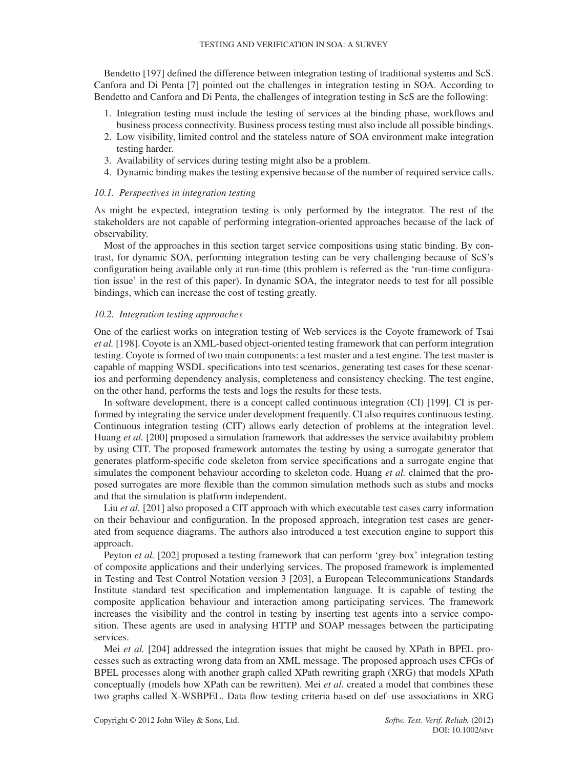Bendetto [197] defined the difference between integration testing of traditional systems and ScS. Canfora and Di Penta [7] pointed out the challenges in integration testing in SOA. According to Bendetto and Canfora and Di Penta, the challenges of integration testing in ScS are the following:

- 1. Integration testing must include the testing of services at the binding phase, workflows and business process connectivity. Business process testing must also include all possible bindings.
- 2. Low visibility, limited control and the stateless nature of SOA environment make integration testing harder.
- 3. Availability of services during testing might also be a problem.
- 4. Dynamic binding makes the testing expensive because of the number of required service calls.

# *10.1. Perspectives in integration testing*

As might be expected, integration testing is only performed by the integrator. The rest of the stakeholders are not capable of performing integration-oriented approaches because of the lack of observability.

Most of the approaches in this section target service compositions using static binding. By contrast, for dynamic SOA, performing integration testing can be very challenging because of ScS's configuration being available only at run-time (this problem is referred as the 'run-time configuration issue' in the rest of this paper). In dynamic SOA, the integrator needs to test for all possible bindings, which can increase the cost of testing greatly.

#### *10.2. Integration testing approaches*

One of the earliest works on integration testing of Web services is the Coyote framework of Tsai *et al.* [198]. Coyote is an XML-based object-oriented testing framework that can perform integration testing. Coyote is formed of two main components: a test master and a test engine. The test master is capable of mapping WSDL specifications into test scenarios, generating test cases for these scenarios and performing dependency analysis, completeness and consistency checking. The test engine, on the other hand, performs the tests and logs the results for these tests.

In software development, there is a concept called continuous integration (CI) [199]. CI is performed by integrating the service under development frequently. CI also requires continuous testing. Continuous integration testing (CIT) allows early detection of problems at the integration level. Huang *et al.* [200] proposed a simulation framework that addresses the service availability problem by using CIT. The proposed framework automates the testing by using a surrogate generator that generates platform-specific code skeleton from service specifications and a surrogate engine that simulates the component behaviour according to skeleton code. Huang *et al.* claimed that the proposed surrogates are more flexible than the common simulation methods such as stubs and mocks and that the simulation is platform independent.

Liu *et al.* [201] also proposed a CIT approach with which executable test cases carry information on their behaviour and configuration. In the proposed approach, integration test cases are generated from sequence diagrams. The authors also introduced a test execution engine to support this approach.

Peyton *et al.* [202] proposed a testing framework that can perform 'grey-box' integration testing of composite applications and their underlying services. The proposed framework is implemented in Testing and Test Control Notation version 3 [203], a European Telecommunications Standards Institute standard test specification and implementation language. It is capable of testing the composite application behaviour and interaction among participating services. The framework increases the visibility and the control in testing by inserting test agents into a service composition. These agents are used in analysing HTTP and SOAP messages between the participating services.

Mei *et al.* [204] addressed the integration issues that might be caused by XPath in BPEL processes such as extracting wrong data from an XML message. The proposed approach uses CFGs of BPEL processes along with another graph called XPath rewriting graph (XRG) that models XPath conceptually (models how XPath can be rewritten). Mei *et al.* created a model that combines these two graphs called X-WSBPEL. Data flow testing criteria based on def–use associations in XRG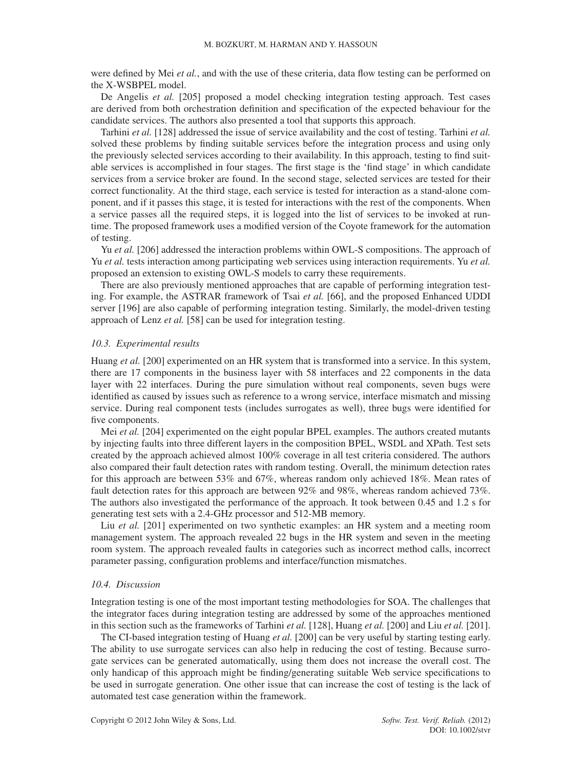were defined by Mei *et al.*, and with the use of these criteria, data flow testing can be performed on the X-WSBPEL model.

De Angelis *et al.* [205] proposed a model checking integration testing approach. Test cases are derived from both orchestration definition and specification of the expected behaviour for the candidate services. The authors also presented a tool that supports this approach.

Tarhini *et al.* [128] addressed the issue of service availability and the cost of testing. Tarhini *et al.* solved these problems by finding suitable services before the integration process and using only the previously selected services according to their availability. In this approach, testing to find suitable services is accomplished in four stages. The first stage is the 'find stage' in which candidate services from a service broker are found. In the second stage, selected services are tested for their correct functionality. At the third stage, each service is tested for interaction as a stand-alone component, and if it passes this stage, it is tested for interactions with the rest of the components. When a service passes all the required steps, it is logged into the list of services to be invoked at runtime. The proposed framework uses a modified version of the Coyote framework for the automation of testing.

Yu *et al.* [206] addressed the interaction problems within OWL-S compositions. The approach of Yu *et al.* tests interaction among participating web services using interaction requirements. Yu *et al.* proposed an extension to existing OWL-S models to carry these requirements.

There are also previously mentioned approaches that are capable of performing integration testing. For example, the ASTRAR framework of Tsai *et al.* [66], and the proposed Enhanced UDDI server [196] are also capable of performing integration testing. Similarly, the model-driven testing approach of Lenz *et al.* [58] can be used for integration testing.

#### *10.3. Experimental results*

Huang *et al.* [200] experimented on an HR system that is transformed into a service. In this system, there are 17 components in the business layer with 58 interfaces and 22 components in the data layer with 22 interfaces. During the pure simulation without real components, seven bugs were identified as caused by issues such as reference to a wrong service, interface mismatch and missing service. During real component tests (includes surrogates as well), three bugs were identified for five components.

Mei *et al.* [204] experimented on the eight popular BPEL examples. The authors created mutants by injecting faults into three different layers in the composition BPEL, WSDL and XPath. Test sets created by the approach achieved almost 100% coverage in all test criteria considered. The authors also compared their fault detection rates with random testing. Overall, the minimum detection rates for this approach are between 53% and 67%, whereas random only achieved 18%. Mean rates of fault detection rates for this approach are between 92% and 98%, whereas random achieved 73%. The authors also investigated the performance of the approach. It took between 0.45 and 1.2 s for generating test sets with a 2.4-GHz processor and 512-MB memory.

Liu *et al.* [201] experimented on two synthetic examples: an HR system and a meeting room management system. The approach revealed 22 bugs in the HR system and seven in the meeting room system. The approach revealed faults in categories such as incorrect method calls, incorrect parameter passing, configuration problems and interface/function mismatches.

#### *10.4. Discussion*

Integration testing is one of the most important testing methodologies for SOA. The challenges that the integrator faces during integration testing are addressed by some of the approaches mentioned in this section such as the frameworks of Tarhini *et al.* [128], Huang *et al.* [200] and Liu *et al.* [201].

The CI-based integration testing of Huang *et al.* [200] can be very useful by starting testing early. The ability to use surrogate services can also help in reducing the cost of testing. Because surrogate services can be generated automatically, using them does not increase the overall cost. The only handicap of this approach might be finding/generating suitable Web service specifications to be used in surrogate generation. One other issue that can increase the cost of testing is the lack of automated test case generation within the framework.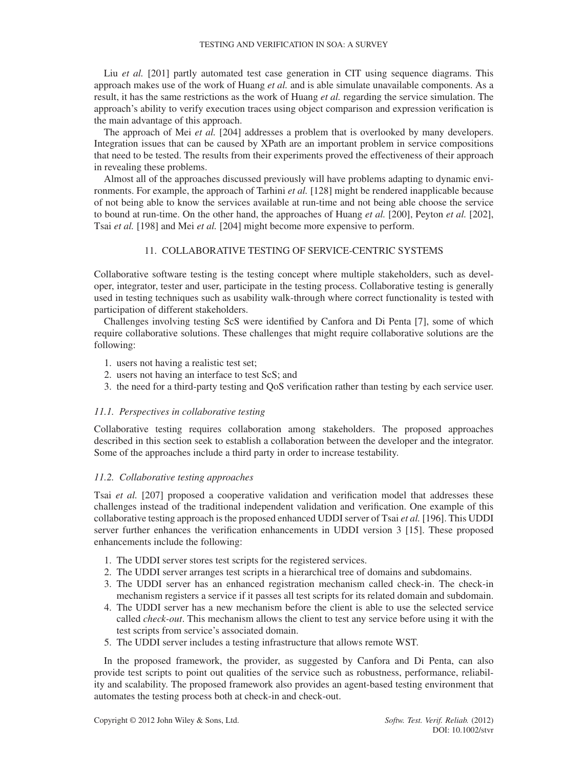Liu *et al.* [201] partly automated test case generation in CIT using sequence diagrams. This approach makes use of the work of Huang *et al.* and is able simulate unavailable components. As a result, it has the same restrictions as the work of Huang *et al.* regarding the service simulation. The approach's ability to verify execution traces using object comparison and expression verification is the main advantage of this approach.

The approach of Mei *et al.* [204] addresses a problem that is overlooked by many developers. Integration issues that can be caused by XPath are an important problem in service compositions that need to be tested. The results from their experiments proved the effectiveness of their approach in revealing these problems.

Almost all of the approaches discussed previously will have problems adapting to dynamic environments. For example, the approach of Tarhini *et al.* [128] might be rendered inapplicable because of not being able to know the services available at run-time and not being able choose the service to bound at run-time. On the other hand, the approaches of Huang *et al.* [200], Peyton *et al.* [202], Tsai *et al.* [198] and Mei *et al.* [204] might become more expensive to perform.

# 11. COLLABORATIVE TESTING OF SERVICE-CENTRIC SYSTEMS

Collaborative software testing is the testing concept where multiple stakeholders, such as developer, integrator, tester and user, participate in the testing process. Collaborative testing is generally used in testing techniques such as usability walk-through where correct functionality is tested with participation of different stakeholders.

Challenges involving testing ScS were identified by Canfora and Di Penta [7], some of which require collaborative solutions. These challenges that might require collaborative solutions are the following:

- 1. users not having a realistic test set;
- 2. users not having an interface to test ScS; and
- 3. the need for a third-party testing and QoS verification rather than testing by each service user.

# *11.1. Perspectives in collaborative testing*

Collaborative testing requires collaboration among stakeholders. The proposed approaches described in this section seek to establish a collaboration between the developer and the integrator. Some of the approaches include a third party in order to increase testability.

# *11.2. Collaborative testing approaches*

Tsai *et al.* [207] proposed a cooperative validation and verification model that addresses these challenges instead of the traditional independent validation and verification. One example of this collaborative testing approach is the proposed enhanced UDDI server of Tsai *et al.* [196]. This UDDI server further enhances the verification enhancements in UDDI version 3 [15]. These proposed enhancements include the following:

- 1. The UDDI server stores test scripts for the registered services.
- 2. The UDDI server arranges test scripts in a hierarchical tree of domains and subdomains.
- 3. The UDDI server has an enhanced registration mechanism called check-in. The check-in mechanism registers a service if it passes all test scripts for its related domain and subdomain.
- 4. The UDDI server has a new mechanism before the client is able to use the selected service called *check-out*. This mechanism allows the client to test any service before using it with the test scripts from service's associated domain.
- 5. The UDDI server includes a testing infrastructure that allows remote WST.

In the proposed framework, the provider, as suggested by Canfora and Di Penta, can also provide test scripts to point out qualities of the service such as robustness, performance, reliability and scalability. The proposed framework also provides an agent-based testing environment that automates the testing process both at check-in and check-out.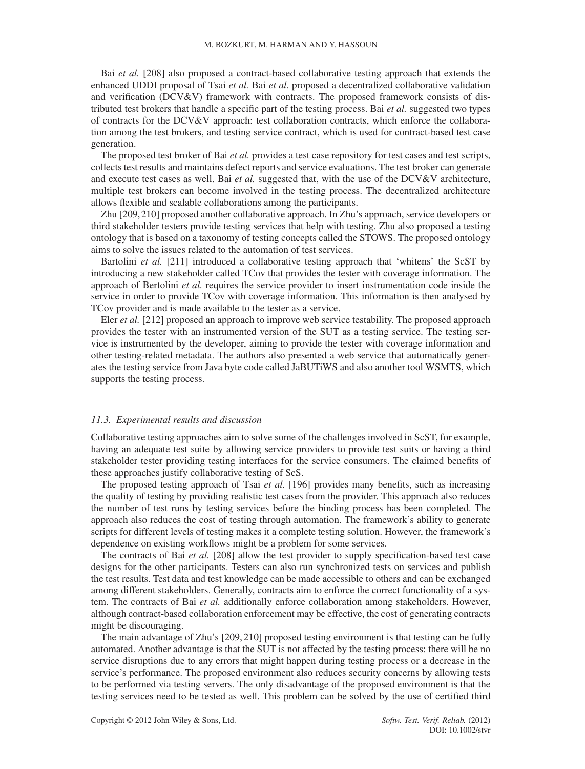Bai *et al.* [208] also proposed a contract-based collaborative testing approach that extends the enhanced UDDI proposal of Tsai *et al.* Bai *et al.* proposed a decentralized collaborative validation and verification (DCV&V) framework with contracts. The proposed framework consists of distributed test brokers that handle a specific part of the testing process. Bai *et al.* suggested two types of contracts for the DCV&V approach: test collaboration contracts, which enforce the collaboration among the test brokers, and testing service contract, which is used for contract-based test case generation.

The proposed test broker of Bai *et al.* provides a test case repository for test cases and test scripts, collects test results and maintains defect reports and service evaluations. The test broker can generate and execute test cases as well. Bai *et al.* suggested that, with the use of the DCV&V architecture, multiple test brokers can become involved in the testing process. The decentralized architecture allows flexible and scalable collaborations among the participants.

Zhu [209,210] proposed another collaborative approach. In Zhu's approach, service developers or third stakeholder testers provide testing services that help with testing. Zhu also proposed a testing ontology that is based on a taxonomy of testing concepts called the STOWS. The proposed ontology aims to solve the issues related to the automation of test services.

Bartolini *et al.* [211] introduced a collaborative testing approach that 'whitens' the ScST by introducing a new stakeholder called TCov that provides the tester with coverage information. The approach of Bertolini *et al.* requires the service provider to insert instrumentation code inside the service in order to provide TCov with coverage information. This information is then analysed by TCov provider and is made available to the tester as a service.

Eler *et al.* [212] proposed an approach to improve web service testability. The proposed approach provides the tester with an instrumented version of the SUT as a testing service. The testing service is instrumented by the developer, aiming to provide the tester with coverage information and other testing-related metadata. The authors also presented a web service that automatically generates the testing service from Java byte code called JaBUTiWS and also another tool WSMTS, which supports the testing process.

# *11.3. Experimental results and discussion*

Collaborative testing approaches aim to solve some of the challenges involved in ScST, for example, having an adequate test suite by allowing service providers to provide test suits or having a third stakeholder tester providing testing interfaces for the service consumers. The claimed benefits of these approaches justify collaborative testing of ScS.

The proposed testing approach of Tsai *et al.* [196] provides many benefits, such as increasing the quality of testing by providing realistic test cases from the provider. This approach also reduces the number of test runs by testing services before the binding process has been completed. The approach also reduces the cost of testing through automation. The framework's ability to generate scripts for different levels of testing makes it a complete testing solution. However, the framework's dependence on existing workflows might be a problem for some services.

The contracts of Bai *et al.* [208] allow the test provider to supply specification-based test case designs for the other participants. Testers can also run synchronized tests on services and publish the test results. Test data and test knowledge can be made accessible to others and can be exchanged among different stakeholders. Generally, contracts aim to enforce the correct functionality of a system. The contracts of Bai *et al.* additionally enforce collaboration among stakeholders. However, although contract-based collaboration enforcement may be effective, the cost of generating contracts might be discouraging.

The main advantage of Zhu's [209, 210] proposed testing environment is that testing can be fully automated. Another advantage is that the SUT is not affected by the testing process: there will be no service disruptions due to any errors that might happen during testing process or a decrease in the service's performance. The proposed environment also reduces security concerns by allowing tests to be performed via testing servers. The only disadvantage of the proposed environment is that the testing services need to be tested as well. This problem can be solved by the use of certified third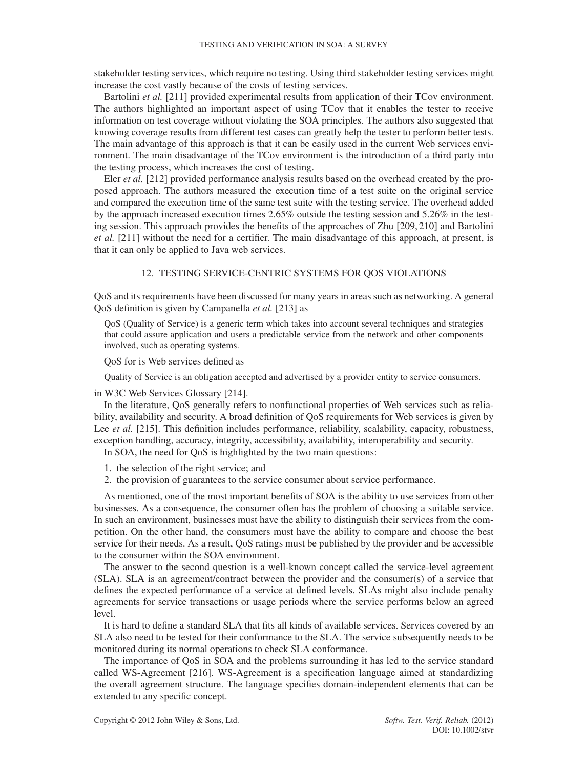stakeholder testing services, which require no testing. Using third stakeholder testing services might increase the cost vastly because of the costs of testing services.

Bartolini *et al.* [211] provided experimental results from application of their TCov environment. The authors highlighted an important aspect of using TCov that it enables the tester to receive information on test coverage without violating the SOA principles. The authors also suggested that knowing coverage results from different test cases can greatly help the tester to perform better tests. The main advantage of this approach is that it can be easily used in the current Web services environment. The main disadvantage of the TCov environment is the introduction of a third party into the testing process, which increases the cost of testing.

Eler *et al.* [212] provided performance analysis results based on the overhead created by the proposed approach. The authors measured the execution time of a test suite on the original service and compared the execution time of the same test suite with the testing service. The overhead added by the approach increased execution times 2.65% outside the testing session and 5.26% in the testing session. This approach provides the benefits of the approaches of Zhu [209, 210] and Bartolini *et al.* [211] without the need for a certifier. The main disadvantage of this approach, at present, is that it can only be applied to Java web services.

# 12. TESTING SERVICE-CENTRIC SYSTEMS FOR QOS VIOLATIONS

QoS and its requirements have been discussed for many years in areas such as networking. A general QoS definition is given by Campanella *et al.* [213] as

QoS (Quality of Service) is a generic term which takes into account several techniques and strategies that could assure application and users a predictable service from the network and other components involved, such as operating systems.

QoS for is Web services defined as

Quality of Service is an obligation accepted and advertised by a provider entity to service consumers.

in W3C Web Services Glossary [214].

In the literature, QoS generally refers to nonfunctional properties of Web services such as reliability, availability and security. A broad definition of QoS requirements for Web services is given by Lee *et al.* [215]. This definition includes performance, reliability, scalability, capacity, robustness, exception handling, accuracy, integrity, accessibility, availability, interoperability and security.

In SOA, the need for QoS is highlighted by the two main questions:

- 1. the selection of the right service; and
- 2. the provision of guarantees to the service consumer about service performance.

As mentioned, one of the most important benefits of SOA is the ability to use services from other businesses. As a consequence, the consumer often has the problem of choosing a suitable service. In such an environment, businesses must have the ability to distinguish their services from the competition. On the other hand, the consumers must have the ability to compare and choose the best service for their needs. As a result, QoS ratings must be published by the provider and be accessible to the consumer within the SOA environment.

The answer to the second question is a well-known concept called the service-level agreement (SLA). SLA is an agreement/contract between the provider and the consumer(s) of a service that defines the expected performance of a service at defined levels. SLAs might also include penalty agreements for service transactions or usage periods where the service performs below an agreed level.

It is hard to define a standard SLA that fits all kinds of available services. Services covered by an SLA also need to be tested for their conformance to the SLA. The service subsequently needs to be monitored during its normal operations to check SLA conformance.

The importance of QoS in SOA and the problems surrounding it has led to the service standard called WS-Agreement [216]. WS-Agreement is a specification language aimed at standardizing the overall agreement structure. The language specifies domain-independent elements that can be extended to any specific concept.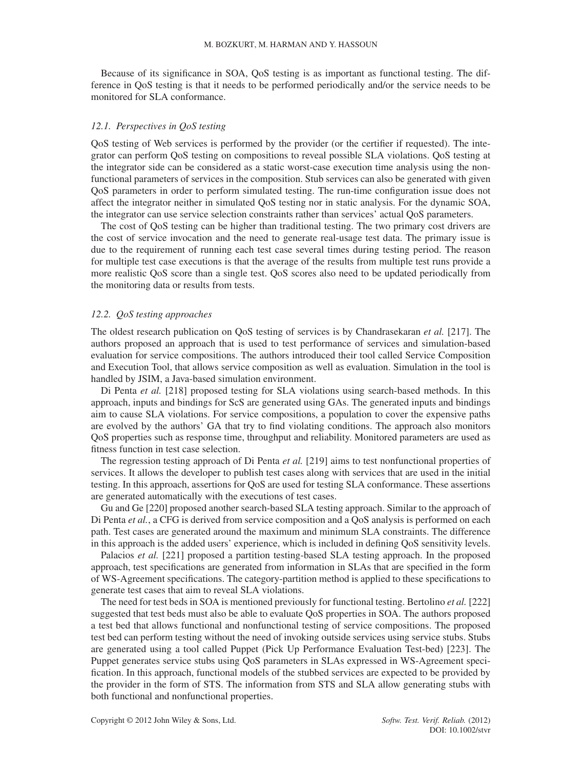Because of its significance in SOA, QoS testing is as important as functional testing. The difference in QoS testing is that it needs to be performed periodically and/or the service needs to be monitored for SLA conformance.

## *12.1. Perspectives in QoS testing*

QoS testing of Web services is performed by the provider (or the certifier if requested). The integrator can perform QoS testing on compositions to reveal possible SLA violations. QoS testing at the integrator side can be considered as a static worst-case execution time analysis using the nonfunctional parameters of services in the composition. Stub services can also be generated with given QoS parameters in order to perform simulated testing. The run-time configuration issue does not affect the integrator neither in simulated QoS testing nor in static analysis. For the dynamic SOA, the integrator can use service selection constraints rather than services' actual QoS parameters.

The cost of QoS testing can be higher than traditional testing. The two primary cost drivers are the cost of service invocation and the need to generate real-usage test data. The primary issue is due to the requirement of running each test case several times during testing period. The reason for multiple test case executions is that the average of the results from multiple test runs provide a more realistic QoS score than a single test. QoS scores also need to be updated periodically from the monitoring data or results from tests.

# *12.2. QoS testing approaches*

The oldest research publication on QoS testing of services is by Chandrasekaran *et al.* [217]. The authors proposed an approach that is used to test performance of services and simulation-based evaluation for service compositions. The authors introduced their tool called Service Composition and Execution Tool, that allows service composition as well as evaluation. Simulation in the tool is handled by JSIM, a Java-based simulation environment.

Di Penta *et al.* [218] proposed testing for SLA violations using search-based methods. In this approach, inputs and bindings for ScS are generated using GAs. The generated inputs and bindings aim to cause SLA violations. For service compositions, a population to cover the expensive paths are evolved by the authors' GA that try to find violating conditions. The approach also monitors QoS properties such as response time, throughput and reliability. Monitored parameters are used as fitness function in test case selection.

The regression testing approach of Di Penta *et al.* [219] aims to test nonfunctional properties of services. It allows the developer to publish test cases along with services that are used in the initial testing. In this approach, assertions for QoS are used for testing SLA conformance. These assertions are generated automatically with the executions of test cases.

Gu and Ge [220] proposed another search-based SLA testing approach. Similar to the approach of Di Penta *et al.*, a CFG is derived from service composition and a QoS analysis is performed on each path. Test cases are generated around the maximum and minimum SLA constraints. The difference in this approach is the added users' experience, which is included in defining QoS sensitivity levels.

Palacios *et al.* [221] proposed a partition testing-based SLA testing approach. In the proposed approach, test specifications are generated from information in SLAs that are specified in the form of WS-Agreement specifications. The category-partition method is applied to these specifications to generate test cases that aim to reveal SLA violations.

The need for test beds in SOA is mentioned previously for functional testing. Bertolino *et al.* [222] suggested that test beds must also be able to evaluate QoS properties in SOA. The authors proposed a test bed that allows functional and nonfunctional testing of service compositions. The proposed test bed can perform testing without the need of invoking outside services using service stubs. Stubs are generated using a tool called Puppet (Pick Up Performance Evaluation Test-bed) [223]. The Puppet generates service stubs using QoS parameters in SLAs expressed in WS-Agreement specification. In this approach, functional models of the stubbed services are expected to be provided by the provider in the form of STS. The information from STS and SLA allow generating stubs with both functional and nonfunctional properties.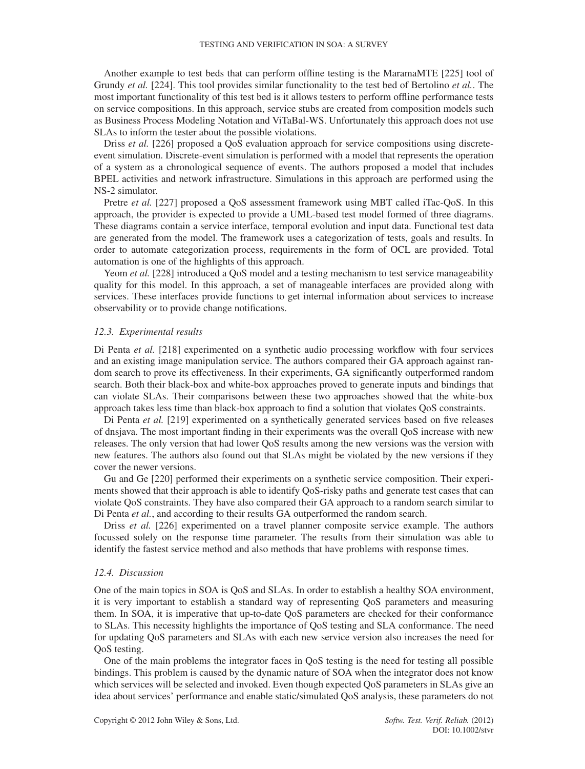Another example to test beds that can perform offline testing is the MaramaMTE [225] tool of Grundy *et al.* [224]. This tool provides similar functionality to the test bed of Bertolino *et al.*. The most important functionality of this test bed is it allows testers to perform offline performance tests on service compositions. In this approach, service stubs are created from composition models such as Business Process Modeling Notation and ViTaBal-WS. Unfortunately this approach does not use SLAs to inform the tester about the possible violations.

Driss *et al.* [226] proposed a QoS evaluation approach for service compositions using discreteevent simulation. Discrete-event simulation is performed with a model that represents the operation of a system as a chronological sequence of events. The authors proposed a model that includes BPEL activities and network infrastructure. Simulations in this approach are performed using the NS-2 simulator.

Pretre *et al.* [227] proposed a QoS assessment framework using MBT called iTac-QoS. In this approach, the provider is expected to provide a UML-based test model formed of three diagrams. These diagrams contain a service interface, temporal evolution and input data. Functional test data are generated from the model. The framework uses a categorization of tests, goals and results. In order to automate categorization process, requirements in the form of OCL are provided. Total automation is one of the highlights of this approach.

Yeom *et al.* [228] introduced a OoS model and a testing mechanism to test service manageability quality for this model. In this approach, a set of manageable interfaces are provided along with services. These interfaces provide functions to get internal information about services to increase observability or to provide change notifications.

#### *12.3. Experimental results*

Di Penta *et al.* [218] experimented on a synthetic audio processing workflow with four services and an existing image manipulation service. The authors compared their GA approach against random search to prove its effectiveness. In their experiments, GA significantly outperformed random search. Both their black-box and white-box approaches proved to generate inputs and bindings that can violate SLAs. Their comparisons between these two approaches showed that the white-box approach takes less time than black-box approach to find a solution that violates QoS constraints.

Di Penta *et al.* [219] experimented on a synthetically generated services based on five releases of dnsjava. The most important finding in their experiments was the overall QoS increase with new releases. The only version that had lower QoS results among the new versions was the version with new features. The authors also found out that SLAs might be violated by the new versions if they cover the newer versions.

Gu and Ge [220] performed their experiments on a synthetic service composition. Their experiments showed that their approach is able to identify QoS-risky paths and generate test cases that can violate QoS constraints. They have also compared their GA approach to a random search similar to Di Penta *et al.*, and according to their results GA outperformed the random search.

Driss *et al.* [226] experimented on a travel planner composite service example. The authors focussed solely on the response time parameter. The results from their simulation was able to identify the fastest service method and also methods that have problems with response times.

# *12.4. Discussion*

One of the main topics in SOA is QoS and SLAs. In order to establish a healthy SOA environment, it is very important to establish a standard way of representing QoS parameters and measuring them. In SOA, it is imperative that up-to-date QoS parameters are checked for their conformance to SLAs. This necessity highlights the importance of QoS testing and SLA conformance. The need for updating QoS parameters and SLAs with each new service version also increases the need for QoS testing.

One of the main problems the integrator faces in QoS testing is the need for testing all possible bindings. This problem is caused by the dynamic nature of SOA when the integrator does not know which services will be selected and invoked. Even though expected QoS parameters in SLAs give an idea about services' performance and enable static/simulated QoS analysis, these parameters do not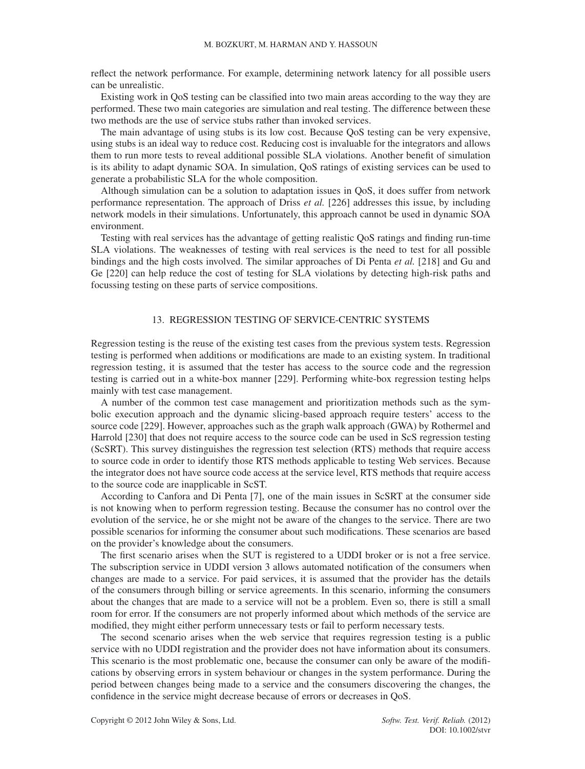reflect the network performance. For example, determining network latency for all possible users can be unrealistic.

Existing work in QoS testing can be classified into two main areas according to the way they are performed. These two main categories are simulation and real testing. The difference between these two methods are the use of service stubs rather than invoked services.

The main advantage of using stubs is its low cost. Because QoS testing can be very expensive, using stubs is an ideal way to reduce cost. Reducing cost is invaluable for the integrators and allows them to run more tests to reveal additional possible SLA violations. Another benefit of simulation is its ability to adapt dynamic SOA. In simulation, QoS ratings of existing services can be used to generate a probabilistic SLA for the whole composition.

Although simulation can be a solution to adaptation issues in QoS, it does suffer from network performance representation. The approach of Driss *et al.* [226] addresses this issue, by including network models in their simulations. Unfortunately, this approach cannot be used in dynamic SOA environment.

Testing with real services has the advantage of getting realistic QoS ratings and finding run-time SLA violations. The weaknesses of testing with real services is the need to test for all possible bindings and the high costs involved. The similar approaches of Di Penta *et al.* [218] and Gu and Ge [220] can help reduce the cost of testing for SLA violations by detecting high-risk paths and focussing testing on these parts of service compositions.

## 13. REGRESSION TESTING OF SERVICE-CENTRIC SYSTEMS

Regression testing is the reuse of the existing test cases from the previous system tests. Regression testing is performed when additions or modifications are made to an existing system. In traditional regression testing, it is assumed that the tester has access to the source code and the regression testing is carried out in a white-box manner [229]. Performing white-box regression testing helps mainly with test case management.

A number of the common test case management and prioritization methods such as the symbolic execution approach and the dynamic slicing-based approach require testers' access to the source code [229]. However, approaches such as the graph walk approach (GWA) by Rothermel and Harrold [230] that does not require access to the source code can be used in ScS regression testing (ScSRT). This survey distinguishes the regression test selection (RTS) methods that require access to source code in order to identify those RTS methods applicable to testing Web services. Because the integrator does not have source code access at the service level, RTS methods that require access to the source code are inapplicable in ScST.

According to Canfora and Di Penta [7], one of the main issues in ScSRT at the consumer side is not knowing when to perform regression testing. Because the consumer has no control over the evolution of the service, he or she might not be aware of the changes to the service. There are two possible scenarios for informing the consumer about such modifications. These scenarios are based on the provider's knowledge about the consumers.

The first scenario arises when the SUT is registered to a UDDI broker or is not a free service. The subscription service in UDDI version 3 allows automated notification of the consumers when changes are made to a service. For paid services, it is assumed that the provider has the details of the consumers through billing or service agreements. In this scenario, informing the consumers about the changes that are made to a service will not be a problem. Even so, there is still a small room for error. If the consumers are not properly informed about which methods of the service are modified, they might either perform unnecessary tests or fail to perform necessary tests.

The second scenario arises when the web service that requires regression testing is a public service with no UDDI registration and the provider does not have information about its consumers. This scenario is the most problematic one, because the consumer can only be aware of the modifications by observing errors in system behaviour or changes in the system performance. During the period between changes being made to a service and the consumers discovering the changes, the confidence in the service might decrease because of errors or decreases in QoS.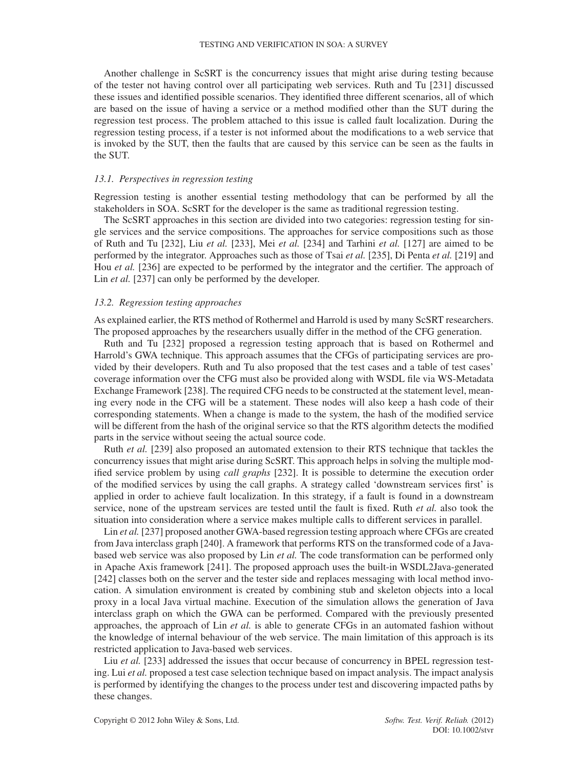Another challenge in ScSRT is the concurrency issues that might arise during testing because of the tester not having control over all participating web services. Ruth and Tu [231] discussed these issues and identified possible scenarios. They identified three different scenarios, all of which are based on the issue of having a service or a method modified other than the SUT during the regression test process. The problem attached to this issue is called fault localization. During the regression testing process, if a tester is not informed about the modifications to a web service that is invoked by the SUT, then the faults that are caused by this service can be seen as the faults in the SUT.

# *13.1. Perspectives in regression testing*

Regression testing is another essential testing methodology that can be performed by all the stakeholders in SOA. ScSRT for the developer is the same as traditional regression testing.

The ScSRT approaches in this section are divided into two categories: regression testing for single services and the service compositions. The approaches for service compositions such as those of Ruth and Tu [232], Liu *et al.* [233], Mei *et al.* [234] and Tarhini *et al.* [127] are aimed to be performed by the integrator. Approaches such as those of Tsai *et al.* [235], Di Penta *et al.* [219] and Hou *et al.* [236] are expected to be performed by the integrator and the certifier. The approach of Lin *et al.* [237] can only be performed by the developer.

# *13.2. Regression testing approaches*

As explained earlier, the RTS method of Rothermel and Harrold is used by many ScSRT researchers. The proposed approaches by the researchers usually differ in the method of the CFG generation.

Ruth and Tu [232] proposed a regression testing approach that is based on Rothermel and Harrold's GWA technique. This approach assumes that the CFGs of participating services are provided by their developers. Ruth and Tu also proposed that the test cases and a table of test cases' coverage information over the CFG must also be provided along with WSDL file via WS-Metadata Exchange Framework [238]. The required CFG needs to be constructed at the statement level, meaning every node in the CFG will be a statement. These nodes will also keep a hash code of their corresponding statements. When a change is made to the system, the hash of the modified service will be different from the hash of the original service so that the RTS algorithm detects the modified parts in the service without seeing the actual source code.

Ruth *et al.* [239] also proposed an automated extension to their RTS technique that tackles the concurrency issues that might arise during ScSRT. This approach helps in solving the multiple modified service problem by using *call graphs* [232]. It is possible to determine the execution order of the modified services by using the call graphs. A strategy called 'downstream services first' is applied in order to achieve fault localization. In this strategy, if a fault is found in a downstream service, none of the upstream services are tested until the fault is fixed. Ruth *et al.* also took the situation into consideration where a service makes multiple calls to different services in parallel.

Lin *et al.* [237] proposed another GWA-based regression testing approach where CFGs are created from Java interclass graph [240]. A framework that performs RTS on the transformed code of a Javabased web service was also proposed by Lin *et al.* The code transformation can be performed only in Apache Axis framework [241]. The proposed approach uses the built-in WSDL2Java-generated [242] classes both on the server and the tester side and replaces messaging with local method invocation. A simulation environment is created by combining stub and skeleton objects into a local proxy in a local Java virtual machine. Execution of the simulation allows the generation of Java interclass graph on which the GWA can be performed. Compared with the previously presented approaches, the approach of Lin *et al.* is able to generate CFGs in an automated fashion without the knowledge of internal behaviour of the web service. The main limitation of this approach is its restricted application to Java-based web services.

Liu *et al.* [233] addressed the issues that occur because of concurrency in BPEL regression testing. Lui *et al.* proposed a test case selection technique based on impact analysis. The impact analysis is performed by identifying the changes to the process under test and discovering impacted paths by these changes.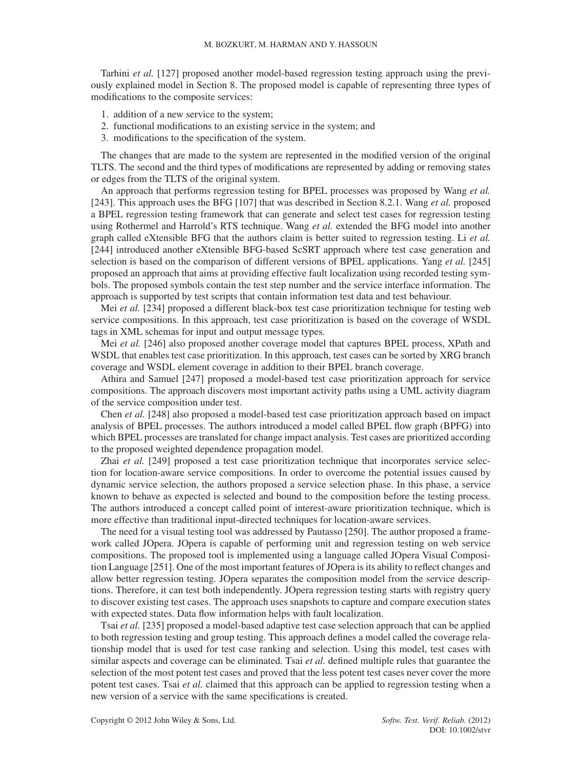Tarhini *et al.* [127] proposed another model-based regression testing approach using the previously explained model in Section 8. The proposed model is capable of representing three types of modifications to the composite services:

- 1. addition of a new service to the system;
- 2. functional modifications to an existing service in the system; and
- 3. modifications to the specification of the system.

The changes that are made to the system are represented in the modified version of the original TLTS. The second and the third types of modifications are represented by adding or removing states or edges from the TLTS of the original system.

An approach that performs regression testing for BPEL processes was proposed by Wang *et al.* [243]. This approach uses the BFG [107] that was described in Section 8.2.1. Wang *et al.* proposed a BPEL regression testing framework that can generate and select test cases for regression testing using Rothermel and Harrold's RTS technique. Wang *et al.* extended the BFG model into another graph called eXtensible BFG that the authors claim is better suited to regression testing. Li *et al.* [244] introduced another eXtensible BFG-based ScSRT approach where test case generation and selection is based on the comparison of different versions of BPEL applications. Yang *et al.* [245] proposed an approach that aims at providing effective fault localization using recorded testing symbols. The proposed symbols contain the test step number and the service interface information. The approach is supported by test scripts that contain information test data and test behaviour.

Mei *et al.* [234] proposed a different black-box test case prioritization technique for testing web service compositions. In this approach, test case prioritization is based on the coverage of WSDL tags in XML schemas for input and output message types.

Mei *et al.* [246] also proposed another coverage model that captures BPEL process, XPath and WSDL that enables test case prioritization. In this approach, test cases can be sorted by XRG branch coverage and WSDL element coverage in addition to their BPEL branch coverage.

Athira and Samuel [247] proposed a model-based test case prioritization approach for service compositions. The approach discovers most important activity paths using a UML activity diagram of the service composition under test.

Chen *et al.* [248] also proposed a model-based test case prioritization approach based on impact analysis of BPEL processes. The authors introduced a model called BPEL flow graph (BPFG) into which BPEL processes are translated for change impact analysis. Test cases are prioritized according to the proposed weighted dependence propagation model.

Zhai *et al.* [249] proposed a test case prioritization technique that incorporates service selection for location-aware service compositions. In order to overcome the potential issues caused by dynamic service selection, the authors proposed a service selection phase. In this phase, a service known to behave as expected is selected and bound to the composition before the testing process. The authors introduced a concept called point of interest-aware prioritization technique, which is more effective than traditional input-directed techniques for location-aware services.

The need for a visual testing tool was addressed by Pautasso [250]. The author proposed a framework called JOpera. JOpera is capable of performing unit and regression testing on web service compositions. The proposed tool is implemented using a language called JOpera Visual Composition Language [251]. One of the most important features of JOpera is its ability to reflect changes and allow better regression testing. JOpera separates the composition model from the service descriptions. Therefore, it can test both independently. JOpera regression testing starts with registry query to discover existing test cases. The approach uses snapshots to capture and compare execution states with expected states. Data flow information helps with fault localization.

Tsai *et al.* [235] proposed a model-based adaptive test case selection approach that can be applied to both regression testing and group testing. This approach defines a model called the coverage relationship model that is used for test case ranking and selection. Using this model, test cases with similar aspects and coverage can be eliminated. Tsai *et al.* defined multiple rules that guarantee the selection of the most potent test cases and proved that the less potent test cases never cover the more potent test cases. Tsai *et al.* claimed that this approach can be applied to regression testing when a new version of a service with the same specifications is created.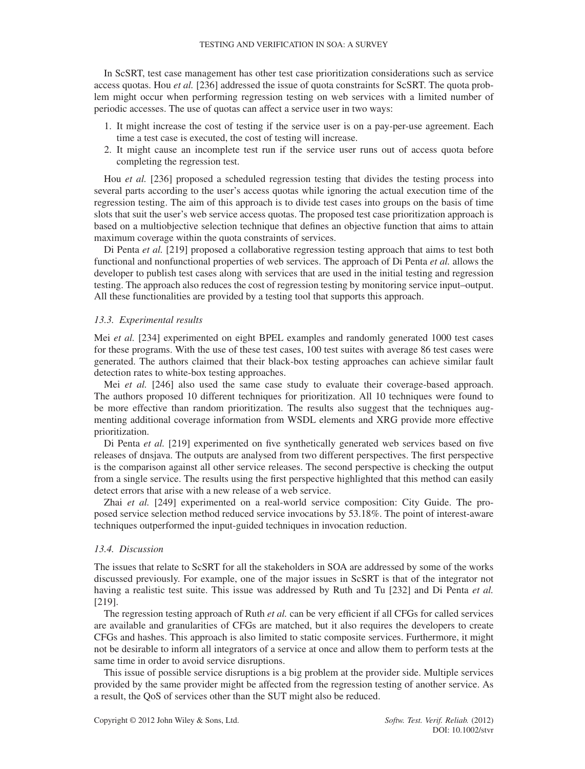In ScSRT, test case management has other test case prioritization considerations such as service access quotas. Hou *et al.* [236] addressed the issue of quota constraints for ScSRT. The quota problem might occur when performing regression testing on web services with a limited number of periodic accesses. The use of quotas can affect a service user in two ways:

- 1. It might increase the cost of testing if the service user is on a pay-per-use agreement. Each time a test case is executed, the cost of testing will increase.
- 2. It might cause an incomplete test run if the service user runs out of access quota before completing the regression test.

Hou *et al.* [236] proposed a scheduled regression testing that divides the testing process into several parts according to the user's access quotas while ignoring the actual execution time of the regression testing. The aim of this approach is to divide test cases into groups on the basis of time slots that suit the user's web service access quotas. The proposed test case prioritization approach is based on a multiobjective selection technique that defines an objective function that aims to attain maximum coverage within the quota constraints of services.

Di Penta *et al.* [219] proposed a collaborative regression testing approach that aims to test both functional and nonfunctional properties of web services. The approach of Di Penta *et al.* allows the developer to publish test cases along with services that are used in the initial testing and regression testing. The approach also reduces the cost of regression testing by monitoring service input–output. All these functionalities are provided by a testing tool that supports this approach.

## *13.3. Experimental results*

Mei *et al.* [234] experimented on eight BPEL examples and randomly generated 1000 test cases for these programs. With the use of these test cases, 100 test suites with average 86 test cases were generated. The authors claimed that their black-box testing approaches can achieve similar fault detection rates to white-box testing approaches.

Mei *et al.* [246] also used the same case study to evaluate their coverage-based approach. The authors proposed 10 different techniques for prioritization. All 10 techniques were found to be more effective than random prioritization. The results also suggest that the techniques augmenting additional coverage information from WSDL elements and XRG provide more effective prioritization.

Di Penta *et al.* [219] experimented on five synthetically generated web services based on five releases of dnsjava. The outputs are analysed from two different perspectives. The first perspective is the comparison against all other service releases. The second perspective is checking the output from a single service. The results using the first perspective highlighted that this method can easily detect errors that arise with a new release of a web service.

Zhai *et al.* [249] experimented on a real-world service composition: City Guide. The proposed service selection method reduced service invocations by 53.18%. The point of interest-aware techniques outperformed the input-guided techniques in invocation reduction.

## *13.4. Discussion*

The issues that relate to ScSRT for all the stakeholders in SOA are addressed by some of the works discussed previously. For example, one of the major issues in ScSRT is that of the integrator not having a realistic test suite. This issue was addressed by Ruth and Tu [232] and Di Penta *et al.* [219].

The regression testing approach of Ruth *et al.* can be very efficient if all CFGs for called services are available and granularities of CFGs are matched, but it also requires the developers to create CFGs and hashes. This approach is also limited to static composite services. Furthermore, it might not be desirable to inform all integrators of a service at once and allow them to perform tests at the same time in order to avoid service disruptions.

This issue of possible service disruptions is a big problem at the provider side. Multiple services provided by the same provider might be affected from the regression testing of another service. As a result, the QoS of services other than the SUT might also be reduced.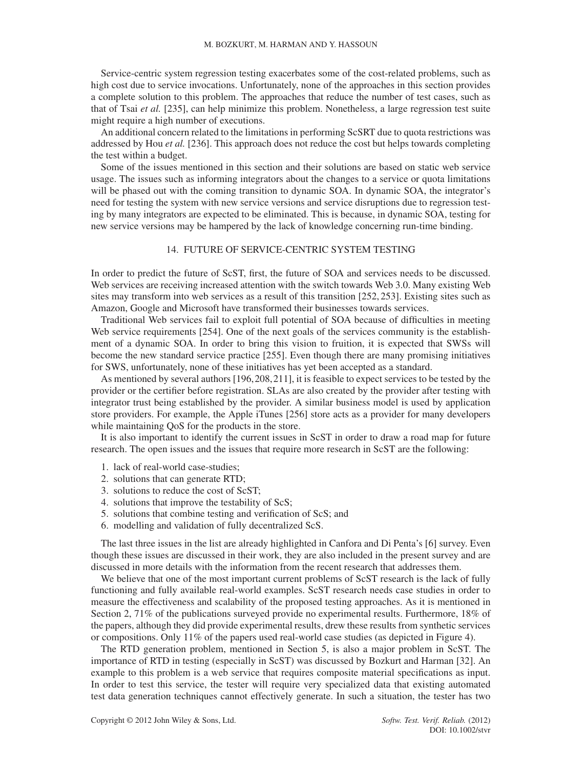Service-centric system regression testing exacerbates some of the cost-related problems, such as high cost due to service invocations. Unfortunately, none of the approaches in this section provides a complete solution to this problem. The approaches that reduce the number of test cases, such as that of Tsai *et al.* [235], can help minimize this problem. Nonetheless, a large regression test suite might require a high number of executions.

An additional concern related to the limitations in performing ScSRT due to quota restrictions was addressed by Hou *et al.* [236]. This approach does not reduce the cost but helps towards completing the test within a budget.

Some of the issues mentioned in this section and their solutions are based on static web service usage. The issues such as informing integrators about the changes to a service or quota limitations will be phased out with the coming transition to dynamic SOA. In dynamic SOA, the integrator's need for testing the system with new service versions and service disruptions due to regression testing by many integrators are expected to be eliminated. This is because, in dynamic SOA, testing for new service versions may be hampered by the lack of knowledge concerning run-time binding.

#### 14. FUTURE OF SERVICE-CENTRIC SYSTEM TESTING

In order to predict the future of ScST, first, the future of SOA and services needs to be discussed. Web services are receiving increased attention with the switch towards Web 3.0. Many existing Web sites may transform into web services as a result of this transition [252, 253]. Existing sites such as Amazon, Google and Microsoft have transformed their businesses towards services.

Traditional Web services fail to exploit full potential of SOA because of difficulties in meeting Web service requirements [254]. One of the next goals of the services community is the establishment of a dynamic SOA. In order to bring this vision to fruition, it is expected that SWSs will become the new standard service practice [255]. Even though there are many promising initiatives for SWS, unfortunately, none of these initiatives has yet been accepted as a standard.

As mentioned by several authors [196,208,211], it is feasible to expect services to be tested by the provider or the certifier before registration. SLAs are also created by the provider after testing with integrator trust being established by the provider. A similar business model is used by application store providers. For example, the Apple iTunes [256] store acts as a provider for many developers while maintaining QoS for the products in the store.

It is also important to identify the current issues in ScST in order to draw a road map for future research. The open issues and the issues that require more research in ScST are the following:

- 1. lack of real-world case-studies;
- 2. solutions that can generate RTD;
- 3. solutions to reduce the cost of ScST;
- 4. solutions that improve the testability of ScS;
- 5. solutions that combine testing and verification of ScS; and
- 6. modelling and validation of fully decentralized ScS.

The last three issues in the list are already highlighted in Canfora and Di Penta's [6] survey. Even though these issues are discussed in their work, they are also included in the present survey and are discussed in more details with the information from the recent research that addresses them.

We believe that one of the most important current problems of ScST research is the lack of fully functioning and fully available real-world examples. ScST research needs case studies in order to measure the effectiveness and scalability of the proposed testing approaches. As it is mentioned in Section 2, 71% of the publications surveyed provide no experimental results. Furthermore, 18% of the papers, although they did provide experimental results, drew these results from synthetic services or compositions. Only 11% of the papers used real-world case studies (as depicted in Figure 4).

The RTD generation problem, mentioned in Section 5, is also a major problem in ScST. The importance of RTD in testing (especially in ScST) was discussed by Bozkurt and Harman [32]. An example to this problem is a web service that requires composite material specifications as input. In order to test this service, the tester will require very specialized data that existing automated test data generation techniques cannot effectively generate. In such a situation, the tester has two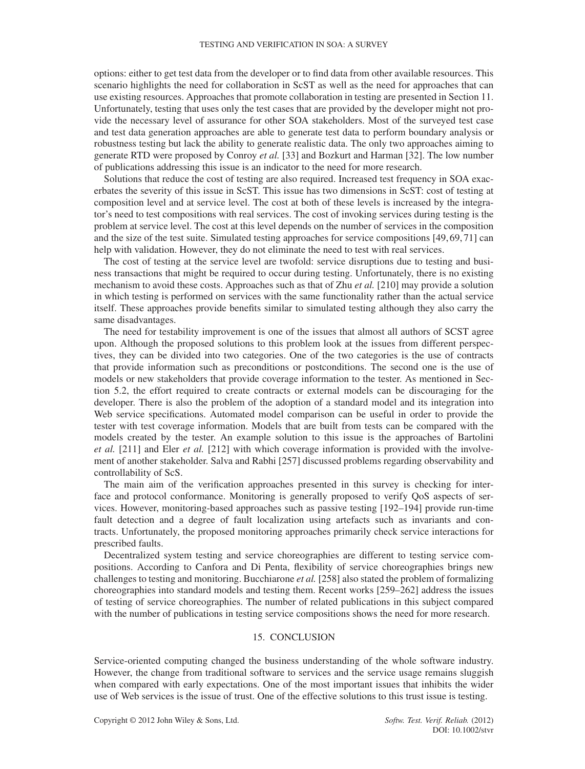options: either to get test data from the developer or to find data from other available resources. This scenario highlights the need for collaboration in ScST as well as the need for approaches that can use existing resources. Approaches that promote collaboration in testing are presented in Section 11. Unfortunately, testing that uses only the test cases that are provided by the developer might not provide the necessary level of assurance for other SOA stakeholders. Most of the surveyed test case and test data generation approaches are able to generate test data to perform boundary analysis or robustness testing but lack the ability to generate realistic data. The only two approaches aiming to generate RTD were proposed by Conroy *et al.* [33] and Bozkurt and Harman [32]. The low number of publications addressing this issue is an indicator to the need for more research.

Solutions that reduce the cost of testing are also required. Increased test frequency in SOA exacerbates the severity of this issue in ScST. This issue has two dimensions in ScST: cost of testing at composition level and at service level. The cost at both of these levels is increased by the integrator's need to test compositions with real services. The cost of invoking services during testing is the problem at service level. The cost at this level depends on the number of services in the composition and the size of the test suite. Simulated testing approaches for service compositions [49, 69, 71] can help with validation. However, they do not eliminate the need to test with real services.

The cost of testing at the service level are twofold: service disruptions due to testing and business transactions that might be required to occur during testing. Unfortunately, there is no existing mechanism to avoid these costs. Approaches such as that of Zhu *et al.* [210] may provide a solution in which testing is performed on services with the same functionality rather than the actual service itself. These approaches provide benefits similar to simulated testing although they also carry the same disadvantages.

The need for testability improvement is one of the issues that almost all authors of SCST agree upon. Although the proposed solutions to this problem look at the issues from different perspectives, they can be divided into two categories. One of the two categories is the use of contracts that provide information such as preconditions or postconditions. The second one is the use of models or new stakeholders that provide coverage information to the tester. As mentioned in Section 5.2, the effort required to create contracts or external models can be discouraging for the developer. There is also the problem of the adoption of a standard model and its integration into Web service specifications. Automated model comparison can be useful in order to provide the tester with test coverage information. Models that are built from tests can be compared with the models created by the tester. An example solution to this issue is the approaches of Bartolini *et al.* [211] and Eler *et al.* [212] with which coverage information is provided with the involvement of another stakeholder. Salva and Rabhi [257] discussed problems regarding observability and controllability of ScS.

The main aim of the verification approaches presented in this survey is checking for interface and protocol conformance. Monitoring is generally proposed to verify QoS aspects of services. However, monitoring-based approaches such as passive testing [192–194] provide run-time fault detection and a degree of fault localization using artefacts such as invariants and contracts. Unfortunately, the proposed monitoring approaches primarily check service interactions for prescribed faults.

Decentralized system testing and service choreographies are different to testing service compositions. According to Canfora and Di Penta, flexibility of service choreographies brings new challenges to testing and monitoring. Bucchiarone *et al.* [258] also stated the problem of formalizing choreographies into standard models and testing them. Recent works [259–262] address the issues of testing of service choreographies. The number of related publications in this subject compared with the number of publications in testing service compositions shows the need for more research.

#### 15. CONCLUSION

Service-oriented computing changed the business understanding of the whole software industry. However, the change from traditional software to services and the service usage remains sluggish when compared with early expectations. One of the most important issues that inhibits the wider use of Web services is the issue of trust. One of the effective solutions to this trust issue is testing.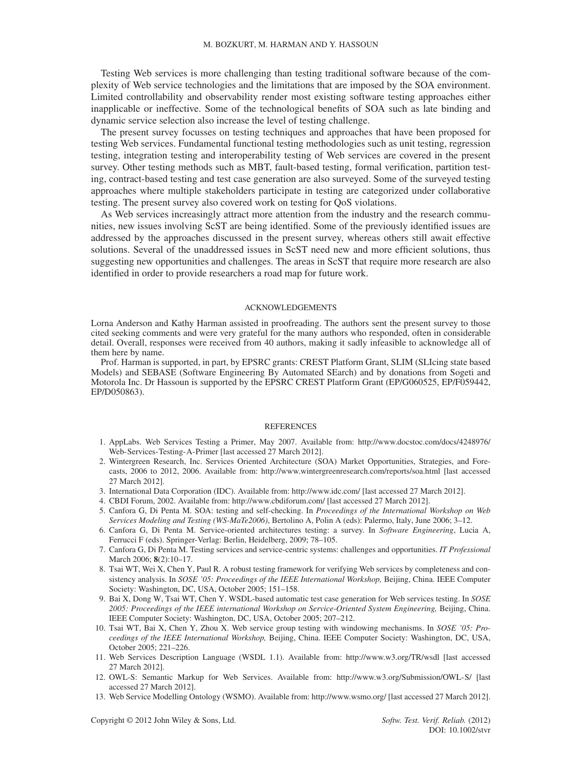Testing Web services is more challenging than testing traditional software because of the complexity of Web service technologies and the limitations that are imposed by the SOA environment. Limited controllability and observability render most existing software testing approaches either inapplicable or ineffective. Some of the technological benefits of SOA such as late binding and dynamic service selection also increase the level of testing challenge.

The present survey focusses on testing techniques and approaches that have been proposed for testing Web services. Fundamental functional testing methodologies such as unit testing, regression testing, integration testing and interoperability testing of Web services are covered in the present survey. Other testing methods such as MBT, fault-based testing, formal verification, partition testing, contract-based testing and test case generation are also surveyed. Some of the surveyed testing approaches where multiple stakeholders participate in testing are categorized under collaborative testing. The present survey also covered work on testing for QoS violations.

As Web services increasingly attract more attention from the industry and the research communities, new issues involving ScST are being identified. Some of the previously identified issues are addressed by the approaches discussed in the present survey, whereas others still await effective solutions. Several of the unaddressed issues in ScST need new and more efficient solutions, thus suggesting new opportunities and challenges. The areas in ScST that require more research are also identified in order to provide researchers a road map for future work.

#### ACKNOWLEDGEMENTS

Lorna Anderson and Kathy Harman assisted in proofreading. The authors sent the present survey to those cited seeking comments and were very grateful for the many authors who responded, often in considerable detail. Overall, responses were received from 40 authors, making it sadly infeasible to acknowledge all of them here by name.

Prof. Harman is supported, in part, by EPSRC grants: CREST Platform Grant, SLIM (SLIcing state based Models) and SEBASE (Software Engineering By Automated SEarch) and by donations from Sogeti and Motorola Inc. Dr Hassoun is supported by the EPSRC CREST Platform Grant (EP/G060525, EP/F059442, EP/D050863).

## **REFERENCES**

- 1. AppLabs. Web Services Testing a Primer, May 2007. Available from: http://www.docstoc.com/docs/4248976/ Web-Services-Testing-A-Primer [last accessed 27 March 2012].
- 2. Wintergreen Research, Inc. Services Oriented Architecture (SOA) Market Opportunities, Strategies, and Forecasts, 2006 to 2012, 2006. Available from: http://www.wintergreenresearch.com/reports/soa.html [last accessed 27 March 2012].
- 3. International Data Corporation (IDC). Available from: http://www.idc.com/ [last accessed 27 March 2012].
- 4. CBDI Forum, 2002. Available from: http://www.cbdiforum.com/ [last accessed 27 March 2012].
- 5. Canfora G, Di Penta M. SOA: testing and self-checking. In *Proceedings of the International Workshop on Web Services Modeling and Testing (WS-MaTe2006)*, Bertolino A, Polin A (eds): Palermo, Italy, June 2006; 3–12.
- 6. Canfora G, Di Penta M. Service-oriented architectures testing: a survey. In *Software Engineering*, Lucia A, Ferrucci F (eds). Springer-Verlag: Berlin, Heidelberg, 2009; 78–105.
- 7. Canfora G, Di Penta M. Testing services and service-centric systems: challenges and opportunities. *IT Professional* March 2006; **8**(2):10–17.
- 8. Tsai WT, Wei X, Chen Y, Paul R. A robust testing framework for verifying Web services by completeness and consistency analysis. In *SOSE '05: Proceedings of the IEEE International Workshop,* Beijing, China. IEEE Computer Society: Washington, DC, USA, October 2005; 151–158.
- 9. Bai X, Dong W, Tsai WT, Chen Y. WSDL-based automatic test case generation for Web services testing. In *SOSE 2005: Proceedings of the IEEE international Workshop on Service-Oriented System Engineering,* Beijing, China. IEEE Computer Society: Washington, DC, USA, October 2005; 207–212.
- 10. Tsai WT, Bai X, Chen Y, Zhou X. Web service group testing with windowing mechanisms. In *SOSE '05: Proceedings of the IEEE International Workshop,* Beijing, China. IEEE Computer Society: Washington, DC, USA, October 2005; 221–226.
- 11. Web Services Description Language (WSDL 1.1). Available from: http://www.w3.org/TR/wsdl [last accessed 27 March 2012].
- 12. OWL-S: Semantic Markup for Web Services. Available from: http://www.w3.org/Submission/OWL-S/ [last accessed 27 March 2012].
- 13. Web Service Modelling Ontology (WSMO). Available from: http://www.wsmo.org/ [last accessed 27 March 2012].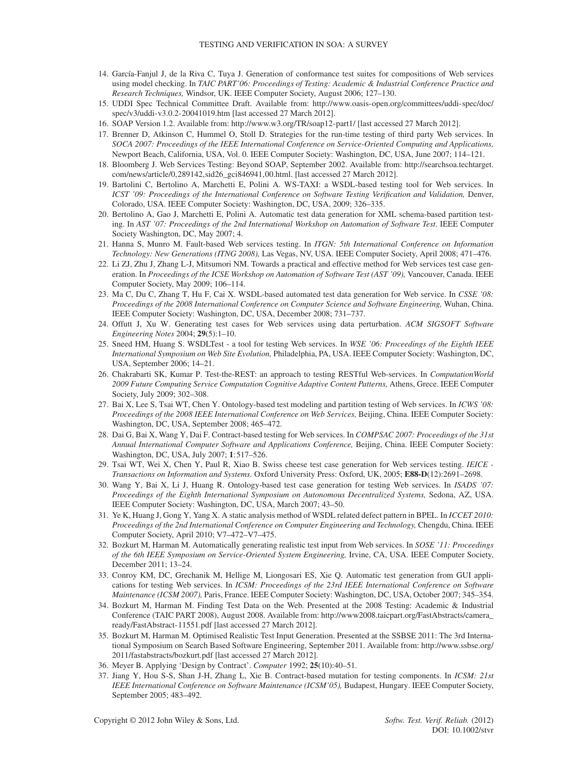- 14. García-Fanjul J, de la Riva C, Tuya J. Generation of conformance test suites for compositions of Web services using model checking. In *TAIC PART'06: Proceedings of Testing: Academic & Industrial Conference Practice and Research Techniques,* Windsor, UK. IEEE Computer Society, August 2006; 127–130.
- 15. UDDI Spec Technical Committee Draft. Available from: http://www.oasis-open.org/committees/uddi-spec/doc/ spec/v3/uddi-v3.0.2-20041019.htm [last accessed 27 March 2012].
- 16. SOAP Version 1.2. Available from: http://www.w3.org/TR/soap12-part1/ [last accessed 27 March 2012].
- 17. Brenner D, Atkinson C, Hummel O, Stoll D. Strategies for the run-time testing of third party Web services. In *SOCA 2007: Proceedings of the IEEE International Conference on Service-Oriented Computing and Applications,* Newport Beach, California, USA, Vol. 0. IEEE Computer Society: Washington, DC, USA, June 2007; 114–121.
- 18. Bloomberg J. Web Services Testing: Beyond SOAP, September 2002. Available from: http://searchsoa.techtarget. com/news/article/0,289142,sid26\_gci846941,00.html. [last accessed 27 March 2012].
- 19. Bartolini C, Bertolino A, Marchetti E, Polini A. WS-TAXI: a WSDL-based testing tool for Web services. In *ICST '09: Proceedings of the International Conference on Software Testing Verification and Validation,* Denver, Colorado, USA. IEEE Computer Society: Washington, DC, USA, 2009; 326–335.
- 20. Bertolino A, Gao J, Marchetti E, Polini A. Automatic test data generation for XML schema-based partition testing. In *AST '07: Proceedings of the 2nd International Workshop on Automation of Software Test*. IEEE Computer Society Washington, DC, May 2007; 4.
- 21. Hanna S, Munro M. Fault-based Web services testing. In *ITGN: 5th International Conference on Information Technology: New Generations (ITNG 2008),* Las Vegas, NV, USA. IEEE Computer Society, April 2008; 471–476.
- 22. Li ZJ, Zhu J, Zhang L-J, Mitsumori NM. Towards a practical and effective method for Web services test case generation. In *Proceedings of the ICSE Workshop on Automation of Software Test (AST '09),* Vancouver, Canada. IEEE Computer Society, May 2009; 106–114.
- 23. Ma C, Du C, Zhang T, Hu F, Cai X. WSDL-based automated test data generation for Web service. In *CSSE '08: Proceedings of the 2008 International Conference on Computer Science and Software Engineering,* Wuhan, China. IEEE Computer Society: Washington, DC, USA, December 2008; 731–737.
- 24. Offutt J, Xu W. Generating test cases for Web services using data perturbation. *ACM SIGSOFT Software Engineering Notes* 2004; **29**(5):1–10.
- 25. Sneed HM, Huang S. WSDLTest a tool for testing Web services. In *WSE '06: Proceedings of the Eighth IEEE International Symposium on Web Site Evolution,* Philadelphia, PA, USA. IEEE Computer Society: Washington, DC, USA, September 2006; 14–21.
- 26. Chakrabarti SK, Kumar P. Test-the-REST: an approach to testing RESTful Web-services. In *ComputationWorld 2009 Future Computing Service Computation Cognitive Adaptive Content Patterns,* Athens, Grece. IEEE Computer Society, July 2009; 302–308.
- 27. Bai X, Lee S, Tsai WT, Chen Y. Ontology-based test modeling and partition testing of Web services. In *ICWS '08: Proceedings of the 2008 IEEE International Conference on Web Services,* Beijing, China. IEEE Computer Society: Washington, DC, USA, September 2008; 465–472.
- 28. Dai G, Bai X, Wang Y, Dai F. Contract-based testing for Web services. In *COMPSAC 2007: Proceedings of the 31st Annual International Computer Software and Applications Conference,* Beijing, China. IEEE Computer Society: Washington, DC, USA, July 2007; **1**:517–526.
- 29. Tsai WT, Wei X, Chen Y, Paul R, Xiao B. Swiss cheese test case generation for Web services testing. *IEICE - Transactions on Information and Systems.* Oxford University Press: Oxford, UK, 2005; **E88-D**(12):2691–2698.
- 30. Wang Y, Bai X, Li J, Huang R. Ontology-based test case generation for testing Web services. In *ISADS '07: Proceedings of the Eighth International Symposium on Autonomous Decentralized Systems,* Sedona, AZ, USA. IEEE Computer Society: Washington, DC, USA, March 2007; 43–50.
- 31. Ye K, Huang J, Gong Y, Yang X. A static analysis method of WSDL related defect pattern in BPEL. In *ICCET 2010: Proceedings of the 2nd International Conference on Computer Engineering and Technology,* Chengdu, China. IEEE Computer Society, April 2010; V7–472–V7–475.
- 32. Bozkurt M, Harman M. Automatically generating realistic test input from Web services. In *SOSE '11: Proceedings of the 6th IEEE Symposium on Service-Oriented System Engineering,* Irvine, CA, USA. IEEE Computer Society, December 2011; 13–24.
- 33. Conroy KM, DC, Grechanik M, Hellige M, Liongosari ES, Xie Q. Automatic test generation from GUI applications for testing Web services. In *ICSM: Proceedings of the 23rd IEEE International Conference on Software Maintenance (ICSM 2007),* Paris, France. IEEE Computer Society: Washington, DC, USA, October 2007; 345–354.
- 34. Bozkurt M, Harman M. Finding Test Data on the Web. Presented at the 2008 Testing: Academic & Industrial Conference (TAIC PART 2008), August 2008. Available from: http://www2008.taicpart.org/FastAbstracts/camera\_ ready/FastAbstract-11551.pdf [last accessed 27 March 2012].
- 35. Bozkurt M, Harman M. Optimised Realistic Test Input Generation. Presented at the SSBSE 2011: The 3rd International Symposium on Search Based Software Engineering, September 2011. Available from: http://www.ssbse.org/ 2011/fastabstracts/bozkurt.pdf [last accessed 27 March 2012].
- 36. Meyer B. Applying 'Design by Contract'. *Computer* 1992; **25**(10):40–51.
- 37. Jiang Y, Hou S-S, Shan J-H, Zhang L, Xie B. Contract-based mutation for testing components. In *ICSM: 21st IEEE International Conference on Software Maintenance (ICSM'05),* Budapest, Hungary. IEEE Computer Society, September 2005; 483–492.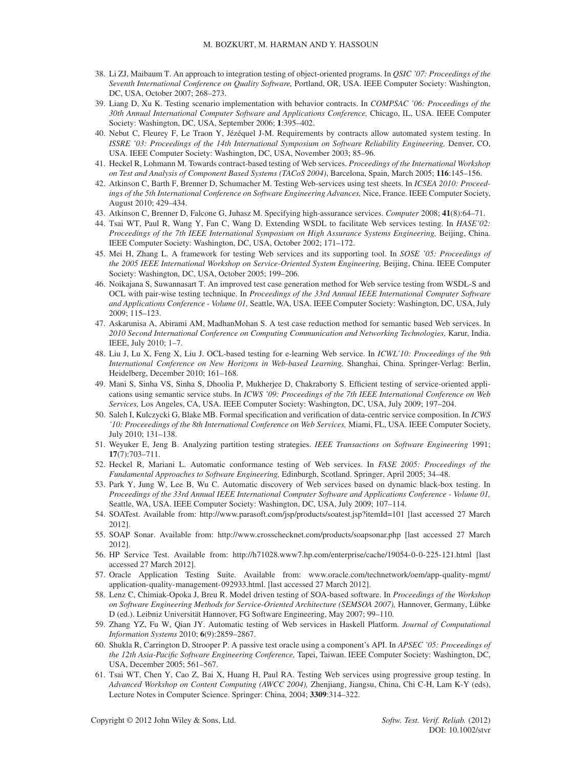- 38. Li ZJ, Maibaum T. An approach to integration testing of object-oriented programs. In *QSIC '07: Proceedings of the Seventh International Conference on Quality Software,* Portland, OR, USA. IEEE Computer Society: Washington, DC, USA, October 2007; 268–273.
- 39. Liang D, Xu K. Testing scenario implementation with behavior contracts. In *COMPSAC '06: Proceedings of the 30th Annual International Computer Software and Applications Conference,* Chicago, IL, USA. IEEE Computer Society: Washington, DC, USA, September 2006; **1**:395–402.
- 40. Nebut C, Fleurey F, Le Traon Y, Jézéquel J-M. Requirements by contracts allow automated system testing. In *ISSRE '03: Proceedings of the 14th International Symposium on Software Reliability Engineering,* Denver, CO, USA. IEEE Computer Society: Washington, DC, USA, November 2003; 85–96.
- 41. Heckel R, Lohmann M. Towards contract-based testing of Web services. *Proceedings of the International Workshop on Test and Analysis of Component Based Systems (TACoS 2004)*, Barcelona, Spain, March 2005; **116**:145–156.
- 42. Atkinson C, Barth F, Brenner D, Schumacher M. Testing Web-services using test sheets. In *ICSEA 2010: Proceedings of the 5th International Conference on Software Engineering Advances,* Nice, France. IEEE Computer Society, August 2010; 429–434.
- 43. Atkinson C, Brenner D, Falcone G, Juhasz M. Specifying high-assurance services. *Computer* 2008; **41**(8):64–71.
- 44. Tsai WT, Paul R, Wang Y, Fan C, Wang D. Extending WSDL to facilitate Web services testing. In *HASE'02: Proceedings of the 7th IEEE International Symposium on High Assurance Systems Engineering,* Beijing, China. IEEE Computer Society: Washington, DC, USA, October 2002; 171–172.
- 45. Mei H, Zhang L. A framework for testing Web services and its supporting tool. In *SOSE '05: Proceedings of the 2005 IEEE International Workshop on Service-Oriented System Engineering,* Beijing, China. IEEE Computer Society: Washington, DC, USA, October 2005; 199–206.
- 46. Noikajana S, Suwannasart T. An improved test case generation method for Web service testing from WSDL-S and OCL with pair-wise testing technique. In *Proceedings of the 33rd Annual IEEE International Computer Software and Applications Conference - Volume 01,* Seattle, WA, USA. IEEE Computer Society: Washington, DC, USA, July  $2009 \cdot 115 - 123$
- 47. Askarunisa A, Abirami AM, MadhanMohan S. A test case reduction method for semantic based Web services. In *2010 Second International Conference on Computing Communication and Networking Technologies,* Karur, India. IEEE, July 2010; 1–7.
- 48. Liu J, Lu X, Feng X, Liu J. OCL-based testing for e-learning Web service. In *ICWL'10: Proceedings of the 9th International Conference on New Horizons in Web-based Learning,* Shanghai, China. Springer-Verlag: Berlin, Heidelberg, December 2010; 161–168.
- 49. Mani S, Sinha VS, Sinha S, Dhoolia P, Mukherjee D, Chakraborty S. Efficient testing of service-oriented applications using semantic service stubs. In *ICWS '09: Proceedings of the 7th IEEE International Conference on Web Services,* Los Angeles, CA, USA. IEEE Computer Society: Washington, DC, USA, July 2009; 197–204.
- 50. Saleh I, Kulczycki G, Blake MB. Formal specification and verification of data-centric service composition. In *ICWS '10: Proceeedings of the 8th International Conference on Web Services,* Miami, FL, USA. IEEE Computer Society, July 2010; 131–138.
- 51. Weyuker E, Jeng B. Analyzing partition testing strategies. *IEEE Transactions on Software Engineering* 1991; **17**(7):703–711.
- 52. Heckel R, Mariani L. Automatic conformance testing of Web services. In *FASE 2005: Proceedings of the Fundamental Approaches to Software Engineering,* Edinburgh, Scotland. Springer, April 2005; 34–48.
- 53. Park Y, Jung W, Lee B, Wu C. Automatic discovery of Web services based on dynamic black-box testing. In *Proceedings of the 33rd Annual IEEE International Computer Software and Applications Conference - Volume 01,* Seattle, WA, USA. IEEE Computer Society: Washington, DC, USA, July 2009; 107–114.
- 54. SOATest. Available from: http://www.parasoft.com/jsp/products/soatest.jsp?itemId=101 [last accessed 27 March 2012].
- 55. SOAP Sonar. Available from: http://www.crosschecknet.com/products/soapsonar.php [last accessed 27 March 2012].
- 56. HP Service Test. Available from: http://h71028.www7.hp.com/enterprise/cache/19054-0-0-225-121.html [last accessed 27 March 2012].
- 57. Oracle Application Testing Suite. Available from: www.oracle.com/technetwork/oem/app-quality-mgmt/ application-quality-management-092933.html. [last accessed 27 March 2012].
- 58. Lenz C, Chimiak-Opoka J, Breu R. Model driven testing of SOA-based software. In *Proceedings of the Workshop on Software Engineering Methods for Service-Oriented Architecture (SEMSOA 2007),* Hannover, Germany, Lübke D (ed.). Leibniz Universität Hannover, FG Software Engineering, May 2007; 99–110.
- 59. Zhang YZ, Fu W, Qian JY. Automatic testing of Web services in Haskell Platform. *Journal of Computational Information Systems* 2010; **6**(9):2859–2867.
- 60. Shukla R, Carrington D, Strooper P. A passive test oracle using a component's API. In *APSEC '05: Proceedings of the 12th Asia-Pacific Software Engineering Conference,* Tapei, Taiwan. IEEE Computer Society: Washington, DC, USA, December 2005; 561–567.
- 61. Tsai WT, Chen Y, Cao Z, Bai X, Huang H, Paul RA. Testing Web services using progressive group testing. In *Advanced Workshop on Content Computing (AWCC 2004),* Zhenjiang, Jiangsu, China, Chi C-H, Lam K-Y (eds), Lecture Notes in Computer Science. Springer: China, 2004; **3309**:314–322.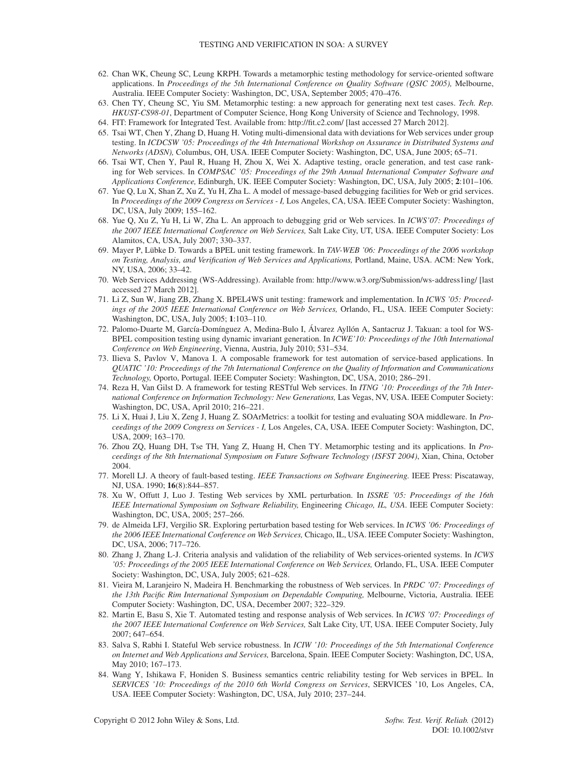- 62. Chan WK, Cheung SC, Leung KRPH. Towards a metamorphic testing methodology for service-oriented software applications. In *Proceedings of the 5th International Conference on Quality Software (QSIC 2005),* Melbourne, Australia. IEEE Computer Society: Washington, DC, USA, September 2005; 470–476.
- 63. Chen TY, Cheung SC, Yiu SM. Metamorphic testing: a new approach for generating next test cases. *Tech. Rep. HKUST-CS98-01*, Department of Computer Science, Hong Kong University of Science and Technology, 1998.
- 64. FIT: Framework for Integrated Test. Available from: http://fit.c2.com/ [last accessed 27 March 2012].
- 65. Tsai WT, Chen Y, Zhang D, Huang H. Voting multi-dimensional data with deviations for Web services under group testing. In *ICDCSW '05: Proceedings of the 4th International Workshop on Assurance in Distributed Systems and Networks (ADSN),* Columbus, OH, USA. IEEE Computer Society: Washington, DC, USA, June 2005; 65–71.
- 66. Tsai WT, Chen Y, Paul R, Huang H, Zhou X, Wei X. Adaptive testing, oracle generation, and test case ranking for Web services. In *COMPSAC '05: Proceedings of the 29th Annual International Computer Software and Applications Conference,* Edinburgh, UK. IEEE Computer Society: Washington, DC, USA, July 2005; **2**:101–106.
- 67. Yue Q, Lu X, Shan Z, Xu Z, Yu H, Zha L. A model of message-based debugging facilities for Web or grid services. In *Proceedings of the 2009 Congress on Services - I,* Los Angeles, CA, USA. IEEE Computer Society: Washington, DC, USA, July 2009; 155–162.
- 68. Yue Q, Xu Z, Yu H, Li W, Zha L. An approach to debugging grid or Web services. In *ICWS'07: Proceedings of the 2007 IEEE International Conference on Web Services,* Salt Lake City, UT, USA. IEEE Computer Society: Los Alamitos, CA, USA, July 2007; 330–337.
- 69. Mayer P, Lübke D. Towards a BPEL unit testing framework. In *TAV-WEB '06: Proceedings of the 2006 workshop on Testing, Analysis, and Verification of Web Services and Applications,* Portland, Maine, USA. ACM: New York, NY, USA, 2006; 33–42.
- 70. Web Services Addressing (WS-Addressing). Available from: http://www.w3.org/Submission/ws-address1ing/ [last accessed 27 March 2012].
- 71. Li Z, Sun W, Jiang ZB, Zhang X. BPEL4WS unit testing: framework and implementation. In *ICWS '05: Proceedings of the 2005 IEEE International Conference on Web Services,* Orlando, FL, USA. IEEE Computer Society: Washington, DC, USA, July 2005; **1**:103–110.
- 72. Palomo-Duarte M, García-Domínguez A, Medina-Bulo I, Álvarez Ayllón A, Santacruz J. Takuan: a tool for WS-BPEL composition testing using dynamic invariant generation. In *ICWE'10: Proceedings of the 10th International Conference on Web Engineering*, Vienna, Austria, July 2010; 531–534.
- 73. Ilieva S, Pavlov V, Manova I. A composable framework for test automation of service-based applications. In *QUATIC '10: Proceedings of the 7th International Conference on the Quality of Information and Communications Technology,* Oporto, Portugal. IEEE Computer Society: Washington, DC, USA, 2010; 286–291.
- 74. Reza H, Van Gilst D. A framework for testing RESTful Web services. In *ITNG '10: Proceedings of the 7th International Conference on Information Technology: New Generations,* Las Vegas, NV, USA. IEEE Computer Society: Washington, DC, USA, April 2010; 216–221.
- 75. Li X, Huai J, Liu X, Zeng J, Huang Z. SOArMetrics: a toolkit for testing and evaluating SOA middleware. In *Proceedings of the 2009 Congress on Services - I,* Los Angeles, CA, USA. IEEE Computer Society: Washington, DC, USA, 2009; 163–170.
- 76. Zhou ZQ, Huang DH, Tse TH, Yang Z, Huang H, Chen TY. Metamorphic testing and its applications. In *Proceedings of the 8th International Symposium on Future Software Technology (ISFST 2004)*, Xian, China, October 2004.
- 77. Morell LJ. A theory of fault-based testing. *IEEE Transactions on Software Engineering.* IEEE Press: Piscataway, NJ, USA. 1990; **16**(8):844–857.
- 78. Xu W, Offutt J, Luo J. Testing Web services by XML perturbation. In *ISSRE '05: Proceedings of the 16th IEEE International Symposium on Software Reliability,* Engineering *Chicago, IL, USA*. IEEE Computer Society: Washington, DC, USA, 2005; 257–266.
- 79. de Almeida LFJ, Vergilio SR. Exploring perturbation based testing for Web services. In *ICWS '06: Proceedings of the 2006 IEEE International Conference on Web Services,* Chicago, IL, USA. IEEE Computer Society: Washington, DC, USA, 2006; 717–726.
- 80. Zhang J, Zhang L-J. Criteria analysis and validation of the reliability of Web services-oriented systems. In *ICWS '05: Proceedings of the 2005 IEEE International Conference on Web Services,* Orlando, FL, USA. IEEE Computer Society: Washington, DC, USA, July 2005; 621–628.
- 81. Vieira M, Laranjeiro N, Madeira H. Benchmarking the robustness of Web services. In *PRDC '07: Proceedings of the 13th Pacific Rim International Symposium on Dependable Computing,* Melbourne, Victoria, Australia. IEEE Computer Society: Washington, DC, USA, December 2007; 322–329.
- 82. Martin E, Basu S, Xie T. Automated testing and response analysis of Web services. In *ICWS '07: Proceedings of the 2007 IEEE International Conference on Web Services,* Salt Lake City, UT, USA. IEEE Computer Society, July 2007; 647–654.
- 83. Salva S, Rabhi I. Stateful Web service robustness. In *ICIW '10: Proceedings of the 5th International Conference on Internet and Web Applications and Services,* Barcelona, Spain. IEEE Computer Society: Washington, DC, USA, May 2010; 167–173.
- 84. Wang Y, Ishikawa F, Honiden S. Business semantics centric reliability testing for Web services in BPEL. In *SERVICES '10: Proceedings of the 2010 6th World Congress on Services*, SERVICES '10, Los Angeles, CA, USA. IEEE Computer Society: Washington, DC, USA, July 2010; 237–244.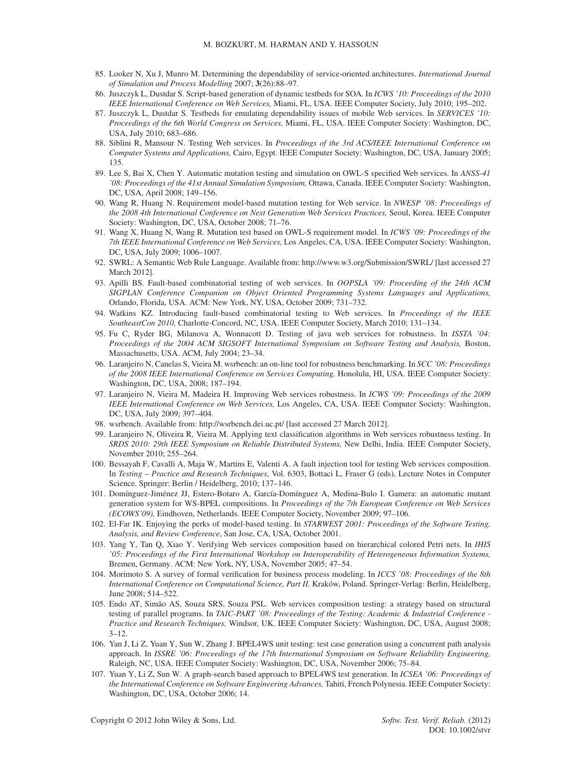- 85. Looker N, Xu J, Munro M. Determining the dependability of service-oriented architectures. *International Journal of Simulation and Process Modelling* 2007; **3**(26):88–97.
- 86. Juszczyk L, Dustdar S. Script-based generation of dynamic testbeds for SOA. In *ICWS '10: Proceedings of the 2010 IEEE International Conference on Web Services,* Miami, FL, USA. IEEE Computer Society, July 2010; 195–202.
- 87. Juszczyk L, Dustdar S. Testbeds for emulating dependability issues of mobile Web services. In *SERVICES '10: Proceedings of the 6th World Congress on Services,* Miami, FL, USA. IEEE Computer Society: Washington, DC, USA, July 2010; 683–686.
- 88. Siblini R, Mansour N. Testing Web services. In *Proceedings of the 3rd ACS/IEEE International Conference on Computer Systems and Applications,* Cairo, Egypt. IEEE Computer Society: Washington, DC, USA, January 2005; 135.
- 89. Lee S, Bai X, Chen Y. Automatic mutation testing and simulation on OWL-S specified Web services. In *ANSS-41 '08: Proceedings of the 41st Annual Simulation Symposium,* Ottawa, Canada. IEEE Computer Society: Washington, DC, USA, April 2008; 149–156.
- 90. Wang R, Huang N. Requirement model-based mutation testing for Web service. In *NWESP '08: Proceedings of the 2008 4th International Conference on Next Generation Web Services Practices,* Seoul, Korea. IEEE Computer Society: Washington, DC, USA, October 2008; 71–76.
- 91. Wang X, Huang N, Wang R. Mutation test based on OWL-S requirement model. In *ICWS '09: Proceedings of the 7th IEEE International Conference on Web Services,* Los Angeles, CA, USA. IEEE Computer Society: Washington, DC, USA, July 2009; 1006–1007.
- 92. SWRL: A Semantic Web Rule Language. Available from: http://www.w3.org/Submission/SWRL/ [last accessed 27 March 2012].
- 93. Apilli BS. Fault-based combinatorial testing of web services. In *OOPSLA '09: Proceeding of the 24th ACM SIGPLAN Conference Companion on Object Oriented Programming Systems Languages and Applications,* Orlando, Florida, USA. ACM: New York, NY, USA, October 2009; 731–732.
- 94. Watkins KZ. Introducing fault-based combinatorial testing to Web services. In *Proceedings of the IEEE SoutheastCon 2010,* Charlotte-Concord, NC, USA. IEEE Computer Society, March 2010; 131–134.
- 95. Fu C, Ryder BG, Milanova A, Wonnacott D. Testing of java web services for robustness. In *ISSTA '04: Proceedings of the 2004 ACM SIGSOFT International Symposium on Software Testing and Analysis,* Boston, Massachusetts, USA. ACM, July 2004; 23–34.
- 96. Laranjeiro N, Canelas S, Vieira M. wsrbench: an on-line tool for robustness benchmarking. In *SCC '08: Proceedings of the 2008 IEEE International Conference on Services Computing,* Honolulu, HI, USA. IEEE Computer Society: Washington, DC, USA, 2008; 187–194.
- 97. Laranjeiro N, Vieira M, Madeira H. Improving Web services robustness. In *ICWS '09: Proceedings of the 2009 IEEE International Conference on Web Services,* Los Angeles, CA, USA. IEEE Computer Society: Washington, DC, USA, July 2009; 397–404.
- 98. wsrbench. Available from: http://wsrbench.dei.uc.pt/ [last accessed 27 March 2012].
- 99. Laranjeiro N, Oliveira R, Vieira M. Applying text classification algorithms in Web services robustness testing. In *SRDS 2010: 29th IEEE Symposium on Reliable Distributed Systems,* New Delhi, India. IEEE Computer Society, November 2010; 255–264.
- 100. Bessayah F, Cavalli A, Maja W, Martins E, Valenti A. A fault injection tool for testing Web services composition. In *Testing – Practice and Research Techniques*, Vol. 6303, Bottaci L, Fraser G (eds), Lecture Notes in Computer Science. Springer: Berlin / Heidelberg, 2010; 137–146.
- 101. Domínguez-Jiménez JJ, Estero-Botaro A, García-Domínguez A, Medina-Bulo I. Gamera: an automatic mutant generation system for WS-BPEL compositions. In *Proceedings of the 7th European Conference on Web Services (ECOWS'09),* Eindhoven, Netherlands. IEEE Computer Society, November 2009; 97–106.
- 102. El-Far IK. Enjoying the perks of model-based testing. In *STARWEST 2001: Proceedings of the Software Testing, Analysis, and Review Conference*, San Jose, CA, USA, October 2001.
- 103. Yang Y, Tan Q, Xiao Y. Verifying Web services composition based on hierarchical colored Petri nets. In *IHIS '05: Proceedings of the First International Workshop on Interoperability of Heterogeneous Information Systems,* Bremen, Germany. ACM: New York, NY, USA, November 2005; 47–54.
- 104. Morimoto S. A survey of formal verification for business process modeling. In *ICCS '08: Proceedings of the 8th International Conference on Computational Science, Part II,* Kraków, Poland. Springer-Verlag: Berlin, Heidelberg, June 2008; 514–522.
- 105. Endo AT, Simão AS, Souza SRS, Souza PSL. Web services composition testing: a strategy based on structural testing of parallel programs. In *TAIC-PART '08: Proceedings of the Testing: Academic & Industrial Conference - Practice and Research Techniques,* Windsor, UK. IEEE Computer Society: Washington, DC, USA, August 2008;  $3 - 12$ .
- 106. Yan J, Li Z, Yuan Y, Sun W, Zhang J. BPEL4WS unit testing: test case generation using a concurrent path analysis approach. In *ISSRE '06: Proceedings of the 17th International Symposium on Software Reliability Engineering,* Raleigh, NC, USA. IEEE Computer Society: Washington, DC, USA, November 2006; 75–84.
- 107. Yuan Y, Li Z, Sun W. A graph-search based approach to BPEL4WS test generation. In *ICSEA '06: Proceedings of the International Conference on Software Engineering Advances,* Tahiti, French Polynesia. IEEE Computer Society: Washington, DC, USA, October 2006; 14.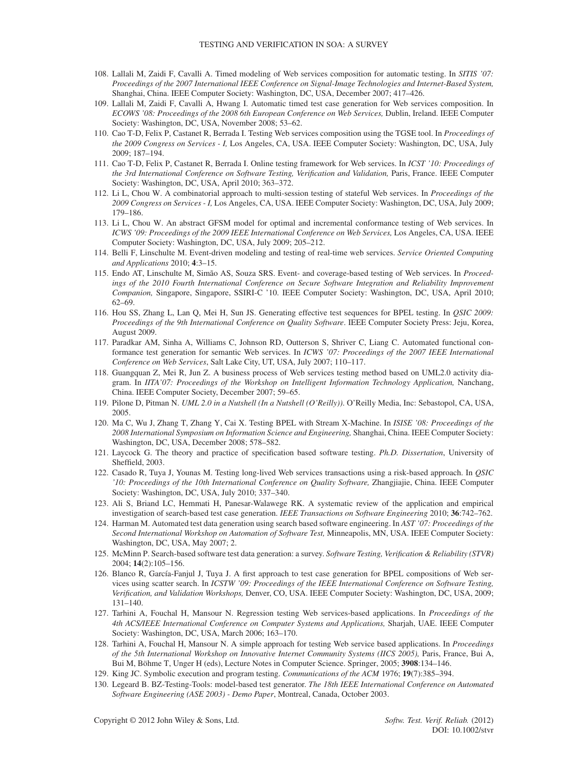- 108. Lallali M, Zaidi F, Cavalli A. Timed modeling of Web services composition for automatic testing. In *SITIS '07: Proceedings of the 2007 International IEEE Conference on Signal-Image Technologies and Internet-Based System,* Shanghai, China. IEEE Computer Society: Washington, DC, USA, December 2007; 417–426.
- 109. Lallali M, Zaidi F, Cavalli A, Hwang I. Automatic timed test case generation for Web services composition. In *ECOWS '08: Proceedings of the 2008 6th European Conference on Web Services,* Dublin, Ireland. IEEE Computer Society: Washington, DC, USA, November 2008; 53–62.
- 110. Cao T-D, Felix P, Castanet R, Berrada I. Testing Web services composition using the TGSE tool. In *Proceedings of the 2009 Congress on Services - I,* Los Angeles, CA, USA. IEEE Computer Society: Washington, DC, USA, July 2009; 187–194.
- 111. Cao T-D, Felix P, Castanet R, Berrada I. Online testing framework for Web services. In *ICST '10: Proceedings of the 3rd International Conference on Software Testing, Verification and Validation,* Paris, France. IEEE Computer Society: Washington, DC, USA, April 2010; 363–372.
- 112. Li L, Chou W. A combinatorial approach to multi-session testing of stateful Web services. In *Proceedings of the 2009 Congress on Services - I,* Los Angeles, CA, USA. IEEE Computer Society: Washington, DC, USA, July 2009; 179–186.
- 113. Li L, Chou W. An abstract GFSM model for optimal and incremental conformance testing of Web services. In *ICWS '09: Proceedings of the 2009 IEEE International Conference on Web Services,* Los Angeles, CA, USA. IEEE Computer Society: Washington, DC, USA, July 2009; 205–212.
- 114. Belli F, Linschulte M. Event-driven modeling and testing of real-time web services. *Service Oriented Computing and Applications* 2010; **4**:3–15.
- 115. Endo AT, Linschulte M, Simão AS, Souza SRS. Event- and coverage-based testing of Web services. In *Proceedings of the 2010 Fourth International Conference on Secure Software Integration and Reliability Improvement Companion,* Singapore, Singapore, SSIRI-C '10. IEEE Computer Society: Washington, DC, USA, April 2010; 62–69.
- 116. Hou SS, Zhang L, Lan Q, Mei H, Sun JS. Generating effective test sequences for BPEL testing. In *QSIC 2009: Proceedings of the 9th International Conference on Quality Software*. IEEE Computer Society Press: Jeju, Korea, August 2009.
- 117. Paradkar AM, Sinha A, Williams C, Johnson RD, Outterson S, Shriver C, Liang C. Automated functional conformance test generation for semantic Web services. In *ICWS '07: Proceedings of the 2007 IEEE International Conference on Web Services*, Salt Lake City, UT, USA, July 2007; 110–117.
- 118. Guangquan Z, Mei R, Jun Z. A business process of Web services testing method based on UML2.0 activity diagram. In *IITA'07: Proceedings of the Workshop on Intelligent Information Technology Application,* Nanchang, China. IEEE Computer Society, December 2007; 59–65.
- 119. Pilone D, Pitman N. *UML 2.0 in a Nutshell (In a Nutshell (O'Reilly))*. O'Reilly Media, Inc: Sebastopol, CA, USA, 2005.
- 120. Ma C, Wu J, Zhang T, Zhang Y, Cai X. Testing BPEL with Stream X-Machine. In *ISISE '08: Proceedings of the 2008 International Symposium on Information Science and Engineering,* Shanghai, China. IEEE Computer Society: Washington, DC, USA, December 2008; 578–582.
- 121. Laycock G. The theory and practice of specification based software testing. *Ph.D. Dissertation*, University of Sheffield, 2003.
- 122. Casado R, Tuya J, Younas M. Testing long-lived Web services transactions using a risk-based approach. In *QSIC '10: Proceedings of the 10th International Conference on Quality Software,* Zhangjiajie, China. IEEE Computer Society: Washington, DC, USA, July 2010; 337–340.
- 123. Ali S, Briand LC, Hemmati H, Panesar-Walawege RK. A systematic review of the application and empirical investigation of search-based test case generation. *IEEE Transactions on Software Engineering* 2010; **36**:742–762.
- 124. Harman M. Automated test data generation using search based software engineering. In *AST '07: Proceedings of the Second International Workshop on Automation of Software Test,* Minneapolis, MN, USA. IEEE Computer Society: Washington, DC, USA, May 2007; 2.
- 125. McMinn P. Search-based software test data generation: a survey. *Software Testing, Verification & Reliability (STVR)* 2004; **14**(2):105–156.
- 126. Blanco R, García-Fanjul J, Tuya J. A first approach to test case generation for BPEL compositions of Web services using scatter search. In *ICSTW '09: Proceedings of the IEEE International Conference on Software Testing, Verification, and Validation Workshops,* Denver, CO, USA. IEEE Computer Society: Washington, DC, USA, 2009; 131–140.
- 127. Tarhini A, Fouchal H, Mansour N. Regression testing Web services-based applications. In *Proceedings of the 4th ACS/IEEE International Conference on Computer Systems and Applications,* Sharjah, UAE. IEEE Computer Society: Washington, DC, USA, March 2006; 163–170.
- 128. Tarhini A, Fouchal H, Mansour N. A simple approach for testing Web service based applications. In *Proceedings of the 5th International Workshop on Innovative Internet Community Systems (IICS 2005),* Paris, France, Bui A, Bui M, Böhme T, Unger H (eds), Lecture Notes in Computer Science. Springer, 2005; **3908**:134–146.
- 129. King JC. Symbolic execution and program testing. *Communications of the ACM* 1976; **19**(7):385–394.
- 130. Legeard B. BZ-Testing-Tools: model-based test generator. *The 18th IEEE International Conference on Automated Software Engineering (ASE 2003) - Demo Paper*, Montreal, Canada, October 2003.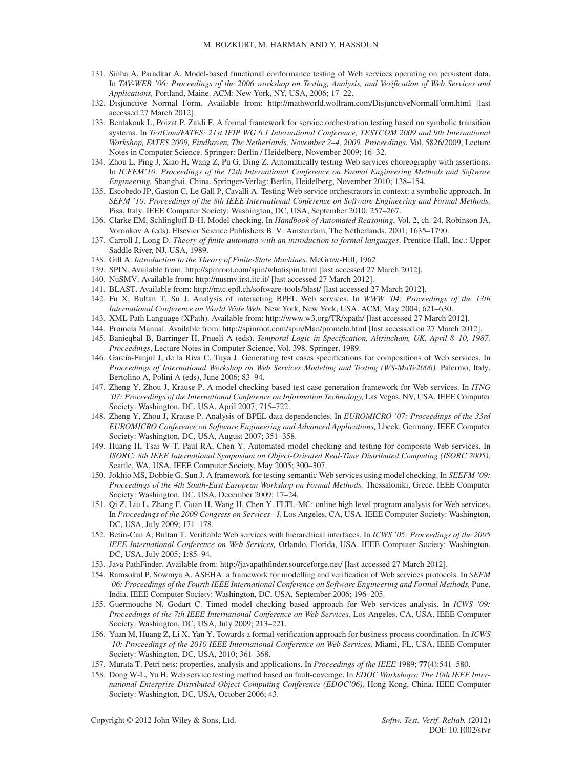- 131. Sinha A, Paradkar A. Model-based functional conformance testing of Web services operating on persistent data. In *TAV-WEB '06: Proceedings of the 2006 workshop on Testing, Analysis, and Verification of Web Services and Applications,* Portland, Maine. ACM: New York, NY, USA, 2006; 17–22.
- 132. Disjunctive Normal Form. Available from: http://mathworld.wolfram.com/DisjunctiveNormalForm.html [last accessed 27 March 2012].
- 133. Bentakouk L, Poizat P, Zaïdi F. A formal framework for service orchestration testing based on symbolic transition systems. In *TestCom/FATES: 21st IFIP WG 6.1 International Conference, TESTCOM 2009 and 9th International Workshop, FATES 2009, Eindhoven, The Netherlands, November 2–4, 2009. Proceedings*, Vol. 5826/2009, Lecture Notes in Computer Science. Springer: Berlin / Heidelberg, November 2009; 16–32.
- 134. Zhou L, Ping J, Xiao H, Wang Z, Pu G, Ding Z. Automatically testing Web services choreography with assertions. In *ICFEM'10: Proceedings of the 12th International Conference on Formal Engineering Methods and Software Engineering,* Shanghai, China. Springer-Verlag: Berlin, Heidelberg, November 2010; 138–154.
- 135. Escobedo JP, Gaston C, Le Gall P, Cavalli A. Testing Web service orchestrators in context: a symbolic approach. In *SEFM '10: Proceedings of the 8th IEEE International Conference on Software Engineering and Formal Methods,* Pisa, Italy. IEEE Computer Society: Washington, DC, USA, September 2010; 257–267.
- 136. Clarke EM, Schlingloff B-H. Model checking. In *Handbook of Automated Reasoning*, Vol. 2, ch. 24, Robinson JA, Voronkov A (eds). Elsevier Science Publishers B. V: Amsterdam, The Netherlands, 2001; 1635–1790.
- 137. Carroll J, Long D. *Theory of finite automata with an introduction to formal languages*. Prentice-Hall, Inc.: Upper Saddle River, NJ, USA, 1989.
- 138. Gill A. *Introduction to the Theory of Finite-State Machines*. McGraw-Hill, 1962.
- 139. SPIN. Available from: http://spinroot.com/spin/whatispin.html [last accessed 27 March 2012].
- 140. NuSMV. Available from: http://nusmv.irst.itc.it/ [last accessed 27 March 2012].
- 141. BLAST. Available from: http://mtc.epfl.ch/software-tools/blast/ [last accessed 27 March 2012].
- 142. Fu X, Bultan T, Su J. Analysis of interacting BPEL Web services. In *WWW '04: Proceedings of the 13th International Conference on World Wide Web,* New York, New York, USA. ACM, May 2004; 621–630.
- 143. XML Path Language (XPath). Available from: http://www.w3.org/TR/xpath/ [last accessed 27 March 2012].
- 144. Promela Manual. Available from: http://spinroot.com/spin/Man/promela.html [last accessed on 27 March 2012].
- 145. Banieqbal B, Barringer H, Pnueli A (eds). *Temporal Logic in Specification, Altrincham, UK, April 8–10, 1987, Proceedings*, Lecture Notes in Computer Science, Vol. 398. Springer, 1989.
- 146. García-Fanjul J, de la Riva C, Tuya J. Generating test cases specifications for compositions of Web services. In *Proceedings of International Workshop on Web Services Modeling and Testing (WS-MaTe2006),* Palermo, Italy, Bertolino A, Polini A (eds), June 2006; 83–94.
- 147. Zheng Y, Zhou J, Krause P. A model checking based test case generation framework for Web services. In *ITNG '07: Proceedings of the International Conference on Information Technology,* Las Vegas, NV, USA. IEEE Computer Society: Washington, DC, USA, April 2007; 715–722.
- 148. Zheng Y, Zhou J, Krause P. Analysis of BPEL data dependencies. In *EUROMICRO '07: Proceedings of the 33rd EUROMICRO Conference on Software Engineering and Advanced Applications,* Lbeck, Germany. IEEE Computer Society: Washington, DC, USA, August 2007; 351–358.
- 149. Huang H, Tsai W-T, Paul RA, Chen Y. Automated model checking and testing for composite Web services. In *ISORC: 8th IEEE International Symposium on Object-Oriented Real-Time Distributed Computing (ISORC 2005),* Seattle, WA, USA. IEEE Computer Society, May 2005; 300–307.
- 150. Jokhio MS, Dobbie G, Sun J. A framework for testing semantic Web services using model checking. In *SEEFM '09: Proceedings of the 4th South-East European Workshop on Formal Methods,* Thessaloniki, Grece. IEEE Computer Society: Washington, DC, USA, December 2009; 17–24.
- 151. Qi Z, Liu L, Zhang F, Guan H, Wang H, Chen Y. FLTL-MC: online high level program analysis for Web services. In *Proceedings of the 2009 Congress on Services - I,* Los Angeles, CA, USA. IEEE Computer Society: Washington, DC, USA, July 2009; 171–178.
- 152. Betin-Can A, Bultan T. Verifiable Web services with hierarchical interfaces. In *ICWS '05: Proceedings of the 2005 IEEE International Conference on Web Services,* Orlando, Florida, USA. IEEE Computer Society: Washington, DC, USA, July 2005; **1**:85–94.
- 153. Java PathFinder. Available from: http://javapathfinder.sourceforge.net/ [last accessed 27 March 2012].
- 154. Ramsokul P, Sowmya A. ASEHA: a framework for modelling and verification of Web services protocols. In *SEFM '06: Proceedings of the Fourth IEEE International Conference on Software Engineering and Formal Methods,* Pune, India. IEEE Computer Society: Washington, DC, USA, September 2006; 196–205.
- 155. Guermouche N, Godart C. Timed model checking based approach for Web services analysis. In *ICWS '09: Proceedings of the 7th IEEE International Conference on Web Services,* Los Angeles, CA, USA. IEEE Computer Society: Washington, DC, USA, July 2009; 213–221.
- 156. Yuan M, Huang Z, Li X, Yan Y. Towards a formal verification approach for business process coordination. In *ICWS '10: Proceedings of the 2010 IEEE International Conference on Web Services,* Miami, FL, USA. IEEE Computer Society: Washington, DC, USA, 2010; 361–368.
- 157. Murata T. Petri nets: properties, analysis and applications. In *Proceedings of the IEEE* 1989; **77**(4):541–580.
- 158. Dong W-L, Yu H. Web service testing method based on fault-coverage. In *EDOC Workshops: The 10th IEEE International Enterprise Distributed Object Computing Conference (EDOC'06),* Hong Kong, China. IEEE Computer Society: Washington, DC, USA, October 2006; 43.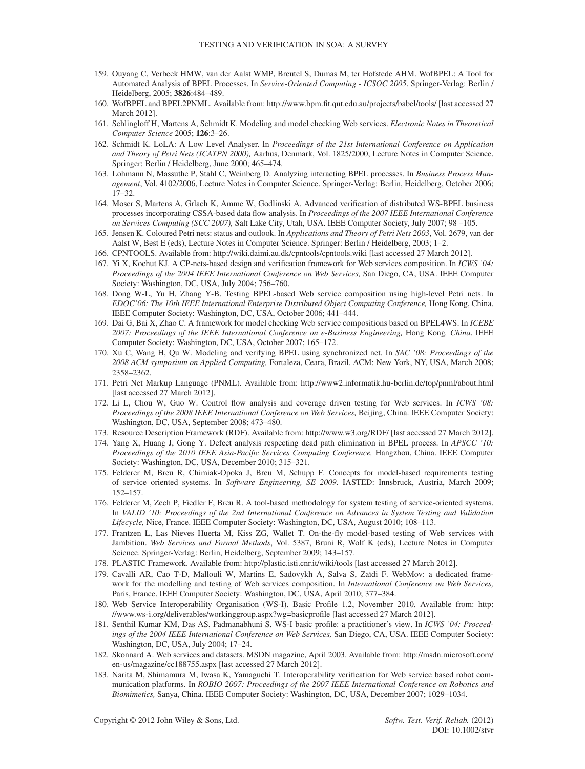- 159. Ouyang C, Verbeek HMW, van der Aalst WMP, Breutel S, Dumas M, ter Hofstede AHM. WofBPEL: A Tool for Automated Analysis of BPEL Processes. In *Service-Oriented Computing - ICSOC 2005*. Springer-Verlag: Berlin / Heidelberg, 2005; **3826**:484–489.
- 160. WofBPEL and BPEL2PNML. Available from: http://www.bpm.fit.qut.edu.au/projects/babel/tools/ [last accessed 27 March 2012].
- 161. Schlingloff H, Martens A, Schmidt K. Modeling and model checking Web services. *Electronic Notes in Theoretical Computer Science* 2005; **126**:3–26.
- 162. Schmidt K. LoLA: A Low Level Analyser. In *Proceedings of the 21st International Conference on Application and Theory of Petri Nets (ICATPN 2000),* Aarhus, Denmark, Vol. 1825/2000, Lecture Notes in Computer Science. Springer: Berlin / Heidelberg, June 2000; 465–474.
- 163. Lohmann N, Massuthe P, Stahl C, Weinberg D. Analyzing interacting BPEL processes. In *Business Process Management*, Vol. 4102/2006, Lecture Notes in Computer Science. Springer-Verlag: Berlin, Heidelberg, October 2006;  $17 - 32$ .
- 164. Moser S, Martens A, Grlach K, Amme W, Godlinski A. Advanced verification of distributed WS-BPEL business processes incorporating CSSA-based data flow analysis. In *Proceedings of the 2007 IEEE International Conference on Services Computing (SCC 2007),* Salt Lake City, Utah, USA. IEEE Computer Society, July 2007; 98 –105.
- 165. Jensen K. Coloured Petri nets: status and outlook. In *Applications and Theory of Petri Nets 2003*, Vol. 2679, van der Aalst W, Best E (eds), Lecture Notes in Computer Science. Springer: Berlin / Heidelberg, 2003; 1–2.
- 166. CPNTOOLS. Available from: http://wiki.daimi.au.dk/cpntools/cpntools.wiki [last accessed 27 March 2012].
- 167. Yi X, Kochut KJ. A CP-nets-based design and verification framework for Web services composition. In *ICWS '04: Proceedings of the 2004 IEEE International Conference on Web Services,* San Diego, CA, USA. IEEE Computer Society: Washington, DC, USA, July 2004; 756–760.
- 168. Dong W-L, Yu H, Zhang Y-B. Testing BPEL-based Web service composition using high-level Petri nets. In *EDOC'06: The 10th IEEE International Enterprise Distributed Object Computing Conference,* Hong Kong, China. IEEE Computer Society: Washington, DC, USA, October 2006; 441–444.
- 169. Dai G, Bai X, Zhao C. A framework for model checking Web service compositions based on BPEL4WS. In *ICEBE 2007: Proceedings of the IEEE International Conference on e-Business Engineering,* Hong Kong*, China*. IEEE Computer Society: Washington, DC, USA, October 2007; 165–172.
- 170. Xu C, Wang H, Qu W. Modeling and verifying BPEL using synchronized net. In *SAC '08: Proceedings of the 2008 ACM symposium on Applied Computing,* Fortaleza, Ceara, Brazil. ACM: New York, NY, USA, March 2008; 2358–2362.
- 171. Petri Net Markup Language (PNML). Available from: http://www2.informatik.hu-berlin.de/top/pnml/about.html [last accessed 27 March 2012].
- 172. Li L, Chou W, Guo W. Control flow analysis and coverage driven testing for Web services. In *ICWS '08: Proceedings of the 2008 IEEE International Conference on Web Services,* Beijing, China. IEEE Computer Society: Washington, DC, USA, September 2008; 473–480.
- 173. Resource Description Framework (RDF). Available from: http://www.w3.org/RDF/ [last accessed 27 March 2012].
- 174. Yang X, Huang J, Gong Y. Defect analysis respecting dead path elimination in BPEL process. In *APSCC '10: Proceedings of the 2010 IEEE Asia-Pacific Services Computing Conference,* Hangzhou, China. IEEE Computer Society: Washington, DC, USA, December 2010; 315–321.
- 175. Felderer M, Breu R, Chimiak-Opoka J, Breu M, Schupp F. Concepts for model-based requirements testing of service oriented systems. In *Software Engineering, SE 2009*. IASTED: Innsbruck, Austria, March 2009; 152–157.
- 176. Felderer M, Zech P, Fiedler F, Breu R. A tool-based methodology for system testing of service-oriented systems. In *VALID '10: Proceedings of the 2nd International Conference on Advances in System Testing and Validation Lifecycle,* Nice, France. IEEE Computer Society: Washington, DC, USA, August 2010; 108–113.
- 177. Frantzen L, Las Nieves Huerta M, Kiss ZG, Wallet T. On-the-fly model-based testing of Web services with Jambition. *Web Services and Formal Methods*, Vol. 5387, Bruni R, Wolf K (eds), Lecture Notes in Computer Science. Springer-Verlag: Berlin, Heidelberg, September 2009; 143–157.
- 178. PLASTIC Framework. Available from: http://plastic.isti.cnr.it/wiki/tools [last accessed 27 March 2012].
- 179. Cavalli AR, Cao T-D, Mallouli W, Martins E, Sadovykh A, Salva S, Zaïdi F. WebMov: a dedicated framework for the modelling and testing of Web services composition. In *International Conference on Web Services,* Paris, France. IEEE Computer Society: Washington, DC, USA, April 2010; 377–384.
- 180. Web Service Interoperability Organisation (WS-I). Basic Profile 1.2, November 2010. Available from: http: //www.ws-i.org/deliverables/workinggroup.aspx?wg=basicprofile [last accessed 27 March 2012].
- 181. Senthil Kumar KM, Das AS, Padmanabhuni S. WS-I basic profile: a practitioner's view. In *ICWS '04: Proceedings of the 2004 IEEE International Conference on Web Services,* San Diego, CA, USA. IEEE Computer Society: Washington, DC, USA, July 2004; 17–24.
- 182. Skonnard A. Web services and datasets. MSDN magazine, April 2003. Available from: http://msdn.microsoft.com/ en-us/magazine/cc188755.aspx [last accessed 27 March 2012].
- 183. Narita M, Shimamura M, Iwasa K, Yamaguchi T. Interoperability verification for Web service based robot communication platforms. In *ROBIO 2007: Proceedings of the 2007 IEEE International Conference on Robotics and Biomimetics,* Sanya, China. IEEE Computer Society: Washington, DC, USA, December 2007; 1029–1034.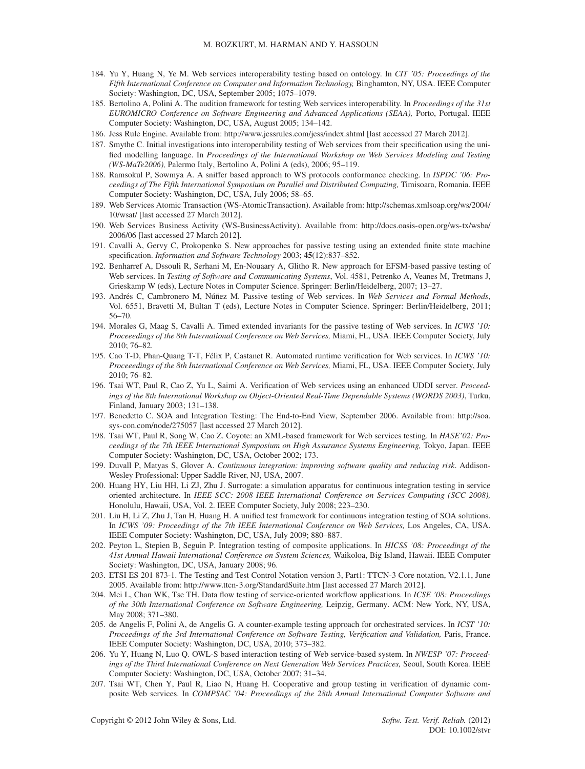- 184. Yu Y, Huang N, Ye M. Web services interoperability testing based on ontology. In *CIT '05: Proceedings of the Fifth International Conference on Computer and Information Technology,* Binghamton, NY, USA. IEEE Computer Society: Washington, DC, USA, September 2005; 1075–1079.
- 185. Bertolino A, Polini A. The audition framework for testing Web services interoperability. In *Proceedings of the 31st EUROMICRO Conference on Software Engineering and Advanced Applications (SEAA),* Porto, Portugal. IEEE Computer Society: Washington, DC, USA, August 2005; 134–142.
- 186. Jess Rule Engine. Available from: http://www.jessrules.com/jess/index.shtml [last accessed 27 March 2012].
- 187. Smythe C. Initial investigations into interoperability testing of Web services from their specification using the unified modelling language. In *Proceedings of the International Workshop on Web Services Modeling and Testing (WS-MaTe2006),* Palermo Italy, Bertolino A, Polini A (eds), 2006; 95–119.
- 188. Ramsokul P, Sowmya A. A sniffer based approach to WS protocols conformance checking. In *ISPDC '06: Proceedings of The Fifth International Symposium on Parallel and Distributed Computing,* Timisoara, Romania. IEEE Computer Society: Washington, DC, USA, July 2006; 58–65.
- 189. Web Services Atomic Transaction (WS-AtomicTransaction). Available from: http://schemas.xmlsoap.org/ws/2004/ 10/wsat/ [last accessed 27 March 2012].
- 190. Web Services Business Activity (WS-BusinessActivity). Available from: http://docs.oasis-open.org/ws-tx/wsba/ 2006/06 [last accessed 27 March 2012].
- 191. Cavalli A, Gervy C, Prokopenko S. New approaches for passive testing using an extended finite state machine specification. *Information and Software Technology* 2003; **45**(12):837–852.
- 192. Benharref A, Dssouli R, Serhani M, En-Nouaary A, Glitho R. New approach for EFSM-based passive testing of Web services. In *Testing of Software and Communicating Systems*, Vol. 4581, Petrenko A, Veanes M, Tretmans J, Grieskamp W (eds), Lecture Notes in Computer Science. Springer: Berlin/Heidelberg, 2007; 13–27.
- 193. Andrés C, Cambronero M, Núñez M. Passive testing of Web services. In *Web Services and Formal Methods*, Vol. 6551, Bravetti M, Bultan T (eds), Lecture Notes in Computer Science. Springer: Berlin/Heidelberg, 2011; 56–70.
- 194. Morales G, Maag S, Cavalli A. Timed extended invariants for the passive testing of Web services. In *ICWS '10: Proceeedings of the 8th International Conference on Web Services,* Miami, FL, USA. IEEE Computer Society, July 2010; 76–82.
- 195. Cao T-D, Phan-Quang T-T, Félix P, Castanet R. Automated runtime verification for Web services. In *ICWS '10: Proceeedings of the 8th International Conference on Web Services,* Miami, FL, USA. IEEE Computer Society, July 2010; 76–82.
- 196. Tsai WT, Paul R, Cao Z, Yu L, Saimi A. Verification of Web services using an enhanced UDDI server. *Proceedings of the 8th International Workshop on Object-Oriented Real-Time Dependable Systems (WORDS 2003)*, Turku, Finland, January 2003; 131–138.
- 197. Benedetto C. SOA and Integration Testing: The End-to-End View, September 2006. Available from: http://soa. sys-con.com/node/275057 [last accessed 27 March 2012].
- 198. Tsai WT, Paul R, Song W, Cao Z. Coyote: an XML-based framework for Web services testing. In *HASE'02: Proceedings of the 7th IEEE International Symposium on High Assurance Systems Engineering,* Tokyo, Japan. IEEE Computer Society: Washington, DC, USA, October 2002; 173.
- 199. Duvall P, Matyas S, Glover A. *Continuous integration: improving software quality and reducing risk*. Addison-Wesley Professional: Upper Saddle River, NJ, USA, 2007.
- 200. Huang HY, Liu HH, Li ZJ, Zhu J. Surrogate: a simulation apparatus for continuous integration testing in service oriented architecture. In *IEEE SCC: 2008 IEEE International Conference on Services Computing (SCC 2008),* Honolulu, Hawaii, USA, Vol. 2. IEEE Computer Society, July 2008; 223–230.
- 201. Liu H, Li Z, Zhu J, Tan H, Huang H. A unified test framework for continuous integration testing of SOA solutions. In *ICWS '09: Proceedings of the 7th IEEE International Conference on Web Services,* Los Angeles, CA, USA. IEEE Computer Society: Washington, DC, USA, July 2009; 880–887.
- 202. Peyton L, Stepien B, Seguin P. Integration testing of composite applications. In *HICSS '08: Proceedings of the 41st Annual Hawaii International Conference on System Sciences,* Waikoloa, Big Island, Hawaii. IEEE Computer Society: Washington, DC, USA, January 2008; 96.
- 203. ETSI ES 201 873-1. The Testing and Test Control Notation version 3, Part1: TTCN-3 Core notation, V2.1.1, June 2005. Available from: http://www.ttcn-3.org/StandardSuite.htm [last accessed 27 March 2012].
- 204. Mei L, Chan WK, Tse TH. Data flow testing of service-oriented workflow applications. In *ICSE '08: Proceedings of the 30th International Conference on Software Engineering,* Leipzig, Germany. ACM: New York, NY, USA, May 2008; 371–380.
- 205. de Angelis F, Polini A, de Angelis G. A counter-example testing approach for orchestrated services. In *ICST '10: Proceedings of the 3rd International Conference on Software Testing, Verification and Validation,* Paris, France. IEEE Computer Society: Washington, DC, USA, 2010; 373–382.
- 206. Yu Y, Huang N, Luo Q. OWL-S based interaction testing of Web service-based system. In *NWESP '07: Proceedings of the Third International Conference on Next Generation Web Services Practices,* Seoul, South Korea. IEEE Computer Society: Washington, DC, USA, October 2007; 31–34.
- 207. Tsai WT, Chen Y, Paul R, Liao N, Huang H. Cooperative and group testing in verification of dynamic composite Web services. In *COMPSAC '04: Proceedings of the 28th Annual International Computer Software and*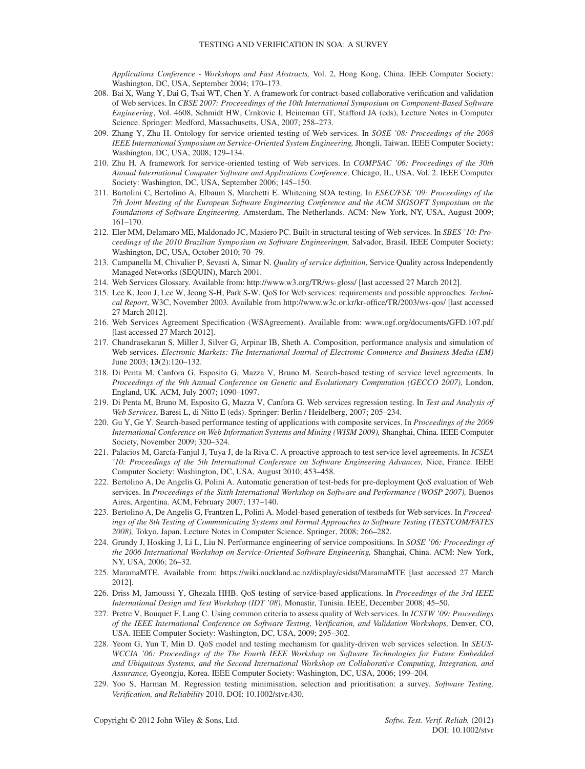*Applications Conference - Workshops and Fast Abstracts,* Vol. 2, Hong Kong, China. IEEE Computer Society: Washington, DC, USA, September 2004; 170–173.

- 208. Bai X, Wang Y, Dai G, Tsai WT, Chen Y. A framework for contract-based collaborative verification and validation of Web services. In *CBSE 2007: Proceeedings of the 10th International Symposium on Component-Based Software Engineering*, Vol. 4608, Schmidt HW, Crnkovic I, Heineman GT, Stafford JA (eds), Lecture Notes in Computer Science. Springer: Medford, Massachusetts, USA, 2007; 258–273.
- 209. Zhang Y, Zhu H. Ontology for service oriented testing of Web services. In *SOSE '08: Proceedings of the 2008 IEEE International Symposium on Service-Oriented System Engineering,* Jhongli, Taiwan. IEEE Computer Society: Washington, DC, USA, 2008; 129–134.
- 210. Zhu H. A framework for service-oriented testing of Web services. In *COMPSAC '06: Proceedings of the 30th Annual International Computer Software and Applications Conference,* Chicago, IL, USA, Vol. 2. IEEE Computer Society: Washington, DC, USA, September 2006; 145–150.
- 211. Bartolini C, Bertolino A, Elbaum S, Marchetti E. Whitening SOA testing. In *ESEC/FSE '09: Proceedings of the 7th Joint Meeting of the European Software Engineering Conference and the ACM SIGSOFT Symposium on the Foundations of Software Engineering,* Amsterdam, The Netherlands. ACM: New York, NY, USA, August 2009; 161–170.
- 212. Eler MM, Delamaro ME, Maldonado JC, Masiero PC. Built-in structural testing of Web services. In *SBES '10: Proceedings of the 2010 Brazilian Symposium on Software Engineeringm,* Salvador, Brasil. IEEE Computer Society: Washington, DC, USA, October 2010; 70–79.
- 213. Campanella M, Chivalier P, Sevasti A, Simar N. *Quality of service definition*, Service Quality across Independently Managed Networks (SEQUIN), March 2001.
- 214. Web Services Glossary. Available from: http://www.w3.org/TR/ws-gloss/ [last accessed 27 March 2012].
- 215. Lee K, Jeon J, Lee W, Jeong S-H, Park S-W. QoS for Web services: requirements and possible approaches. *Technical Report*, W3C, November 2003. Available from http://www.w3c.or.kr/kr-office/TR/2003/ws-qos/ [last accessed 27 March 2012].
- 216. Web Services Agreement Specification (WSAgreement). Available from: www.ogf.org/documents/GFD.107.pdf [last accessed 27 March 2012].
- 217. Chandrasekaran S, Miller J, Silver G, Arpinar IB, Sheth A. Composition, performance analysis and simulation of Web services. *Electronic Markets: The International Journal of Electronic Commerce and Business Media (EM)* June 2003; **13**(2):120–132.
- 218. Di Penta M, Canfora G, Esposito G, Mazza V, Bruno M. Search-based testing of service level agreements. In *Proceedings of the 9th Annual Conference on Genetic and Evolutionary Computation (GECCO 2007),* London, England, UK. ACM, July 2007; 1090–1097.
- 219. Di Penta M, Bruno M, Esposito G, Mazza V, Canfora G. Web services regression testing. In *Test and Analysis of Web Services*, Baresi L, di Nitto E (eds). Springer: Berlin / Heidelberg, 2007; 205–234.
- 220. Gu Y, Ge Y. Search-based performance testing of applications with composite services. In *Proceedings of the 2009 International Conference on Web Information Systems and Mining (WISM 2009),* Shanghai, China. IEEE Computer Society, November 2009; 320–324.
- 221. Palacios M, García-Fanjul J, Tuya J, de la Riva C. A proactive approach to test service level agreements. In *ICSEA '10: Proceedings of the 5th International Conference on Software Engineering Advances,* Nice, France. IEEE Computer Society: Washington, DC, USA, August 2010; 453–458.
- 222. Bertolino A, De Angelis G, Polini A. Automatic generation of test-beds for pre-deployment QoS evaluation of Web services. In *Proceedings of the Sixth International Workshop on Software and Performance (WOSP 2007),* Buenos Aires, Argentina. ACM, February 2007; 137–140.
- 223. Bertolino A, De Angelis G, Frantzen L, Polini A. Model-based generation of testbeds for Web services. In *Proceedings of the 8th Testing of Communicating Systems and Formal Approaches to Software Testing (TESTCOM/FATES 2008),* Tokyo, Japan, Lecture Notes in Computer Science. Springer, 2008; 266–282.
- 224. Grundy J, Hosking J, Li L, Liu N. Performance engineering of service compositions. In *SOSE '06: Proceedings of the 2006 International Workshop on Service-Oriented Software Engineering,* Shanghai, China. ACM: New York, NY, USA, 2006; 26–32.
- 225. MaramaMTE. Available from: https://wiki.auckland.ac.nz/display/csidst/MaramaMTE [last accessed 27 March 2012].
- 226. Driss M, Jamoussi Y, Ghezala HHB. QoS testing of service-based applications. In *Proceedings of the 3rd IEEE International Design and Test Workshop (IDT '08),* Monastir, Tunisia. IEEE, December 2008; 45–50.
- 227. Pretre V, Bouquet F, Lang C. Using common criteria to assess quality of Web services. In *ICSTW '09: Proceedings of the IEEE International Conference on Software Testing, Verification, and Validation Workshops,* Denver, CO, USA. IEEE Computer Society: Washington, DC, USA, 2009; 295–302.
- 228. Yeom G, Yun T, Min D. QoS model and testing mechanism for quality-driven web services selection. In *SEUS-WCCIA '06: Proceedings of the The Fourth IEEE Workshop on Software Technologies for Future Embedded and Ubiquitous Systems, and the Second International Workshop on Collaborative Computing, Integration, and Assurance,* Gyeongju, Korea. IEEE Computer Society: Washington, DC, USA, 2006; 199–204.
- 229. Yoo S, Harman M. Regression testing minimisation, selection and prioritisation: a survey. *Software Testing, Verification, and Reliability* 2010. DOI: 10.1002/stvr.430.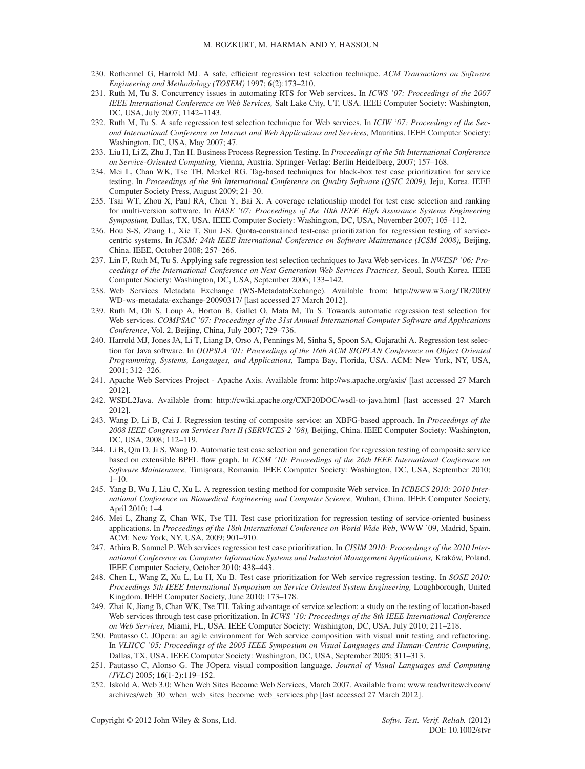- 230. Rothermel G, Harrold MJ. A safe, efficient regression test selection technique. *ACM Transactions on Software Engineering and Methodology (TOSEM)* 1997; **6**(2):173–210.
- 231. Ruth M, Tu S. Concurrency issues in automating RTS for Web services. In *ICWS '07: Proceedings of the 2007 IEEE International Conference on Web Services,* Salt Lake City, UT, USA. IEEE Computer Society: Washington, DC, USA, July 2007; 1142–1143.
- 232. Ruth M, Tu S. A safe regression test selection technique for Web services. In *ICIW '07: Proceedings of the Second International Conference on Internet and Web Applications and Services,* Mauritius. IEEE Computer Society: Washington, DC, USA, May 2007; 47.
- 233. Liu H, Li Z, Zhu J, Tan H. Business Process Regression Testing. In *Proceedings of the 5th International Conference on Service-Oriented Computing,* Vienna, Austria. Springer-Verlag: Berlin Heidelberg, 2007; 157–168.
- 234. Mei L, Chan WK, Tse TH, Merkel RG. Tag-based techniques for black-box test case prioritization for service testing. In *Proceedings of the 9th International Conference on Quality Software (QSIC 2009),* Jeju, Korea. IEEE Computer Society Press, August 2009; 21–30.
- 235. Tsai WT, Zhou X, Paul RA, Chen Y, Bai X. A coverage relationship model for test case selection and ranking for multi-version software. In *HASE '07: Proceedings of the 10th IEEE High Assurance Systems Engineering Symposium,* Dallas, TX, USA. IEEE Computer Society: Washington, DC, USA, November 2007; 105–112.
- 236. Hou S-S, Zhang L, Xie T, Sun J-S. Quota-constrained test-case prioritization for regression testing of servicecentric systems. In *ICSM: 24th IEEE International Conference on Software Maintenance (ICSM 2008),* Beijing, China. IEEE, October 2008; 257–266.
- 237. Lin F, Ruth M, Tu S. Applying safe regression test selection techniques to Java Web services. In *NWESP '06: Proceedings of the International Conference on Next Generation Web Services Practices,* Seoul, South Korea. IEEE Computer Society: Washington, DC, USA, September 2006; 133–142.
- 238. Web Services Metadata Exchange (WS-MetadataExchange). Available from: http://www.w3.org/TR/2009/ WD-ws-metadata-exchange-20090317/ [last accessed 27 March 2012].
- 239. Ruth M, Oh S, Loup A, Horton B, Gallet O, Mata M, Tu S. Towards automatic regression test selection for Web services. *COMPSAC '07: Proceedings of the 31st Annual International Computer Software and Applications Conference*, Vol. 2, Beijing, China, July 2007; 729–736.
- 240. Harrold MJ, Jones JA, Li T, Liang D, Orso A, Pennings M, Sinha S, Spoon SA, Gujarathi A. Regression test selection for Java software. In *OOPSLA '01: Proceedings of the 16th ACM SIGPLAN Conference on Object Oriented Programming, Systems, Languages, and Applications,* Tampa Bay, Florida, USA. ACM: New York, NY, USA, 2001; 312–326.
- 241. Apache Web Services Project Apache Axis. Available from: http://ws.apache.org/axis/ [last accessed 27 March 2012].
- 242. WSDL2Java. Available from: http://cwiki.apache.org/CXF20DOC/wsdl-to-java.html [last accessed 27 March 2012].
- 243. Wang D, Li B, Cai J. Regression testing of composite service: an XBFG-based approach. In *Proceedings of the 2008 IEEE Congress on Services Part II (SERVICES-2 '08),* Beijing, China. IEEE Computer Society: Washington, DC, USA, 2008; 112–119.
- 244. Li B, Qiu D, Ji S, Wang D. Automatic test case selection and generation for regression testing of composite service based on extensible BPEL flow graph. In *ICSM '10: Proceedings of the 26th IEEE International Conference on Software Maintenance,* Timi¸soara, Romania. IEEE Computer Society: Washington, DC, USA, September 2010;  $1 - 10$ .
- 245. Yang B, Wu J, Liu C, Xu L. A regression testing method for composite Web service. In *ICBECS 2010: 2010 International Conference on Biomedical Engineering and Computer Science,* Wuhan, China. IEEE Computer Society, April 2010; 1–4.
- 246. Mei L, Zhang Z, Chan WK, Tse TH. Test case prioritization for regression testing of service-oriented business applications. In *Proceedings of the 18th International Conference on World Wide Web*, WWW '09, Madrid, Spain. ACM: New York, NY, USA, 2009; 901–910.
- 247. Athira B, Samuel P. Web services regression test case prioritization. In *CISIM 2010: Proceedings of the 2010 International Conference on Computer Information Systems and Industrial Management Applications,* Kraków, Poland. IEEE Computer Society, October 2010; 438–443.
- 248. Chen L, Wang Z, Xu L, Lu H, Xu B. Test case prioritization for Web service regression testing. In *SOSE 2010: Proceedings 5th IEEE International Symposium on Service Oriented System Engineering,* Loughborough, United Kingdom. IEEE Computer Society, June 2010; 173–178.
- 249. Zhai K, Jiang B, Chan WK, Tse TH. Taking advantage of service selection: a study on the testing of location-based Web services through test case prioritization. In *ICWS '10: Proceedings of the 8th IEEE International Conference on Web Services,* Miami, FL, USA. IEEE Computer Society: Washington, DC, USA, July 2010; 211–218.
- 250. Pautasso C. JOpera: an agile environment for Web service composition with visual unit testing and refactoring. In *VLHCC '05: Proceedings of the 2005 IEEE Symposium on Visual Languages and Human-Centric Computing,* Dallas, TX, USA. IEEE Computer Society: Washington, DC, USA, September 2005; 311–313.
- 251. Pautasso C, Alonso G. The JOpera visual composition language. *Journal of Visual Languages and Computing (JVLC)* 2005; **16**(1-2):119–152.
- 252. Iskold A. Web 3.0: When Web Sites Become Web Services, March 2007. Available from: www.readwriteweb.com/ archives/web\_30\_when\_web\_sites\_become\_web\_services.php [last accessed 27 March 2012].